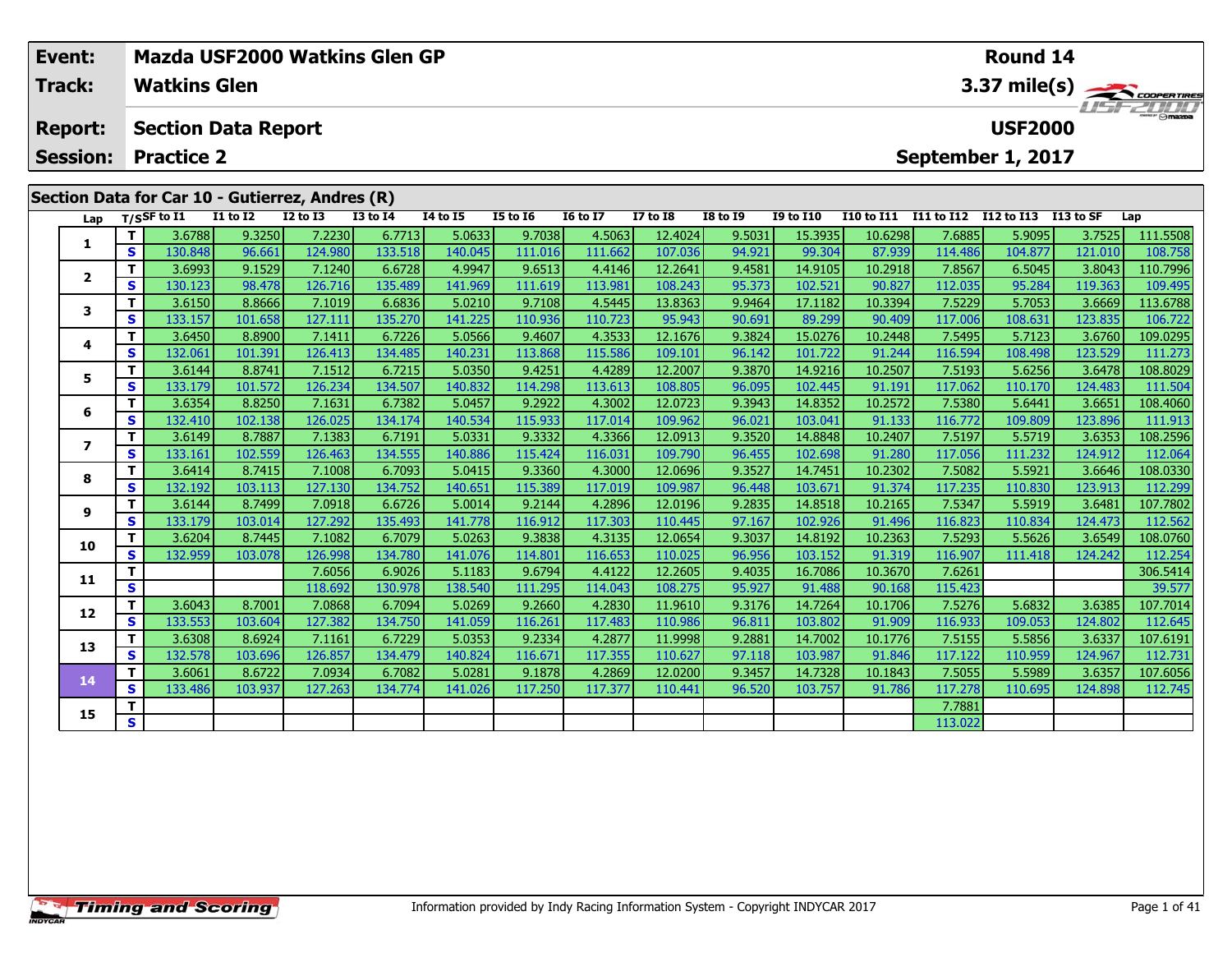| Event:                                                    |                         | Mazda USF2000 Watkins Glen GP |                   |                   |                   |                                    |                   |                   |                    |                  |                    |                       |                                          | Round 14             |                   |                     |  |
|-----------------------------------------------------------|-------------------------|-------------------------------|-------------------|-------------------|-------------------|------------------------------------|-------------------|-------------------|--------------------|------------------|--------------------|-----------------------|------------------------------------------|----------------------|-------------------|---------------------|--|
| Track:                                                    |                         | <b>Watkins Glen</b>           |                   |                   |                   |                                    |                   |                   |                    |                  |                    |                       |                                          |                      |                   |                     |  |
| <b>Report:</b>                                            |                         | <b>Section Data Report</b>    |                   |                   |                   |                                    |                   |                   |                    |                  |                    |                       | $3.37 \text{ mile(s)}$<br><b>USF2000</b> |                      |                   |                     |  |
| <b>Session:</b><br><b>Practice 2</b><br>September 1, 2017 |                         |                               |                   |                   |                   |                                    |                   |                   |                    |                  |                    |                       |                                          |                      |                   |                     |  |
| Section Data for Car 10 - Gutierrez, Andres (R)           |                         |                               |                   |                   |                   |                                    |                   |                   |                    |                  |                    |                       |                                          |                      |                   |                     |  |
|                                                           |                         | $T/S$ SF to I1                | <b>I1 to I2</b>   | <b>I2 to I3</b>   | $13$ to $14$      | $\overline{14}$ to $\overline{15}$ | <b>I5 to 16</b>   | <b>I6 to I7</b>   | <b>I7 to I8</b>    | <b>I8 to 19</b>  | <b>I9 to I10</b>   | I10 to I11 I11 to I12 |                                          | I12 to I13 I13 to SF |                   | Lap                 |  |
| Lap                                                       | T                       | 3.6788                        | 9.3250            | 7.2230            | 6.7713            | 5.0633                             | 9.7038            | 4.5063            | 12.4024            | 9.5031           | 15.3935            | 10.6298               | 7.6885                                   | 5.9095               | 3.7525            | 111.5508            |  |
| 1                                                         | S                       | 130.848                       | 96.661            | 124.980           | 133.518           | 140.045                            | 111.016           | 111.662           | 107.036            | 94.921           | 99.304             | 87.939                | 114.486                                  | 104.877              | 121.010           | 108.758             |  |
|                                                           | $\mathbf{T}$            | 3.6993                        | 9.1529            | 7.1240            | 6.6728            | 4.9947                             | 9.6513            | 4.4146            | 12.2641            | 9.4581           | 14.9105            | 10.2918               | 7.8567                                   | 6.5045               | 3.8043            | 110.7996            |  |
| $\overline{2}$                                            | S                       | 130.123                       | 98.478            | 126.716           | 135.489           | 141.969                            | 111.619           | 113.981           | 108.243            | 95.373           | 102.521            | 90.827                | 112.035                                  | 95.284               | 119.363           | 109.495             |  |
| 3                                                         | $\mathbf T$             | 3.6150                        | 8.8666            | 7.1019            | 6.6836            | 5.0210                             | 9.7108            | 4.5445            | 13.8363            | 9.9464           | 17.1182            | 10.3394               | 7.5229                                   | 5.7053               | 3.6669            | 113.6788            |  |
|                                                           | $\mathbf{s}$            | 133.157                       | 101.658           | 127.111           | 135.270           | 141.225                            | 110.936           | 110.723           | 95.943             | 90.691           | 89.299             | 90.409                | 117.006                                  | 108.631              | 123.835           | 106.722             |  |
| 4                                                         | $\mathbf{T}$            | 3.6450                        | 8.8900            | 7.1411            | 6.7226            | 5.0566                             | 9.4607            | 4.3533            | 12.1676            | 9.3824           | 15.0276            | 10.2448               | 7.5495                                   | 5.7123               | 3.6760            | 109.0295            |  |
|                                                           | <b>S</b>                | 132.061                       | 101.391           | 126.413           | 134.485           | 140.231                            | 113.868           | 115.586           | 109.101            | 96.142           | 101.722            | 91.244                | 116.594                                  | 108.498              | 123.529           | 111.273             |  |
| 5                                                         | T.                      | 3.6144                        | 8.8741            | 7.1512            | 6.7215            | 5.0350                             | 9.4251            | 4.4289            | 12.2007            | 9.3870           | 14.9216            | 10.2507               | 7.5193                                   | 5.6256               | 3.6478            | 108.8029            |  |
|                                                           | S                       | 133.179                       | 101.572           | 126.234           | 134.507           | 140.832                            | 114.298           | 113.613           | 108.805            | 96.095           | 102.445            | 91.191                | 117.062                                  | 110.170              | 124.483           | 111.504             |  |
| 6                                                         | $\mathbf{T}$            | 3.6354                        | 8.8250            | 7.1631            | 6.7382            | 5.0457                             | 9.2922            | 4.3002            | 12.0723            | 9.3943           | 14.8352            | 10.2572               | 7.5380                                   | 5.6441               | 3.6651            | 108.4060            |  |
|                                                           | <b>S</b>                | 132.410                       | 102.138           | 126.025           | 134.174           | 140.534                            | 115.933           | 117.014           | 109.962            | 96.021           | 103.041            | 91.133                | 116.772                                  | 109.809              | 123.896           | 111.913             |  |
| $\overline{ }$                                            | T.                      | 3.6149                        | 8.7887            | 7.1383            | 6.7191            | 5.0331                             | 9.3332            | 4.3366            | 12.0913            | 9.3520           | 14.8848            | 10.2407               | 7.5197                                   | 5.5719               | 3.6353            | 108.2596            |  |
|                                                           | $\mathbf{s}$            | 133.161                       | 102.559           | 126.463           | 134.555           | 140.886                            | 115.424           | 116.031           | 109.790            | 96.455           | 102.698            | 91.280                | 117.056                                  | 111.232              | 124.912           | 112.064             |  |
| 8                                                         | $\mathbf{T}$            | 3.6414                        | 8.7415            | 7.1008            | 6.7093            | 5.0415                             | 9.3360            | 4.3000            | 12.0696            | 9.3527           | 14.7451            | 10.2302               | 7.5082                                   | 5.5921               | 3.6646            | 108.0330            |  |
|                                                           | <b>S</b><br>T           | 132.192<br>3.6144             | 103.113<br>8.7499 | 127.130<br>7.0918 | 134.752<br>6.6726 | 140.651<br>5.0014                  | 115.389<br>9.2144 | 117.019<br>4.2896 | 109.987<br>12.0196 | 96.448<br>9.2835 | 103.671<br>14.8518 | 91.374<br>10.2165     | 117.235<br>7.5347                        | 110.830<br>5.5919    | 123.913<br>3.6481 | 112.299<br>107.7802 |  |
| 9                                                         | S                       | 133.179                       | 103.014           | 127.292           | 135.493           | 141.778                            | 116.912           | 117.303           | 110.445            | 97.167           | 102.926            | 91.496                | 116.823                                  | 110.834              | 124.473           | 112.562             |  |
|                                                           | T                       | 3.6204                        | 8.7445            | 7.1082            | 6.7079            | 5.0263                             | 9.3838            | 4.3135            | 12.0654            | 9.3037           | 14.8192            | 10.2363               | 7.5293                                   | 5.5626               | 3.6549            | 108.0760            |  |
| 10                                                        | $\mathbf{s}$            | 132.959                       | 103.078           | 126.998           | 134.780           | 141.076                            | 114.801           | 116.653           | 110.025            | 96.956           | 103.152            | 91.319                | 116.907                                  | 111.418              | 124.242           | 112.254             |  |
|                                                           | T.                      |                               |                   | 7.6056            | 6.9026            | 5.1183                             | 9.6794            | 4.4122            | 12.2605            | 9.4035           | 16.7086            | 10.3670               | 7.6261                                   |                      |                   | 306.5414            |  |
| 11                                                        | $\overline{\mathbf{s}}$ |                               |                   | 118.692           | 130.978           | 138.540                            | 111.295           | 114.043           | 108.275            | 95.927           | 91.488             | 90.168                | 115.423                                  |                      |                   | 39.577              |  |
|                                                           | T                       | 3.6043                        | 8.7001            | 7.0868            | 6.7094            | 5.0269                             | 9.2660            | 4.2830            | 11.9610            | 9.3176           | 14.7264            | 10.1706               | 7.5276                                   | 5.6832               | 3.6385            | 107.7014            |  |
| 12                                                        | <b>S</b>                | 133.553                       | 103.604           | 127.382           | 134.750           | 141.059                            | 116.261           | 117.483           | 110.986            | 96.811           | 103.802            | 91.909                | 116.933                                  | 109.053              | 124.802           | 112.645             |  |
|                                                           | T.                      | 3.6308                        | 8.6924            | 7.1161            | 6.7229            | 5.0353                             | 9.2334            | 4.2877            | 11.9998            | 9.2881           | 14.7002            | 10.1776               | 7.5155                                   | 5.5856               | 3.6337            | 107.6191            |  |
| 13                                                        | s l                     | 132.578                       | 103.696           | 126.857           | 134.479           | 140.824                            | 116.671           | 117.355           | 110.627            | 97.118           | 103.987            | 91.846                | 117.122                                  | 110.959              | 124.967           | 112.731             |  |

**14**

**15**

4 | T | 3.6061| 8.6722| 7.0934| 6.7082| 5.0281| 9.1878| 4.2869| 12.0200| 9.3457| 14.7328| 10.1843| 7.5055| 5.5989| 3.6357| 107.6056<br>- S | 133.486| 103.937| 127.263| 134.774| 141.026| 117.250| 117.377| 110.441| 96.520| 103.

**<sup>T</sup>** 7.7881 **<sup>S</sup>** 113.022

112.731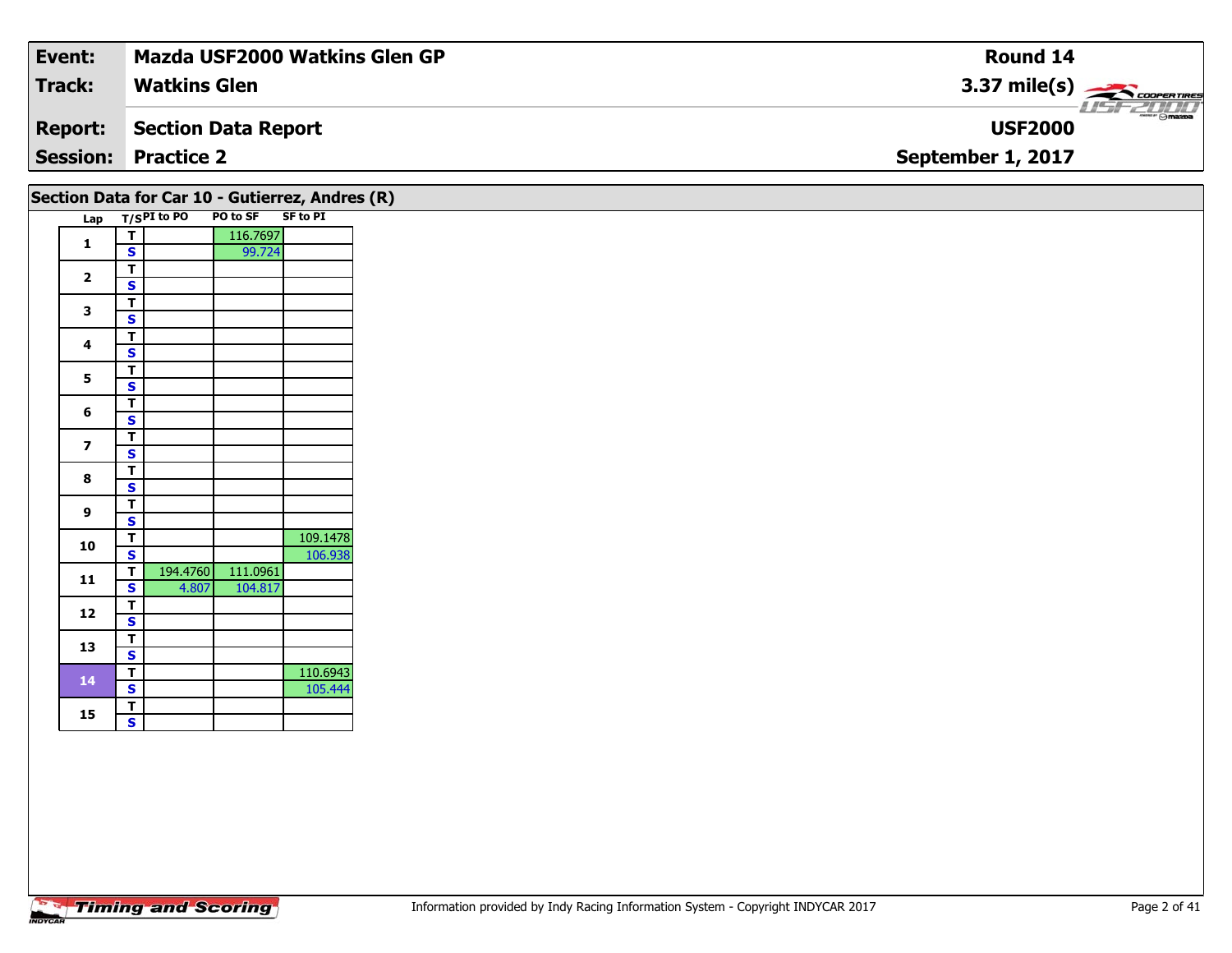| Event:          | <b>Mazda USF2000 Watkins Glen GP</b> | Round 14                                                 |
|-----------------|--------------------------------------|----------------------------------------------------------|
| <b>Track:</b>   | <b>Watkins Glen</b>                  | 3.37 mile(s) $\frac{1}{\sqrt{2\pi}}$ coorer these        |
| Report:         | Section Data Report                  | $\overline{\phantom{m}}$ $\odot$ mazpa<br><b>USF2000</b> |
| <b>Session:</b> | <b>Practice 2</b>                    | September 1, 2017                                        |
|                 |                                      |                                                          |

|                         |                                         | Lap T/SPI to PO | Section Data for Car 10 - Gutierrez, Andres (R)<br>PO to SF SF to PI |          |
|-------------------------|-----------------------------------------|-----------------|----------------------------------------------------------------------|----------|
|                         | $\overline{\mathsf{T}}$                 |                 | 116.7697                                                             |          |
| $\mathbf{1}$            | $\mathsf{s}$                            |                 | 99.724                                                               |          |
|                         |                                         |                 |                                                                      |          |
| $\overline{\mathbf{2}}$ | $rac{1}{s}$                             |                 |                                                                      |          |
|                         | $\overline{\mathsf{T}}$                 |                 |                                                                      |          |
| $\mathbf{3}$            | $\mathbf{s}$                            |                 |                                                                      |          |
|                         | $\frac{1}{s}$                           |                 |                                                                      |          |
| $\overline{\mathbf{4}}$ |                                         |                 |                                                                      |          |
| $5\phantom{a}$          | $\overline{\mathsf{r}}$                 |                 |                                                                      |          |
|                         | $\overline{\mathbf{s}}$                 |                 |                                                                      |          |
| 6                       | $\frac{1}{s}$                           |                 |                                                                      |          |
|                         |                                         |                 |                                                                      |          |
| $\overline{\mathbf{z}}$ | $\overline{\mathsf{r}}$                 |                 |                                                                      |          |
|                         | $\overline{\mathbf{s}}$                 |                 |                                                                      |          |
| 8                       | $\overline{\mathsf{T}}$                 |                 |                                                                      |          |
|                         | $\overline{\mathbf{s}}$                 |                 |                                                                      |          |
| $\boldsymbol{9}$        | $\overline{\mathsf{r}}$                 |                 |                                                                      |          |
|                         | $\mathbf{s}$                            |                 |                                                                      |          |
| 10                      | $\overline{\mathsf{r}}$                 |                 |                                                                      | 109.1478 |
|                         | $\overline{\mathbf{s}}$                 |                 |                                                                      | 106.938  |
| ${\bf 11}$              | $\mathbf{T}$<br>$\overline{\mathbf{s}}$ | 4.807           | 194.4760 111.0961<br>104.817                                         |          |
|                         | $\overline{t}$                          |                 |                                                                      |          |
| 12                      | $\mathbf{s}$                            |                 |                                                                      |          |
|                         |                                         |                 |                                                                      |          |
| 13                      | $rac{1}{s}$                             |                 |                                                                      |          |
|                         | $\overline{\mathsf{r}}$                 |                 |                                                                      | 110.6943 |
| 14                      | $\overline{\mathbf{s}}$                 |                 |                                                                      | 105.444  |
|                         | $\overline{\mathsf{r}}$                 |                 |                                                                      |          |
| 15                      | $\overline{\mathbf{s}}$                 |                 |                                                                      |          |
|                         |                                         |                 |                                                                      |          |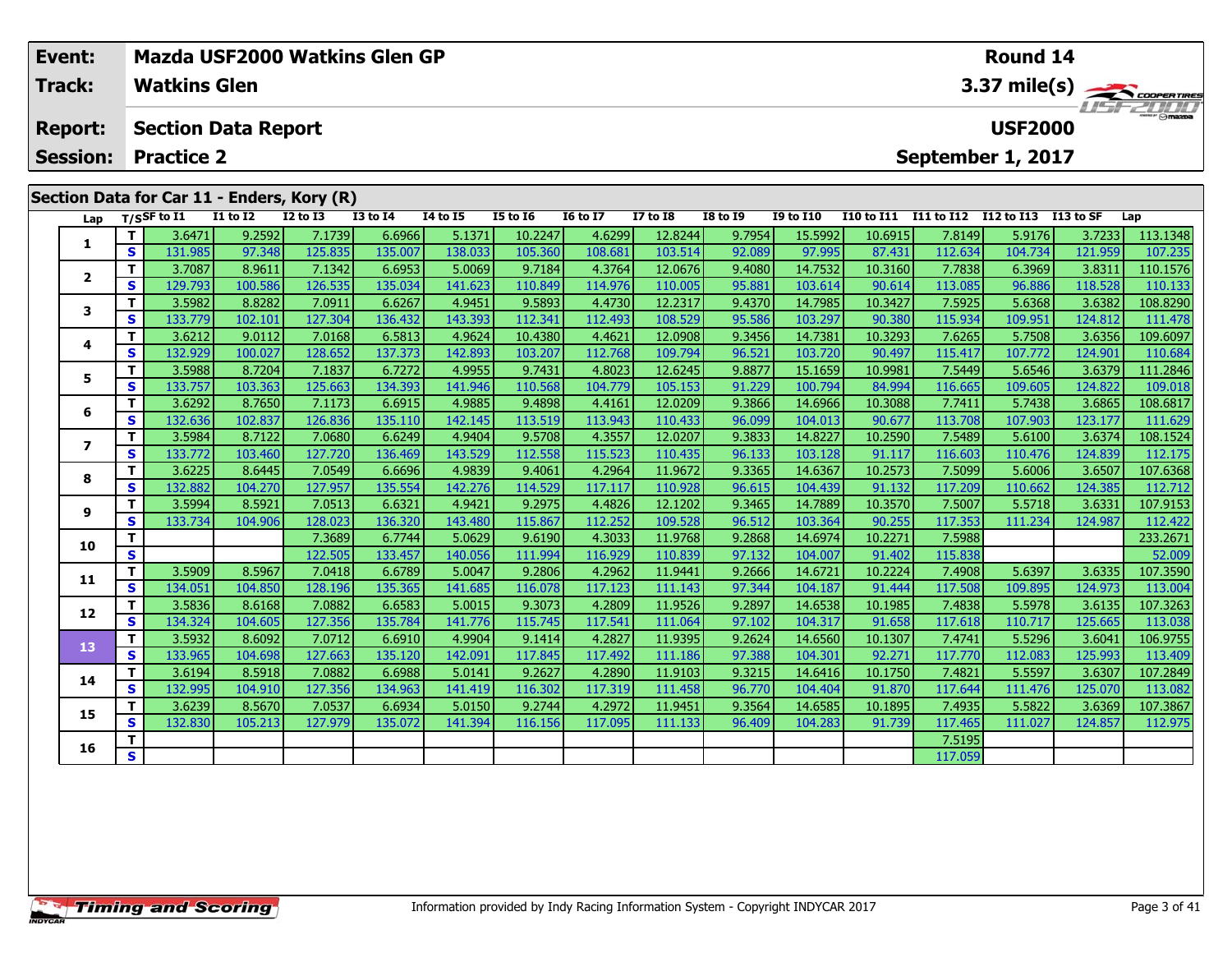| Event:<br><b>Track:</b>                    |    | <b>Watkins Glen</b>        |                 |                 | Mazda USF2000 Watkins Glen GP |          | Round 14<br>3.37 mile(s) |                 |                 |                 |                  |                |                   |                   |             |          |  |
|--------------------------------------------|----|----------------------------|-----------------|-----------------|-------------------------------|----------|--------------------------|-----------------|-----------------|-----------------|------------------|----------------|-------------------|-------------------|-------------|----------|--|
| <b>Report:</b>                             |    | <b>Section Data Report</b> |                 |                 |                               |          |                          |                 |                 |                 |                  | <b>USF2000</b> |                   |                   |             |          |  |
| <b>Session:</b>                            |    | <b>Practice 2</b>          |                 |                 |                               |          |                          |                 |                 |                 |                  |                |                   | September 1, 2017 |             |          |  |
| Section Data for Car 11 - Enders, Kory (R) |    |                            |                 |                 |                               |          |                          |                 |                 |                 |                  |                |                   |                   |             |          |  |
| Lap                                        |    | $T/S$ SF to I1             | <b>I1 to I2</b> | <b>I2 to I3</b> | <b>I3 to I4</b>               | 14 to 15 | <b>I5 to 16</b>          | <b>16 to 17</b> | <b>I7 to I8</b> | <b>I8 to I9</b> | <b>I9 to I10</b> | I10 to I11     | <b>I11 to I12</b> | I12 to I13        | $I13$ to SF | Lap      |  |
|                                            |    | 3.6471                     | 9.2592          | 7.1739          | 6.6966                        | 5.1371   | 10.2247                  | 4.6299          | 12.8244         | 9.7954          | 15.5992          | 10.6915        | 7.8149            | 5.9176            | 3.7233      | 113.1348 |  |
| 1                                          | S. | 131.985                    | 97.348          | 125.835         | 135.007                       | 138.033  | 105.360                  | 108.681         | 103.514         | 92.089          | 97.995           | 87.431         | 112.634           | 104.734           | 121.959     | 107.235  |  |
| $\mathbf{2}$                               |    | 3.7087                     | 8.9611          | 7.1342          | 6.6953                        | 5.0069   | 9.7184                   | 4.3764          | 12.0676         | 9.4080          | 14.7532          | 10.3160        | 7.7838            | 6.3969            | 3.8311      | 110.1576 |  |
|                                            | S  | 129.793                    | 100.586         | 126.535         | 135.034                       | 141.623  | 110.849                  | 114.976         | 110.005         | 95.881          | 103.614          | 90.614         | 113.085           | 96.886            | 118.528     | 110.133  |  |
| 3                                          | т  | 3.5982                     | 8.8282          | 7.0911          | 6.6267                        | 4.9451   | 9.5893                   | 4.4730          | 12.2317         | 9.4370          | 14.7985          | 10.3427        | 7.5925            | 5.6368            | 3.6382      | 108.8290 |  |
|                                            | S. | 133.779                    | 102.101         | 127.304         | 136.432                       | 143.393  | 112.341                  | 112.493         | 108.529         | 95.586          | 103.297          | 90.380         | 115.934           | 109.951           | 124.812     | 111.478  |  |
| 4                                          | т  | 3.6212                     | 9.0112          | 7.0168          | 6.5813                        | 4.9624   | 10.4380                  | 4.4621          | 12.0908         | 9.3456          | 14.7381          | 10.3293        | 7.6265            | 5.7508            | 3.6356      | 109.6097 |  |
|                                            | S. | 132.929                    | 100.027         | 128.652         | 137.373                       | 142.893  | 103.207                  | 112.768         | 109.794         | 96.521          | 103.720          | 90.497         | 115.417           | 107.772           | 124.901     | 110.684  |  |
| 5                                          |    | 3.5988                     | 8.7204          | 7.1837          | 6.7272                        | 4.9955   | 9.7431                   | 4.8023          | 12.6245         | 9.8877          | 15.1659          | 10.9981        | 7.5449            | 5.6546            | 3.6379      | 111.2846 |  |
|                                            | S. | 133.757                    | 103.363         | 125.663         | 134.393                       | 141.946  | 110.568                  | 104.779         | 105.153         | 91.229          | 100.794          | 84.994         | 116.665           | 109.605           | 124.822     | 109.018  |  |
|                                            | т. | 3.6292                     | 8.7650          | 7.1173          | 6.6915                        | 4.9885   | 9.4898                   | 4.4161          | 12.0209         | 9.3866          | 14.6966          | 10.3088        | 7.7411            | 5.7438            | 3.6865      | 108.6817 |  |
| 6                                          | S  | 132.636                    | 102.837         | 126.836         | 135.110                       | 142.145  | 113.519                  | 113.943         | 110.433         | 96.099          | 104.013          | 90.677         | 113.708           | 107.903           | 123.177     | 111.629  |  |
| 7                                          | Τ. | 3.5984                     | 8.7122          | 7.0680          | 6.6249                        | 4.9404   | 9.5708                   | 4.3557          | 12.0207         | 9.3833          | 14.8227          | 10.2590        | 7.5489            | 5.6100            | 3.6374      | 108.1524 |  |
|                                            | S. | 133.772                    | 103.460         | 127.720         | 136.469                       | 143.529  | 112.558                  | 115.523         | 110.435         | 96.133          | 103.128          | 91.117         | 116.603           | 110.476           | 124.839     | 112.175  |  |
| 8                                          |    | 3.6225                     | 8.6445          | 7.0549          | 6.6696                        | 4.9839   | 9.4061                   | 4.2964          | 11.9672         | 9.3365          | 14.6367          | 10.2573        | 7.5099            | 5.6006            | 3.6507      | 107.6368 |  |
|                                            | S. | 132.882                    | 104.270         | 127.957         | 135.554                       | 142.276  | 114.529                  | 117.117         | 110.928         | 96.615          | 104.439          | 91.132         | 117.209           | 110.662           | 124.385     | 112.712  |  |
| 9                                          |    | 3.5994                     | 8.5921          | 7.0513          | 6.6321                        | 4.9421   | 9.2975                   | 4.4826          | 12.1202         | 9.3465          | 14.7889          | 10.3570        | 7.5007            | 5.5718            | 3.6331      | 107.9153 |  |
|                                            | S  | 133.734                    | 104.906         | 128.023         | 136.320                       | 143.480  | 115.867                  | 112.2521        | 109.528         | 96.512          | 103.364          | 90.255         | 117.353           | 111.234           | 124.987     | 112.422  |  |

**T 7 233.2671 7.3689 6.7744 5.0629 9.6190 4.3033 11.9768 9.2868 14.6974 10.2271 7.5988 233.2671 10.2271 7.5988<br>IS S 122.505 133.457 140.056 111.994 116.929 110.839 97.132 104.007 91.402 115.838 52.009 52.009** 

1 | T | 3.5909 8.5967 7.0418 6.6789 5.0047 9.2806 4.2962 11.9441 9.2666 14.6721 10.2224 7.4908 5.6397 3.6335 107.3590<br>S 134.051 104.850 128.196 135.365 141.685 116.078 117.123 111.143 97.344 104.187 91.444 117.508 109.895

2 T 3.5836| 8.6168| 7.0882| 6.6583| 5.0015| 9.3073| 4.2809| 11.9526| 9.2897| 14.6538| 10.1985| 7.4838| 5.5978| 3.6135| 107.3263<br>S 134.324 104.605 127.356 135.784 141.776 115.745 117.541 111.064 97.102 104.317 91.658 117.61

3 T 3.5932 8.6092 7.0712 6.6910 4.9904 9.1414 4.2827 11.9395 9.2624 14.6560 10.1307 7.4741 5.5296 3.6041 106.9755<br>S 133.965 104.698 127.663 135.120 142.091 117.845 117.492 111.186 97.388 104.301 92.271 117.770 112.083 125.

4 T 3.61941 8.59181 7.08821 6.69881 5.01411 9.26271 4.28901 11.91031 9.32151 14.64161 10.17501 7.48211 5.55971 3.6307 107.2849<br>S 132,9951 104,9101 127,3561 134,9631 141,4191 116,3021 117,3191 111,4581 96.7701 104,4041 91.8

5 T 3.6239 8.5670 7.0537 6.6934 5.0150 9.2744 4.2972 11.9451 9.3564 14.6585 10.1895 7.4935 5.5822 3.6369 107.3867<br>5 S 132.830 105.213 127.979 135.072 141.394 116.156 117.095 111.133 96.409 104.283 91.739 117.465 111.027 12

**<sup>T</sup>** 7.5195 **<sup>S</sup>** 117.059

**10**

**11**

**12**

**13**

**14**

**15**

**16**

113.409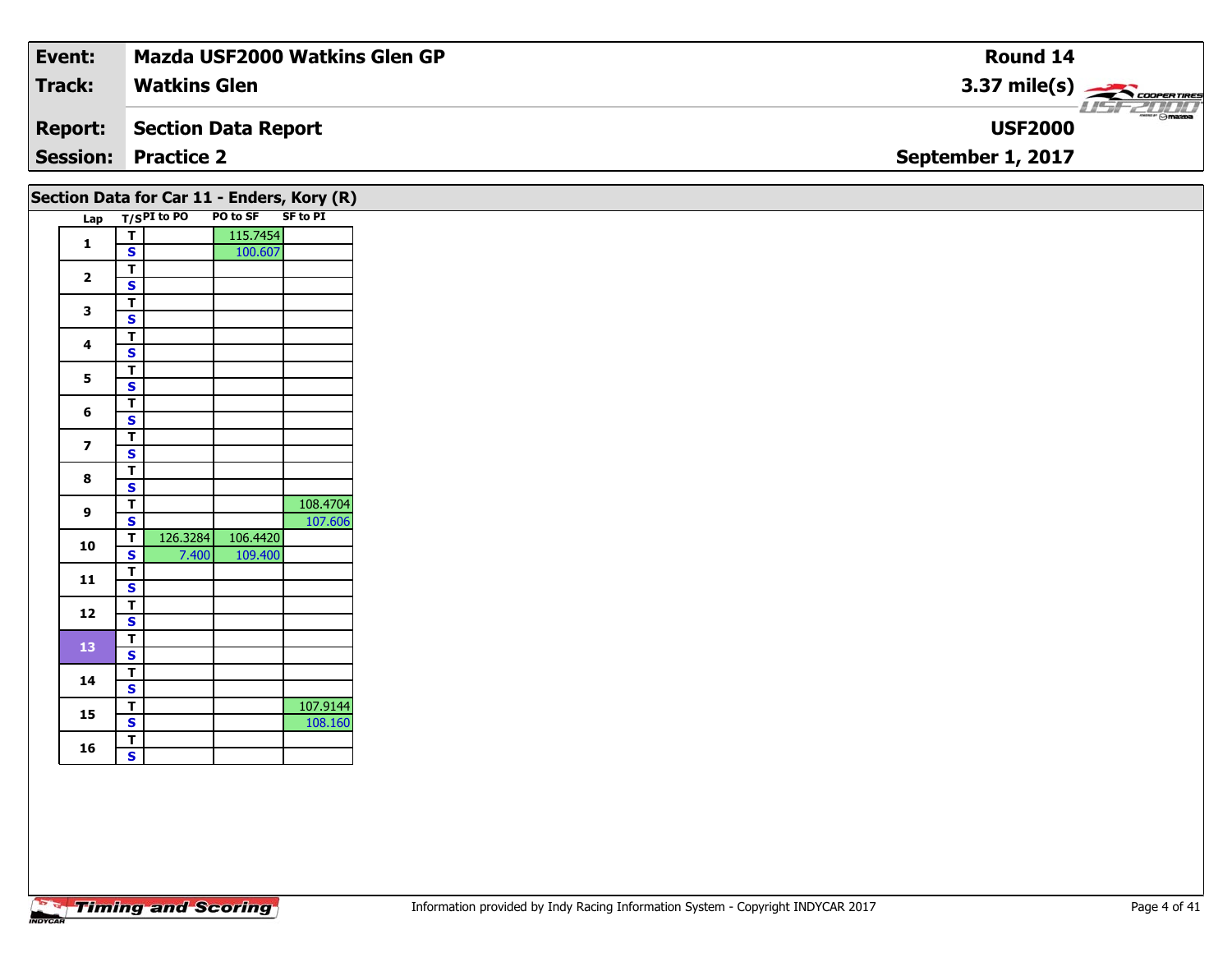| Event:         | <b>Mazda USF2000 Watkins Glen GP</b> | Round 14                         |
|----------------|--------------------------------------|----------------------------------|
| <b>Track:</b>  | <b>Watkins Glen</b>                  | $3.37 \text{ mile(s)}$           |
| <b>Report:</b> | Section Data Report                  | $ \odot$ mazpa<br><b>USF2000</b> |
|                | <b>Session: Practice 2</b>           | September 1, 2017                |
|                |                                      |                                  |

| Lap                     |                                                    | T/SPI to PO | Section Data for Car 11 - Enders, Kory (R)<br>PO to SF | SF to PI |
|-------------------------|----------------------------------------------------|-------------|--------------------------------------------------------|----------|
|                         | $\overline{\mathbf{T}}$                            |             | 115.7454                                               |          |
| $\mathbf{1}$            | $\mathbf{s}$                                       |             | 100.607                                                |          |
| $\overline{\mathbf{2}}$ | $\overline{\mathsf{r}}$                            |             |                                                        |          |
|                         | $\overline{\mathbf{s}}$                            |             |                                                        |          |
| $\mathbf{3}$            | $\overline{\mathsf{T}}$                            |             |                                                        |          |
|                         | $\overline{\mathbf{s}}$                            |             |                                                        |          |
| 4                       | $\overline{\mathsf{r}}$                            |             |                                                        |          |
|                         | $\mathbf{s}$                                       |             |                                                        |          |
| 5                       | $\overline{\mathsf{r}}$                            |             |                                                        |          |
|                         | $\overline{\mathbf{s}}$                            |             |                                                        |          |
| 6                       | $\overline{\mathbf{r}}$<br>$\overline{\mathbf{s}}$ |             |                                                        |          |
|                         | $\overline{\mathsf{r}}$                            |             |                                                        |          |
| $\overline{\mathbf{z}}$ | $\overline{\mathbf{s}}$                            |             |                                                        |          |
|                         | $\overline{\mathbf{T}}$                            |             |                                                        |          |
| 8                       | $\overline{\mathbf{s}}$                            |             |                                                        |          |
|                         | $\overline{\mathbf{T}}$                            |             |                                                        | 108.4704 |
| 9                       | $\overline{\mathbf{s}}$                            |             |                                                        | 107.606  |
|                         | $\overline{\mathsf{r}}$                            | 126.3284    | 106.4420                                               |          |
| ${\bf 10}$              | $\overline{\mathbf{s}}$                            | 7.400       | 109.400                                                |          |
| 11                      | $\overline{\mathbf{r}}$                            |             |                                                        |          |
|                         | $\mathbf{s}$                                       |             |                                                        |          |
| 12                      | $\overline{\mathsf{r}}$                            |             |                                                        |          |
|                         | $\mathbf{s}$                                       |             |                                                        |          |
| 13                      | $\overline{\mathsf{r}}$                            |             |                                                        |          |
|                         | $\overline{\mathbf{s}}$                            |             |                                                        |          |
| 14                      | $\overline{\mathsf{r}}$                            |             |                                                        |          |
|                         | $\overline{\mathbf{s}}$                            |             |                                                        |          |
| 15                      | $\overline{\mathsf{r}}$                            |             |                                                        | 107.9144 |
|                         | $\overline{\mathbf{s}}$                            |             |                                                        | 108.160  |
| 16                      | $rac{1}{s}$                                        |             |                                                        |          |
|                         |                                                    |             |                                                        |          |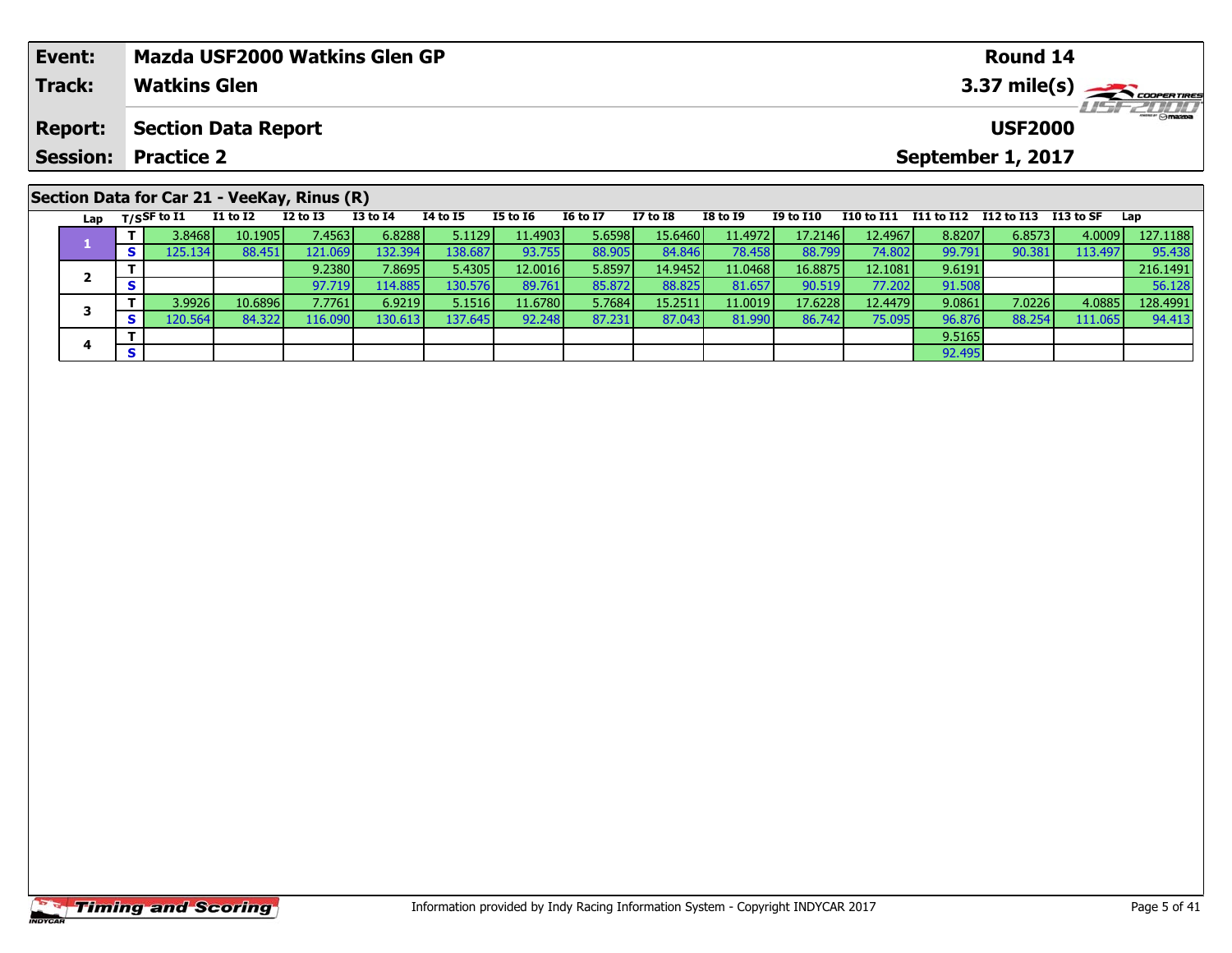| Event:                                      | <b>Mazda USF2000 Watkins Glen GP</b> | Round 14                                   |  |  |  |  |  |  |  |  |
|---------------------------------------------|--------------------------------------|--------------------------------------------|--|--|--|--|--|--|--|--|
| <b>Track:</b>                               | <b>Watkins Glen</b>                  | $3.37 \text{ mile(s)}$<br><b>LISF 2000</b> |  |  |  |  |  |  |  |  |
| <b>Report:</b>                              | Section Data Report                  | <b>USF2000</b>                             |  |  |  |  |  |  |  |  |
|                                             | <b>Session: Practice 2</b>           | September 1, 2017                          |  |  |  |  |  |  |  |  |
| Section Data for Car 21 - VeeKay, Rinus (R) |                                      |                                            |  |  |  |  |  |  |  |  |

|  | Lap | $T/S$ SF to I1 | <b>I1 to I2</b> | $I2$ to $I3$    | <b>I3 to I4</b> | <b>I4 to I5</b>  | <b>I5 to I6</b> | <b>16 to 17</b> | <b>I7 to I8</b> | <b>I8 to I9</b> | <b>I9 to I10</b> | I10 to I11 | I11 to I12 | I12 to I13 | I 13 to SF | Lap      |
|--|-----|----------------|-----------------|-----------------|-----------------|------------------|-----------------|-----------------|-----------------|-----------------|------------------|------------|------------|------------|------------|----------|
|  |     | 3.8468         | 10.1905         | 7.4563          | 6.8288          | 5.1129           | 11.4903         | 5.6598          | 15.6460         | 11.4972         | 17.2146          | 12.4967    | 8.8207     | 6.8573     | 4.0009     | 127.1188 |
|  |     | 125.134        | 88.451          | 121.069         | 132.394         | 38.687           | 93.755          | 88.905          | 84.846          | 78.458          | 88.799           | 74.802     | 99.791     | 90.381     | 113.497    | 95.438   |
|  |     |                |                 | 9.2380          | 7.8695          | 5.4305           | 12.0016         | 5.8597          | 14.9452         | 11.0468         | 16.8875          | 12.1081    | 9.6191     |            |            | 216.1491 |
|  |     |                |                 | 97.719          | 114.885         | 130.576 <b>1</b> | 89.761          | 85.872          | 88.825          | 81.657          | 90.519           | 77.202     | 91.508     |            |            | 56.128   |
|  |     | 3.9926         | 10.6896         | 7.7761          | 6.9219          | 5.1516           | 11.6780         | 5.7684          | 15.2511         | 11.0019         | 17.6228          | 12.4479    | 9.0861     | 7.0226     | 4.0885     | 128.4991 |
|  |     | 120.564        | 84.322          | L <b>16.090</b> | 130.613         | 137.645 <b>I</b> | 92.248          | 87.231          | 87.043          | 81.990          | 86.742           | 75.095     | 96.876     | 88.254     | 111.065    | 94.413   |
|  |     |                |                 |                 |                 |                  |                 |                 |                 |                 |                  |            | 9.5165     |            |            |          |
|  |     |                |                 |                 |                 |                  |                 |                 |                 |                 |                  |            | 92.495     |            |            |          |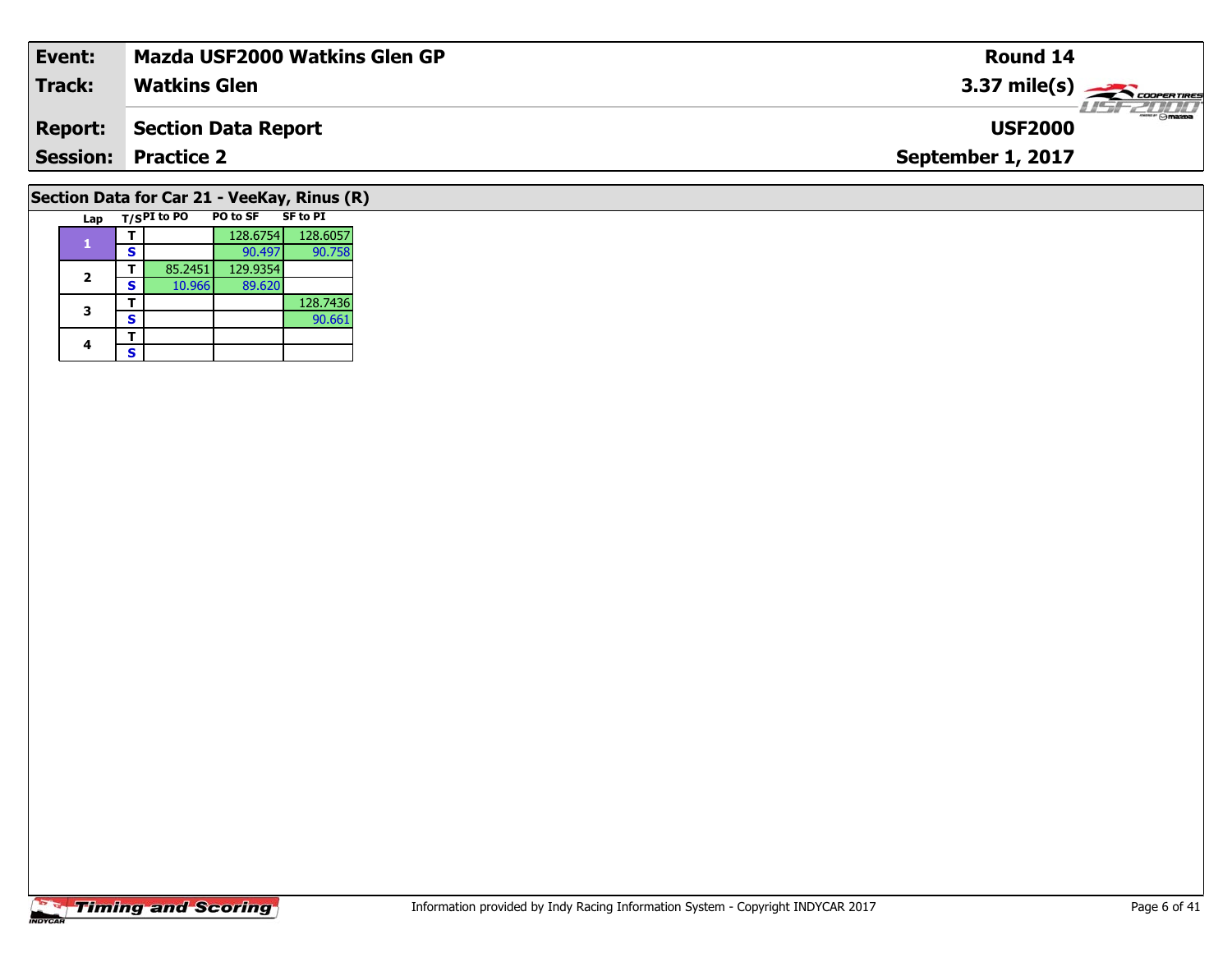| Event:                                      | <b>Mazda USF2000 Watkins Glen GP</b> | <b>Round 14</b>                        |  |  |  |  |  |  |  |  |
|---------------------------------------------|--------------------------------------|----------------------------------------|--|--|--|--|--|--|--|--|
| <b>Track:</b>                               | <b>Watkins Glen</b>                  | $3.37 \text{ mile(s)}$                 |  |  |  |  |  |  |  |  |
| <b>Report:</b>                              | <b>Section Data Report</b>           | $\frac{1}{\sqrt{2}}$<br><b>USF2000</b> |  |  |  |  |  |  |  |  |
|                                             | <b>Session: Practice 2</b>           | September 1, 2017                      |  |  |  |  |  |  |  |  |
| Section Data for Car 21 - VeeKay, Rinus (R) |                                      |                                        |  |  |  |  |  |  |  |  |

# **Timing and Scoring**

Lap T/S<sup>PI</sup> to PO PO to SF SF to PI

**<sup>T</sup>** 85.2451 129.9354 **<sup>S</sup>** 10.966 89.620

**T** 128.7436<br>**S** 90.661

**T** 128.6754 128.6057<br> **S** 90.497 90.758

89.620

90.661

**1**

**2**

**3**

4  $\frac{1}{s}$  $\mathsf{s}$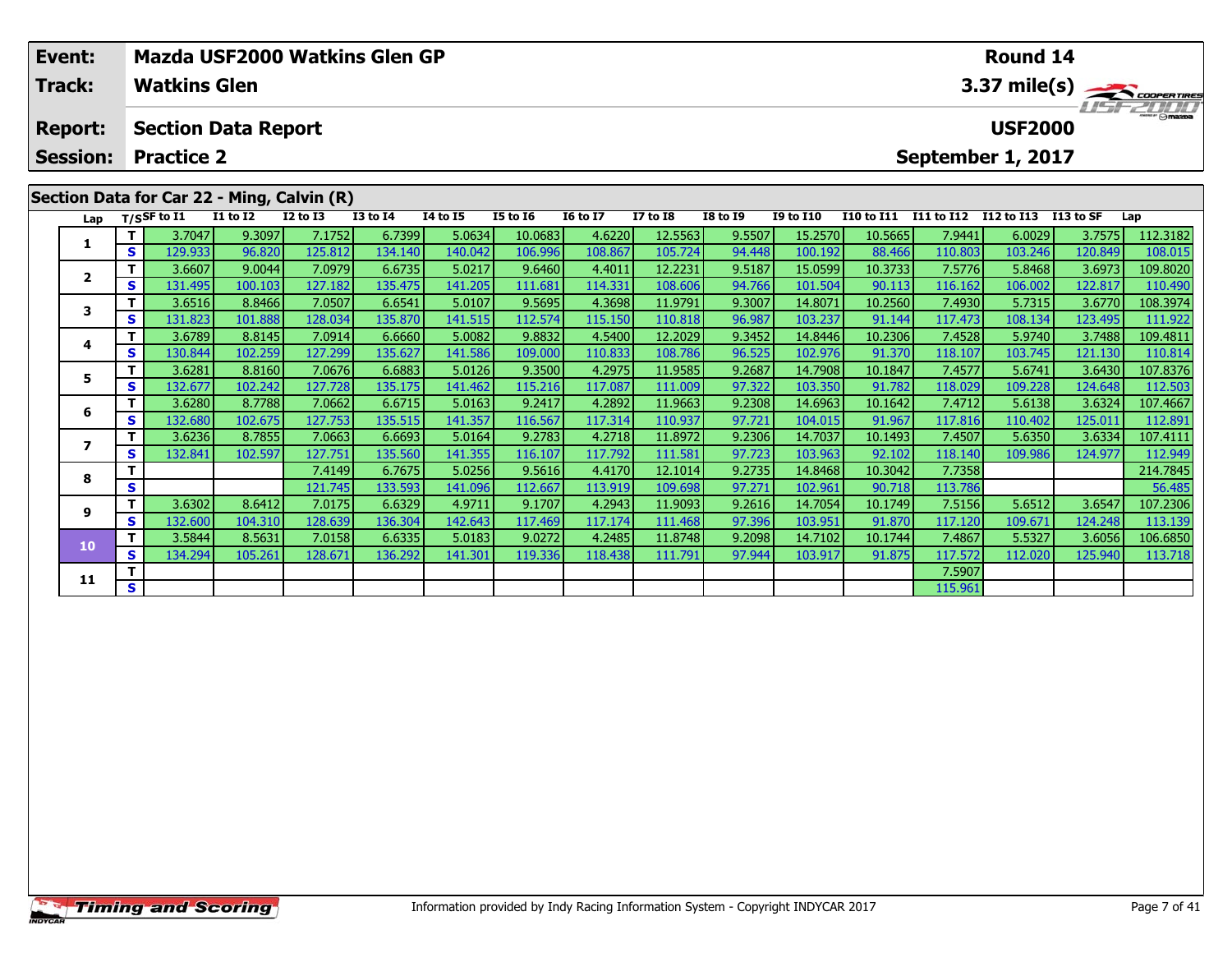| Event:<br><b>Track:</b>                                   |              | <b>Watkins Glen</b>        |                 | Mazda USF2000 Watkins Glen GP              |                 |                 |                 | <b>Round 14</b><br>3.37 mile(s) |                 |                 |                  |            |                                    |         |           |          |  |  |
|-----------------------------------------------------------|--------------|----------------------------|-----------------|--------------------------------------------|-----------------|-----------------|-----------------|---------------------------------|-----------------|-----------------|------------------|------------|------------------------------------|---------|-----------|----------|--|--|
| <b>Report:</b>                                            |              | <b>Section Data Report</b> |                 |                                            |                 |                 |                 |                                 |                 |                 |                  |            | <b>LISF 2007</b><br><b>USF2000</b> |         |           |          |  |  |
| <b>Practice 2</b><br><b>Session:</b><br>September 1, 2017 |              |                            |                 |                                            |                 |                 |                 |                                 |                 |                 |                  |            |                                    |         |           |          |  |  |
|                                                           |              |                            |                 | Section Data for Car 22 - Ming, Calvin (R) |                 |                 |                 |                                 |                 |                 |                  |            |                                    |         |           |          |  |  |
|                                                           |              | Lap T/SSF to I1            | <b>I1 to I2</b> | $I2$ to $I3$                               | <b>I3 to I4</b> | <b>14 to 15</b> | <b>I5 to 16</b> | <b>16 to 17</b>                 | <b>I7 to I8</b> | <b>I8 to 19</b> | <b>I9 to I10</b> | I10 to I11 | I11 to I12 I12 to I13              |         | I13 to SF | Lap      |  |  |
|                                                           |              | 3.7047                     | 9.3097          | 7.1752                                     | 6.7399          | 5.0634          | 10.0683         | 4.6220                          | 12.5563         | 9.5507          | 15.2570          | 10.5665    | 7.9441                             | 6.0029  | 3.7575    | 112.3182 |  |  |
| ı.                                                        | s l          | 129.933                    | 96.820          | 125.812                                    | 134.140         | 140.042         | 106.996         | 108.867                         | 105.724         | 94.448          | 100.192          | 88.466     | 110.803                            | 103.246 | 120.849   | 108.015  |  |  |
| $\mathbf{z}$                                              |              | 3.6607                     | 9.0044          | 7.0979                                     | 6.6735          | 5.0217          | 9.6460          | 4.4011                          | 12.2231         | 9.5187          | 15.0599          | 10.3733    | 7.5776                             | 5.8468  | 3.6973    | 109.8020 |  |  |
|                                                           | $\mathbf{s}$ | 131.495                    | 100.103         | 127.182                                    | 135.475         | 141.205         | 111.681         | 114.331                         | 108.606         | 94.766          | 101.504          | 90.113     | 116.162                            | 106.002 | 122.817   | 110.490  |  |  |
| 3                                                         |              | 3.6516                     | 8.8466          | 7.0507                                     | 6.6541          | 5.0107          | 9.5695          | 4.3698                          | 11.9791         | 9.3007          | 14.8071          | 10.2560    | 7.4930                             | 5.7315  | 3.6770    | 108.3974 |  |  |
|                                                           | s l          | 131.823                    | 101.888         | 128.034                                    | 135.870         | 141.515         | 112.574         | 115.150                         | 110.818         | 96.987          | 103.237          | 91.144     | 117.473                            | 108.134 | 123.495   | 111.922  |  |  |
| 4                                                         |              | 3.6789                     | 8.8145          | 7.0914                                     | 6.6660          | 5.0082          | 9.8832          | 4.5400                          | 12.2029         | 9.3452          | 14.8446          | 10.2306    | 7.4528                             | 5.9740  | 3.7488    | 109.4811 |  |  |
|                                                           | s l          | 130.844                    | 102.259         | 127.299                                    | 135.627         | 141.586         | 109.000         | 110.833                         | 108.786         | 96.525          | 102.976          | 91.370     | 118.107                            | 103.745 | 121.130   | 110.814  |  |  |
| 5                                                         |              | 3.6281                     | 8.8160          | 7.0676                                     | 6.6883          | 5.0126          | 9.3500          | 4.2975                          | 11.9585         | 9.2687          | 14.7908          | 10.1847    | 7.4577                             | 5.6741  | 3.6430    | 107.8376 |  |  |
|                                                           | $\mathbf{s}$ | 132.677                    | 102.242         | 127.728                                    | 135.175         | 141.462         | 115.216         | 117.087                         | 111.009         | 97.322          | 103.350          | 91.782     | 118.029                            | 109.228 | 124.648   | 112.503  |  |  |
| 6                                                         |              | 3.6280                     | 8.7788          | 7.0662                                     | 6.6715          | 5.0163          | 9.2417          | 4.2892                          | 11.9663         | 9.2308          | 14.6963          | 10.1642    | 7.4712                             | 5.6138  | 3.6324    | 107.4667 |  |  |
|                                                           | s l          | 132.680                    | 102.675         | 127.753                                    | 135.515         | 141.357         | 116.567         | 117.314                         | 110.937         | 97.721          | 104.015          | 91.967     | 117.816                            | 110.402 | 125.011   | 112.891  |  |  |

7 | T | 3.6236| 8.7855| 7.0663| 6.6693| 5.0164| 9.2783| 4.2718| 11.8972| 9.2306| 14.7037| 10.1493| 7.4507| 5.6350| 3.6334| 107.4111<br>7 | S | 132.841 102.597| 127.751| 135.560| 141.355| 116.107| 117.792| 111.581| 97.723| 103

**<sup>T</sup>** 7.4149 6.7675 5.0256 9.5616 4.4170 12.1014 9.2735 14.8468 10.3042 7.7358 214.7845 **<sup>S</sup>** 121.745 133.593 141.096 112.667 113.919 109.698 97.271 102.961 90.718 113.786 56.485

107.2306 11 12.6302 107.2306 107.2306 10.1749 10.1747 107.2306 10.1749 10.1749 107.2306 10.1749 107.2306 103.<br>S 132.600 104.310 128.639 136.304 142.643 117.469 117.174 111.468 97.396 103.951 91.870 117.120 109.671 124.248

0 T 3.5844| 8.5631| 7.0158| 6.6335| 5.0183| 9.0272| 4.2485| 11.8748| 9.2098| 14.7102| 10.1744| 7.4867| 5.5327| 3.6056| 106.6850<br>| S 134.294 105.261 128.671 136.292 141.301 119.336 118.438 111.791 97.944 103.917 91.875 117.

**T S** 1 **S** 1 **S** 115.961

**7**

**8**

**9**

**10**

**11**

112.949<br>214.7845

113.139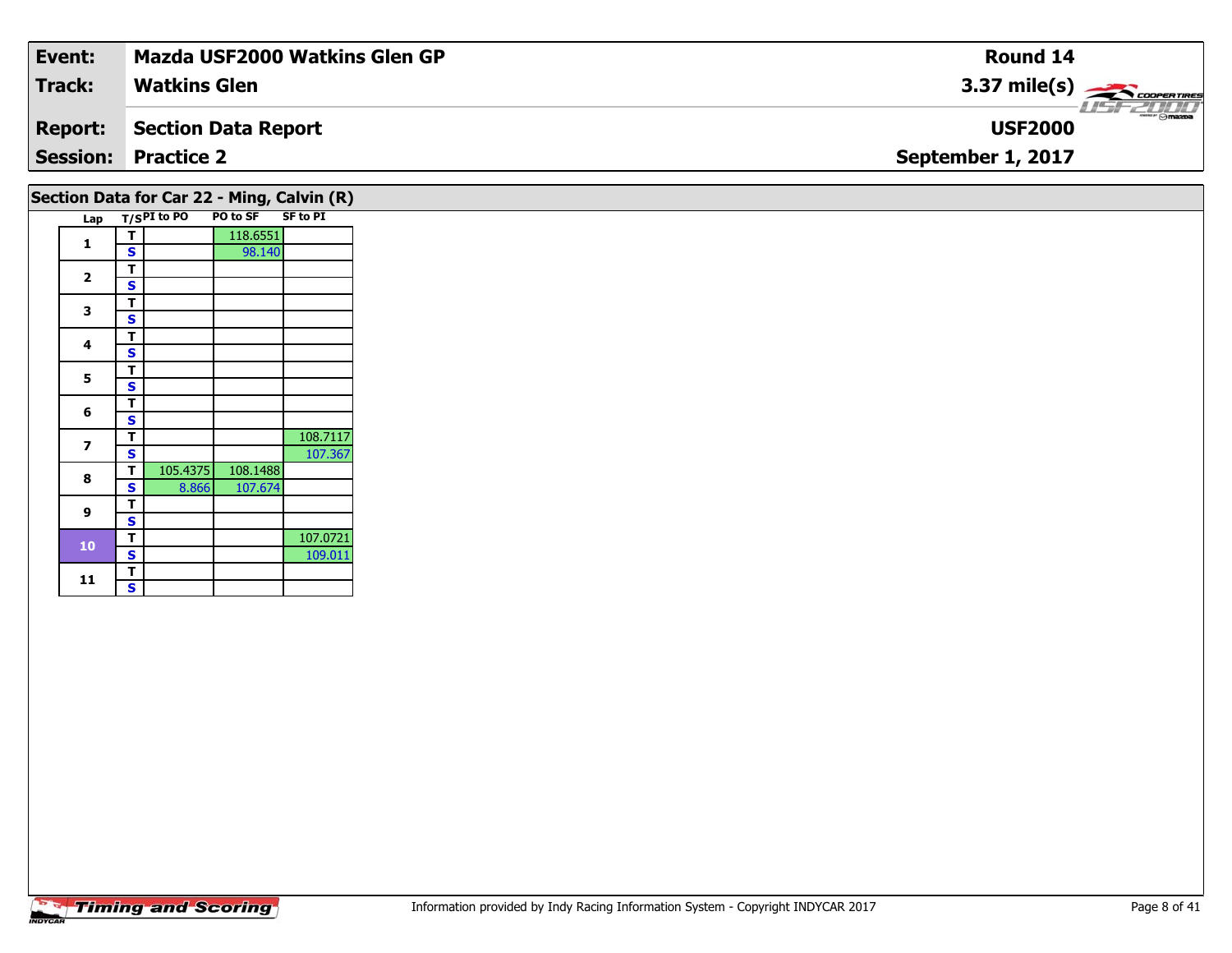| Event:         | <b>Mazda USF2000 Watkins Glen GP</b> | Round 14                                                 |
|----------------|--------------------------------------|----------------------------------------------------------|
| Track:         | <b>Watkins Glen</b>                  | 3.37 mile(s) $\frac{1}{\sqrt{2\pi}}$ coorentines         |
| <b>Report:</b> | Section Data Report                  | $\overline{\phantom{a}}$ $\odot$ mazpa<br><b>USF2000</b> |
|                | <b>Session: Practice 2</b>           | September 1, 2017                                        |
|                |                                      |                                                          |

## **Section Data for Car 22 - Ming, Calvin (R)**

| Lap |   | T/SPI to PO | PO to SF | <b>SF to PI</b> |
|-----|---|-------------|----------|-----------------|
| 1   | т |             | 118.6551 |                 |
|     | S |             | 98.140   |                 |
|     | т |             |          |                 |
| 2   | S |             |          |                 |
| 3   | т |             |          |                 |
|     | S |             |          |                 |
| 4   | т |             |          |                 |
|     | S |             |          |                 |
| 5   | т |             |          |                 |
|     | S |             |          |                 |
| 6   | т |             |          |                 |
|     | S |             |          |                 |
| 7   | т |             |          | 108.7117        |
|     | S |             |          | 107.367         |
| 8   | т | 105.4375    | 108.1488 |                 |
|     | S | 8.866       | 107.674  |                 |
| 9   | т |             |          |                 |
|     | S |             |          |                 |
| 10  | т |             |          | 107.0721        |
|     | S |             |          | 109.011         |
| 11  | Т |             |          |                 |
|     | S |             |          |                 |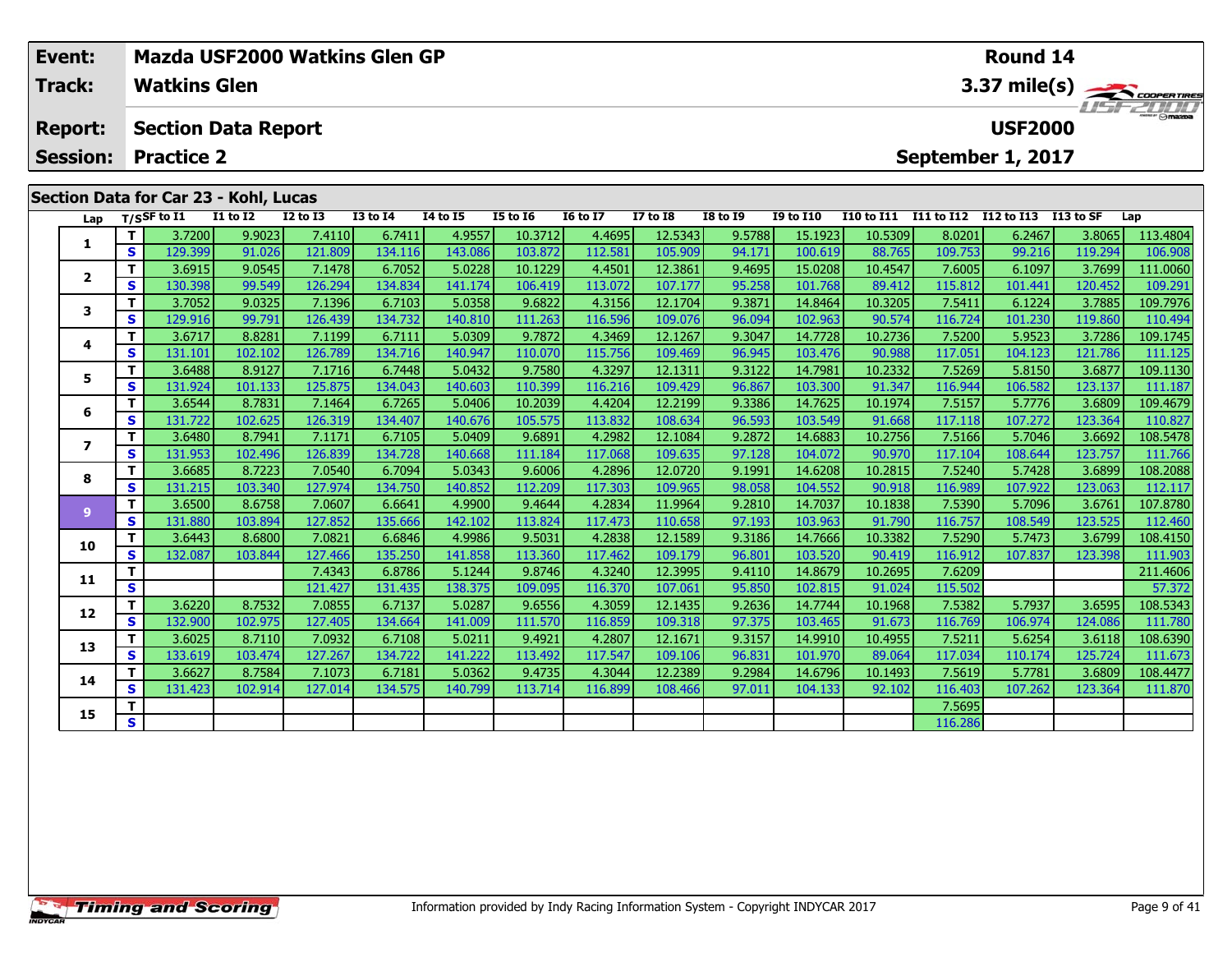|                                                                                                                                      | Event:                            |    |                                                                                        | Mazda USF2000 Watkins Glen GP |                 |                 |                  |                   | <b>Round 14</b>   |                   |           |         |              |         |         |         |                |  |  |
|--------------------------------------------------------------------------------------------------------------------------------------|-----------------------------------|----|----------------------------------------------------------------------------------------|-------------------------------|-----------------|-----------------|------------------|-------------------|-------------------|-------------------|-----------|---------|--------------|---------|---------|---------|----------------|--|--|
|                                                                                                                                      | Track:                            |    | <b>Watkins Glen</b>                                                                    |                               |                 |                 |                  |                   |                   |                   |           |         | 3.37 mile(s) |         |         |         |                |  |  |
|                                                                                                                                      | <b>Report:</b><br><b>Session:</b> |    | <b>USF2000</b><br><b>Section Data Report</b><br><b>Practice 2</b><br>September 1, 2017 |                               |                 |                 |                  |                   |                   |                   |           |         |              |         |         |         | <b>USFZUUD</b> |  |  |
| Section Data for Car 23 - Kohl, Lucas<br>T/S $S$ F to I1<br><b>I1 to I2</b><br><b>I2 to I3</b><br><b>I3 to I4</b><br><b>I4 to I5</b> |                                   |    | <b>I5 to 16</b>                                                                        | <b>16 to 17</b>               | <b>I7 to I8</b> | <b>I8 to I9</b> | <b>I9 to I10</b> | <b>I10 to I11</b> | <b>I11 to I12</b> | <b>I12 to I13</b> | I13 to SF | Lap     |              |         |         |         |                |  |  |
|                                                                                                                                      |                                   |    | 3.7200                                                                                 | 9.9023                        | 7.4110          | 6.7411          | 4.9557           | 10.3712           | 4.4695            | 12.5343           | 9.5788    | 15.1923 | 10.5309      | 8.0201  | 6.2467  | 3.8065  | 113.4804       |  |  |
|                                                                                                                                      | Lap                               | S. | 129.399                                                                                | 91.026                        | 121.809         | 134.116         | 143.086          | 103.872           | 112.581           | 105.909           | 94.171    | 100.619 | 88.765       | 109.753 | 99.216  | 119.294 | 106.908        |  |  |
|                                                                                                                                      |                                   |    | 3.6915                                                                                 | 9.0545                        | 7.1478          | 6.7052          | 5.0228           | 10.1229           | 4.4501            | 12.3861           | 9.4695    | 15.0208 | 10.4547      | 7.6005  | 6.1097  | 3.7699  | 111.0060       |  |  |
|                                                                                                                                      | $\mathbf{2}$                      | S. | 130.398                                                                                | 99.549                        | 126.294         | 134.834         | 141.174          | 106.419           | 113.072           | 107.177           | 95.258    | 101.768 | 89.412       | 115.812 | 101.441 | 120.452 | 109.291        |  |  |
|                                                                                                                                      | 3                                 |    | 3.7052                                                                                 | 9.0325                        | 7.1396          | 6.7103          | 5.0358           | 9.6822            | 4.3156            | 12.1704           | 9.3871    | 14.8464 | 10.3205      | 7.5411  | 6.1224  | 3.7885  | 109.7976       |  |  |
|                                                                                                                                      |                                   | S. | 129.916                                                                                | 99.791                        | 126.439         | 134.732         | 140.810          | 111.263           | 116.596           | 109.076           | 96.094    | 102.963 | 90.574       | 116.724 | 101.230 | 119.860 | 110.494        |  |  |
|                                                                                                                                      | 4                                 |    | 3.6717                                                                                 | 8.8281                        | 7.1199          | 6.7111          | 5.0309           | 9.7872            | 4.3469            | 12.1267           | 9.3047    | 14.7728 | 10.2736      | 7.5200  | 5.9523  | 3.7286  | 109.1745       |  |  |
|                                                                                                                                      |                                   | S. | 131.101                                                                                | 102.102                       | 126.789         | 134.716         | 140.947          | 110.070           | 115.756           | 109.469           | 96.945    | 103.476 | 90.988       | 117.051 | 104.123 | 121.786 | 111.125        |  |  |
|                                                                                                                                      |                                   |    | 3.6488                                                                                 | 8.9127                        | 7.1716          | 6.7448          | 5.0432           | 9.7580            | 4.3297            | 12.1311           | 9.3122    | 14.7981 | 10.2332      | 7.5269  | 5.8150  | 3.6877  | 109.1130       |  |  |
|                                                                                                                                      |                                   | S. | 131.924                                                                                | 101.1331                      | 125.875         | 134.043         | 140.603          | 110.399           | 116.216           | 109.429           | 96.867    | 103.300 | 91.347       | 116.944 | 106.582 | 123.137 | 111.187        |  |  |

**<sup>T</sup>** 3.6544 8.7831 7.1464 6.7265 5.0406 10.2039 4.4204 12.2199 9.3386 14.7625 10.1974 7.5157 5.7776 3.6809 109.4679 **<sup>S</sup>** 131.722 102.625 126.319 134.407 140.676 105.575 113.832 108.634 96.593 103.549 91.668 117.118 107.272 123.364 110.827

7 | T | 3.6480 | 8.7941 | 7.1171 | 6.7105 | 5.0409 | 9.6891 | 4.2982 | 12.1084 | 9.2872 | 14.6883 | 10.2756 | 7.5166 | 5.7046 | 3.6692 | 108.5478<br>7 | S | 131.953 | 102.496 | 126.839 | 134.728 | 140.668 | 111.184 | 117.068

8 T | 3.6685 8.7223 7.0540 6.7094 5.0343 9.6006 4.2896 12.0720 9.1991 14.6208 10.2815 7.5240 5.7428 3.6899 108.2088<br>S S 131.215 103.340 127.974 134.750 140.852 112.209 117.303 109.965 98.058 104.552 90.918 116.989 107.922

<mark>11</mark> 3.6500| 8.6758| 7.0607| 6.6641| 4.9900| 9.4644| 4.2834| 11.9964| 9.2810| 14.7037| 10.1838| 7.5390| 5.7096| 3.6761| 107.8780<br>S 131.880| 103.894| 127.852| 135.666| 142.102| 113.824| 117.473| 110.658| 97.193| 103.963| 9

0 | T | 3.6443| 8.6800| 7.0821| 6.6846| 4.9986| 9.5031| 4.2838| 12.1589| 9.3186| 14.7666| 10.3382| 7.5290| 5.7473| 3.6799| 108.4150<br>| S | 132.087| 103.844| 127.466| 135.250| 141.858| 113.360| 117.462| 109.179| 96.801| 103.

**<sup>T</sup>** 7.4343 6.8786 5.1244 9.8746 4.3240 12.3995 9.4110 14.8679 10.2695 7.6209 211.4606 **<sup>S</sup>** 121.427 131.435 138.375 109.095 116.370 107.061 95.850 102.815 91.024 115.502 57.372

**<sup>T</sup>** 3.6220 8.7532 7.0855 6.7137 5.0287 9.6556 4.3059 12.1435 9.2636 14.7744 10.1968 7.5382 5.7937 3.6595 108.5343 **<sup>S</sup>** 132.900 102.975 127.405 134.664 141.009 111.570 116.859 109.318 97.375 103.465 91.673 116.769 106.974 124.086 111.780

3 T 3.6025 8.7110 7.0932 6.7108 5.0211 9.4921 4.2807 12.1671 9.3157 14.9910 10.4955 7.5211 5.6254 3.6118 108.6390<br>S 133.619 103.474 127.267 134.722 141.222 113.492 117.547 109.106 96.831 101.970 89.064 117.034 110.174 125.

4 | **T** | 3.6627| 8.7584| 7.1073| 6.7181| 5.0362| 9.4735| 4.3044| 12.2389| 9.2984| 14.6796| 10.1493| 7.5619| 5.7781| 3.6809| 108.4477<br>- S | 131.423 102.914 127.014 134.575 140.799 113.714 116.899 108.466 97.011 104.133 92.

**<sup>T</sup>** 7.5695 **<sup>S</sup>** 116.286

**6**

**7**

**8**

**9**

**10**

**11**

**12**

**13**

**14**

**15**

111.766

112.460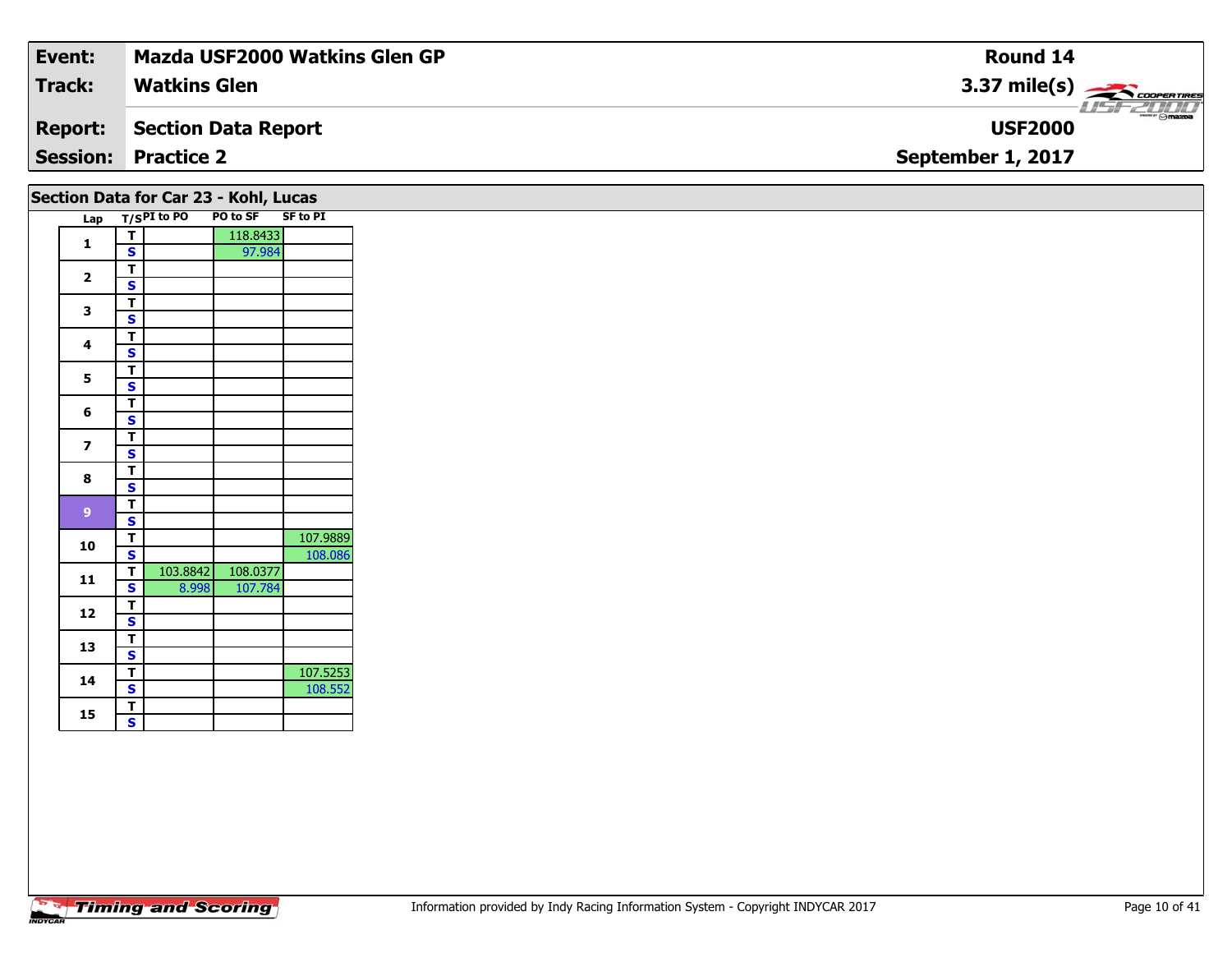| Event:         | <b>Mazda USF2000 Watkins Glen GP</b> | Round 14                          |
|----------------|--------------------------------------|-----------------------------------|
| <b>Track:</b>  | <b>Watkins Glen</b>                  | $3.37 \text{ mile(s)}$            |
| <b>Report:</b> | Section Data Report                  | $ \theta$ mazoa<br><b>USF2000</b> |
|                | <b>Session: Practice 2</b>           | September 1, 2017                 |
|                |                                      |                                   |

| Section Data for Car 23 - Kohl, Lucas |  |  |  |  |
|---------------------------------------|--|--|--|--|
|---------------------------------------|--|--|--|--|

|  | Lap                     |                         | T/SPI to PO | PO to SF | <b>SF to PI</b> |
|--|-------------------------|-------------------------|-------------|----------|-----------------|
|  | 1                       | т                       |             | 118.8433 |                 |
|  |                         | S                       |             | 97.984   |                 |
|  | $\overline{\mathbf{2}}$ | т                       |             |          |                 |
|  |                         | S                       |             |          |                 |
|  | 3<br>4                  | T                       |             |          |                 |
|  |                         | S                       |             |          |                 |
|  |                         | T                       |             |          |                 |
|  |                         | S                       |             |          |                 |
|  | 5                       | т                       |             |          |                 |
|  |                         | S                       |             |          |                 |
|  | 6                       | T                       |             |          |                 |
|  |                         | S                       |             |          |                 |
|  | 7                       | т                       |             |          |                 |
|  |                         | S                       |             |          |                 |
|  | 8                       | T                       |             |          |                 |
|  |                         | S                       |             |          |                 |
|  | 9                       | т                       |             |          |                 |
|  |                         | S                       |             |          |                 |
|  | 10                      | т                       |             |          | 107.9889        |
|  |                         | S                       |             |          | 108.086         |
|  | 11                      | т                       | 103.8842    | 108.0377 |                 |
|  |                         | S                       | 8.998       | 107.784  |                 |
|  | 12                      | T                       |             |          |                 |
|  |                         | S                       |             |          |                 |
|  | 13                      | T                       |             |          |                 |
|  |                         | S                       |             |          |                 |
|  | 14                      | т                       |             |          | 107.5253        |
|  |                         | S                       |             |          | 108.552         |
|  | 15                      | Т                       |             |          |                 |
|  |                         | $\overline{\mathbf{s}}$ |             |          |                 |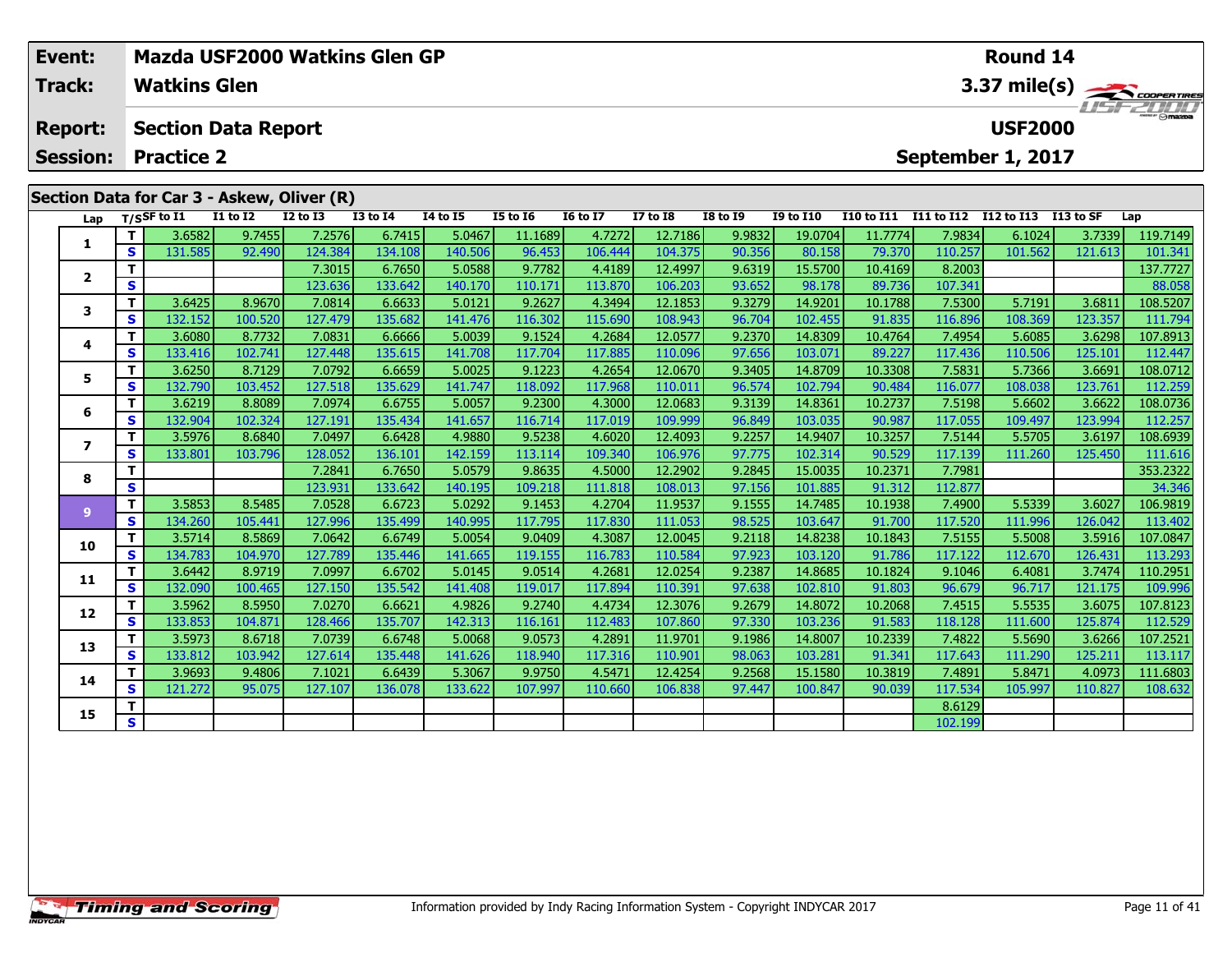| Event:<br><b>Track:</b>           |          | <b>Watkins Glen</b>                             |                            | Mazda USF2000 Watkins Glen GP                              |                   |                   |                   |                   |                    |                  | Round 14<br>3.37 mile(s)                       |                   |                    |                   |                    |                     |
|-----------------------------------|----------|-------------------------------------------------|----------------------------|------------------------------------------------------------|-------------------|-------------------|-------------------|-------------------|--------------------|------------------|------------------------------------------------|-------------------|--------------------|-------------------|--------------------|---------------------|
| <b>Report:</b><br><b>Session:</b> |          | <b>Section Data Report</b><br><b>Practice 2</b> |                            |                                                            |                   |                   |                   |                   |                    |                  | TSFZUTI<br><b>USF2000</b><br>September 1, 2017 |                   |                    |                   |                    |                     |
|                                   |          | Lap T/SSF to I1                                 | <b>I1 to I2</b>            | Section Data for Car 3 - Askew, Oliver (R)<br>$I2$ to $I3$ | <b>I3 to I4</b>   | <b>I4 to I5</b>   | <b>I5 to 16</b>   | <b>16 to 17</b>   | <b>I7 to I8</b>    | <b>I8 to I9</b>  | <b>I9 to I10</b>                               | <b>I10 to I11</b> | I11 to I12         | I12 to I13        | I13 to SF          | Lap                 |
|                                   | s l      | 3.6582<br>131.585                               | 9.7455<br>92.490           | 7.2576<br>124.384                                          | 6.7415<br>134.108 | 5.0467<br>140.506 | 11.1689<br>96.453 | 4.7272<br>106.444 | 12.7186<br>104.375 | 9.9832<br>90.356 | 19.0704<br>80.158                              | 11.7774<br>79.370 | 7.9834<br>110.257  | 6.1024<br>101.562 | 3.7339<br>121.613  | 119.7149<br>101.341 |
| $\mathbf{2}$                      | S        |                                                 |                            | 7.3015<br>123.636                                          | 6.7650<br>133.642 | 5.0588<br>140.170 | 9.7782<br>110.171 | 4.4189<br>113.870 | 12.4997<br>106.203 | 9.6319<br>93.652 | 15.5700<br>98.178                              | 10.4169<br>89.736 | 8.2003<br>107.341  |                   |                    | 137.7727<br>88.058  |
| 3                                 | Τ.<br>S. | 3.6425<br>132.152                               | 8.9670<br>100.520          | 7.0814<br>127.479                                          | 6.6633<br>135.682 | 5.0121<br>141.476 | 9.2627<br>116.302 | 4.3494<br>115.690 | 12.1853<br>108.943 | 9.3279<br>96.704 | 14.9201<br>102.455                             | 10.1788<br>91.835 | 7.5300<br>116.896  | 5.7191<br>108.369 | 3.6811<br>123.357  | 108.5207<br>111.794 |
| 4                                 | s l      | 3.6080<br>133.416                               | 8.7732<br>102.741          | 7.0831<br>127.448                                          | 6.6666<br>135.615 | 5.0039<br>141.708 | 9.1524<br>117.704 | 4.2684<br>117.885 | 12.0577<br>110.096 | 9.2370<br>97.656 | 14.8309<br>103.071                             | 10.4764<br>89.227 | 7.4954<br>117.436  | 5.6085<br>110.506 | 3.6298<br>125.101  | 107.8913<br>112.447 |
| 5                                 | S        | 3.6250<br>132.790                               | 8.7129<br>103.452          | 7.0792<br>127.518                                          | 6.6659<br>135.629 | 5.0025<br>141.747 | 9.1223<br>118.092 | 4.2654<br>117.968 | 12.0670<br>110.011 | 9.3405<br>96.574 | 14.8709<br>102.794                             | 10.3308<br>90.484 | 7.5831<br>116.077  | 5.7366<br>108.038 | 3.6691<br>123.761  | 108.0712<br>112.259 |
| 6                                 | s l      | 3.6219<br>132.904 <b>1</b>                      | 8.8089<br>102.324 <b>1</b> | 7.0974<br>127.191                                          | 6.6755<br>135.434 | 5.0057<br>141.657 | 9.2300<br>116.714 | 4.3000<br>117.019 | 12.0683<br>109.999 | 9.3139<br>96.849 | 14.8361<br>103.035                             | 10.2737<br>90.987 | 7.5198<br>117.0551 | 5.6602<br>109.497 | 3.6622<br>123.9941 | 108.0736<br>112.257 |

7 | T | 3.5976| 8.6840| 7.0497| 6.6428| 4.9880| 9.5238| 4.6020| 12.4093| 9.2257| 14.9407| 10.3257| 7.5144| 5.5705| 3.6197| 108.6939<br>7 | S | 133.801 103.796 128.052 136.101 142.159 113.114 109.340 106.976 97.775 102.314 90.

**<sup>T</sup>** 7.2841 6.7650 5.0579 9.8635 4.5000 12.2902 9.2845 15.0035 10.2371 7.7981 353.2322 **<sup>S</sup>** 123.931 133.642 140.195 109.218 111.818 108.013 97.156 101.885 91.312 112.877 34.346

11.95819 126.027 106.9819 106.9819 11.9531 1.2704 1.9537 9.1555 14.7485 10.1938 7.4900 5.5339 3.6027 106.9819<br>S 134.260 105.441 127.996 135.499 140.995 117.795 117.830 111.053 98.525 103.647 91.700 117.520 111.996 126.042

0 | T | 3.5714| 8.5869| 7.0642| 6.6749| 5.0054| 9.0409| 4.3087| 12.0045| 9.2118| 14.8238| 10.1843| 7.5155| 5.5008| 3.5916| 107.0847<br>| S | 134.783| 104.970| 127.789| 135.446| 141.665| 119.155| 116.783| 110.584| 97.923| 103.

**<sup>T</sup>** 3.6442 8.9719 7.0997 6.6702 5.0145 9.0514 4.2681 12.0254 9.2387 14.8685 10.1824 9.1046 6.4081 3.7474 110.2951 **<sup>S</sup>** 132.090 100.465 127.150 135.542 141.408 119.017 117.894 110.391 97.638 102.810 91.803 96.679 96.717 121.175 109.996

2 T 3.5962 8.5950 7.0270 6.6621 4.9826 9.2740 4.4734 12.3076 9.2679 14.8072 10.2068 7.4515 5.5535 3.6075 107.8123<br>2 S 133.853 104.871 128.466 135.707 142.313 116.161 112.483 107.860 97.330 103.236 91.583 118.128 111.600 12

3 | T | 3.5973 | 8.6718 | 7.0739 | 6.6748 | 5.0068 | 9.0573 | 4.2891 |11.9701 | 9.1986 | 14.8007 | 10.2339 | 7.4822 | 5.5690 | 3.6266 |107.2521 |<br>S | 133.812 | 103.942 | 127.614 | 135.448 | 141.626 | 118.940 | 117.316 | 11

4 | **T** | 3.9693| 9.4806| 7.1021| 6.6439| 5.3067| 9.9750| 4.5471| 12.4254| 9.2568| 15.1580| 10.3819| 7.4891| 5.8471| 4.0973| 111.6803<br>- S | 121.272| 95.075| 127.107| 136.078| 133.622| 107.997| 110.660| 106.838| 97.447| 100

**T** 8.6129

**Timing and Scoring** 

**7**

**8**

**9**

**10**

**11**

**12**

**13**

**14**

**15**

111.616

113.402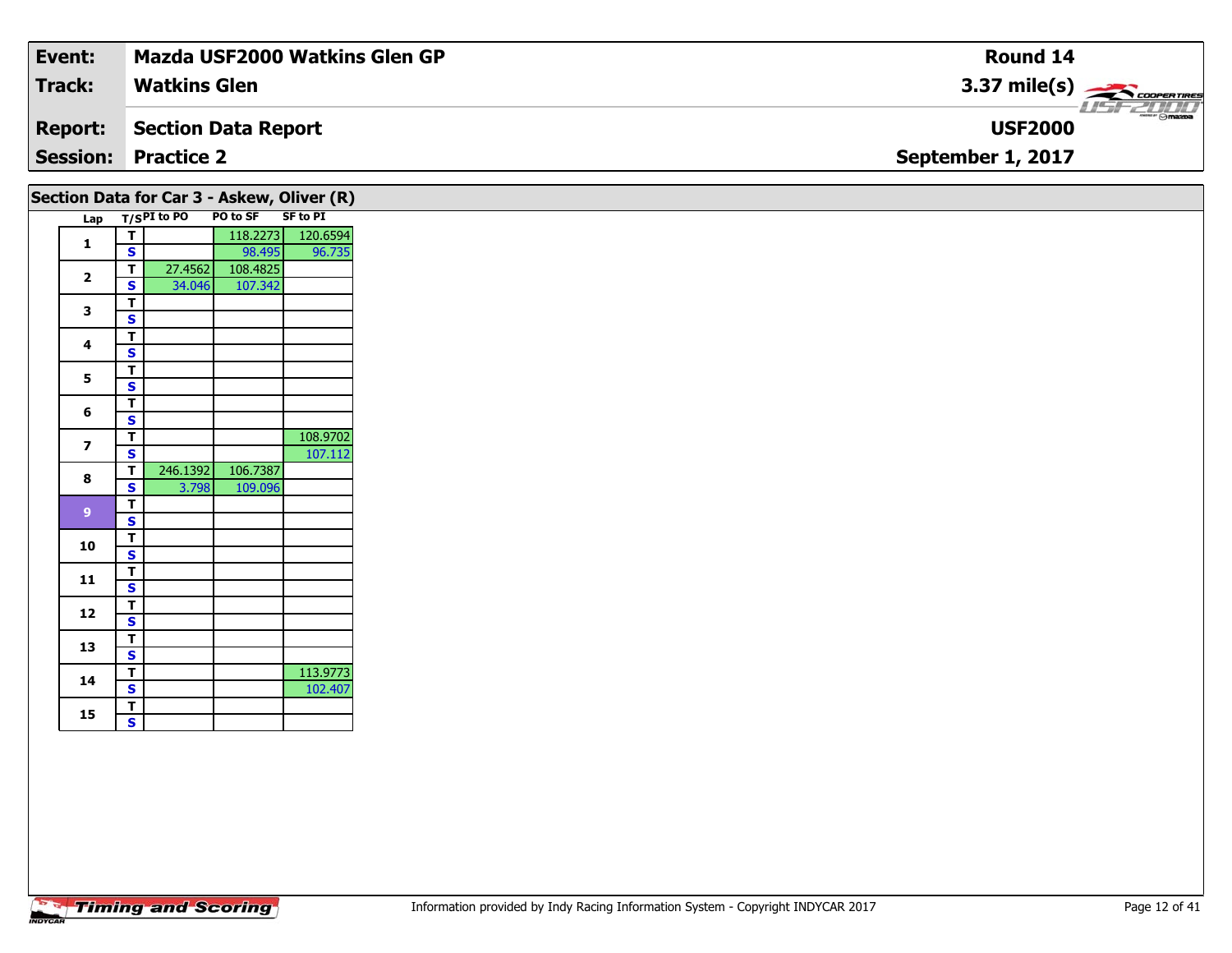| Event:         | Mazda USF2000 Watkins Glen GP | <b>Round 14</b>                                                                                                                                                                                                                                                                                                                                                                                                                                                                                   |
|----------------|-------------------------------|---------------------------------------------------------------------------------------------------------------------------------------------------------------------------------------------------------------------------------------------------------------------------------------------------------------------------------------------------------------------------------------------------------------------------------------------------------------------------------------------------|
| <b>Track:</b>  | . Watkins Glen                | $3.37 \text{ mile(s)}$                                                                                                                                                                                                                                                                                                                                                                                                                                                                            |
| <b>Report:</b> | Section Data Report           | $\overline{\phantom{a}}$ $\overline{\phantom{a}}$ $\overline{\phantom{a}}$ $\overline{\phantom{a}}$ $\overline{\phantom{a}}$ $\overline{\phantom{a}}$ $\overline{\phantom{a}}$ $\overline{\phantom{a}}$ $\overline{\phantom{a}}$ $\overline{\phantom{a}}$ $\overline{\phantom{a}}$ $\overline{\phantom{a}}$ $\overline{\phantom{a}}$ $\overline{\phantom{a}}$ $\overline{\phantom{a}}$ $\overline{\phantom{a}}$ $\overline{\phantom{a}}$ $\overline{\phantom{a}}$ $\overline{\$<br><b>USF2000</b> |
|                | <b>Session: Practice 2</b>    | September 1, 2017                                                                                                                                                                                                                                                                                                                                                                                                                                                                                 |
|                |                               |                                                                                                                                                                                                                                                                                                                                                                                                                                                                                                   |

|                         |                         | Lap T/SPI to PO | PO to SF | SF to PI          |
|-------------------------|-------------------------|-----------------|----------|-------------------|
| $\mathbf{1}$            | $\overline{\mathsf{T}}$ |                 |          | 118.2273 120.6594 |
|                         | $\overline{\mathbf{s}}$ |                 | 98.495   | 96.735            |
| $\overline{\mathbf{2}}$ | $\overline{I}$          | 27.4562         | 108.4825 |                   |
|                         | $\overline{\mathbf{s}}$ | 34.046          | 107.342  |                   |
| 3                       | $\frac{1}{s}$           |                 |          |                   |
|                         |                         |                 |          |                   |
| 4                       | $\overline{t}$          |                 |          |                   |
|                         | $\mathsf{s}$            |                 |          |                   |
| $\mathbf{5}$            | $\overline{t}$          |                 |          |                   |
|                         | $\overline{\mathbf{s}}$ |                 |          |                   |
| 6                       | $\overline{t}$          |                 |          |                   |
|                         | $\overline{\mathbf{s}}$ |                 |          |                   |
| $\overline{\mathbf{z}}$ | $\overline{\mathsf{r}}$ |                 |          | 108.9702          |
|                         | $\overline{\mathbf{s}}$ |                 |          | 107.112           |
| 8                       | $\overline{\mathbf{T}}$ | 246.1392        | 106.7387 |                   |
|                         | $\overline{\mathbf{s}}$ | $3.798$         | 109.096  |                   |
| 9                       | $\overline{I}$          |                 |          |                   |
|                         | $\overline{\mathbf{s}}$ |                 |          |                   |
| 10                      | $\overline{\mathsf{r}}$ |                 |          |                   |
|                         | $\overline{\mathbf{s}}$ |                 |          |                   |
| 11                      | $\overline{I}$          |                 |          |                   |
|                         | $\mathsf{s}$            |                 |          |                   |
| 12                      | $\overline{\mathbf{r}}$ |                 |          |                   |
|                         | $\overline{\mathbf{s}}$ |                 |          |                   |
| 13                      | $rac{1}{s}$             |                 |          |                   |
|                         |                         |                 |          |                   |
| 14                      | $\overline{\mathsf{r}}$ |                 |          | 113.9773          |
|                         | $\overline{\mathbf{s}}$ |                 |          | 102.407           |
| 15                      | $\overline{\mathsf{r}}$ |                 |          |                   |
|                         | $\overline{\mathbf{s}}$ |                 |          |                   |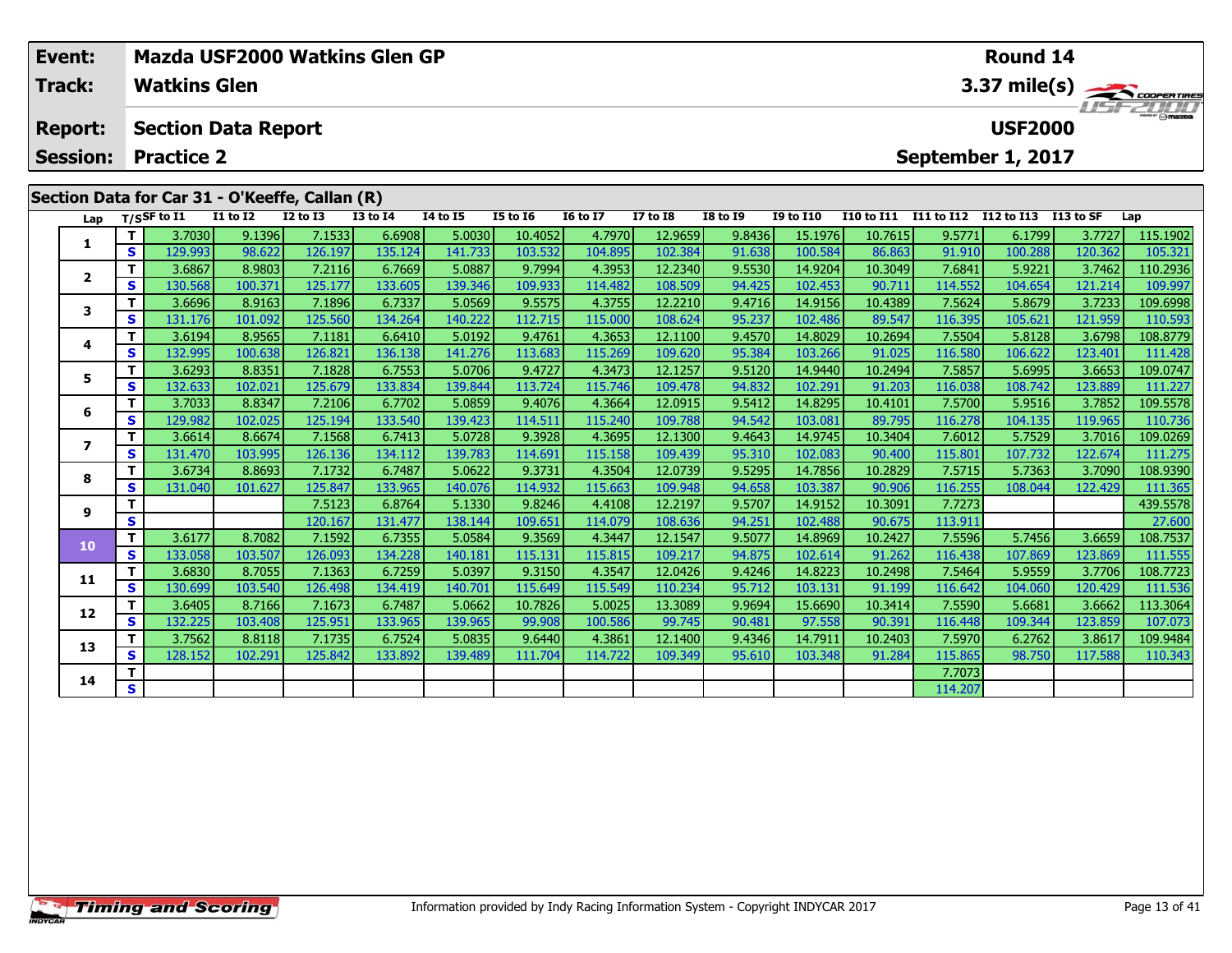| Event:          |    | <b>Mazda USF2000 Watkins Glen GP</b>           |                   |                   |                   | Round 14<br>3.37 mile(s)<br><b>USF2000</b> |                                                                                                                   |                   |                    |                  |                    |                   |                   |                   |                   |                     |
|-----------------|----|------------------------------------------------|-------------------|-------------------|-------------------|--------------------------------------------|-------------------------------------------------------------------------------------------------------------------|-------------------|--------------------|------------------|--------------------|-------------------|-------------------|-------------------|-------------------|---------------------|
| Track:          |    | <b>Watkins Glen</b>                            |                   |                   |                   |                                            |                                                                                                                   |                   |                    |                  |                    |                   |                   |                   |                   |                     |
| <b>Report:</b>  |    | <b>Section Data Report</b>                     |                   |                   |                   |                                            |                                                                                                                   |                   |                    |                  |                    |                   |                   |                   |                   |                     |
| <b>Session:</b> |    | <b>Practice 2</b>                              |                   |                   |                   |                                            |                                                                                                                   |                   |                    |                  |                    |                   |                   | September 1, 2017 |                   |                     |
|                 |    | Section Data for Car 31 - O'Keeffe, Callan (R) |                   |                   |                   |                                            |                                                                                                                   |                   |                    |                  |                    |                   |                   |                   |                   |                     |
| Lap             |    | T/SSF to I1                                    | <b>I1 to I2</b>   | <b>I2 to I3</b>   | <b>I3 to I4</b>   | <b>14 to 15</b>                            | <b>I5 to 16</b>                                                                                                   | <b>16 to 17</b>   | <b>I7 to I8</b>    | <b>I8 to 19</b>  | <b>I9 to I10</b>   | <b>I10 to I11</b> | <b>I11 to I12</b> | <b>I12 to I13</b> | I13 to SF         | Lap                 |
| 1               | T. | 3.7030                                         | 9.1396            | 7.1533            | 6.6908            | 5.0030                                     | 10.4052                                                                                                           | 4.7970            | 12.9659            | 9.8436           | 15.1976            | 10.7615           | 9.5771            | 6.1799            | 3.7727            | 115.1902            |
|                 | S. | 129.993                                        | 98.622            | 126.197           | 135.124           | 141.733                                    | 103.532                                                                                                           | 104.895           | 102.384            | 91.638           | 100.584            | 86.863            | 91.910            | 100.288           | 120.362           | 105.321             |
| $\mathbf{2}$    | T. | 3.6867                                         | 8.9803            | 7.2116            | 6.7669            | 5.0887                                     | 9.7994                                                                                                            | 4.3953            | 12.2340            | 9.5530           | 14.9204            | 10.3049           | 7.6841            | 5.9221            | 3.7462            | 110.2936            |
|                 | S. | 130.568                                        | 100.371           | 125.177           | 133.605           | 139.346                                    | 109.933                                                                                                           | 114.482           | 108.509            | 94.425           | 102.453            | 90.711            | 114.552           | 104.654           | 121.214           | 109.997             |
| 3               | S  | 3.6696<br>131.176                              | 8.9163<br>101.092 | 7.1896<br>125.560 | 6.7337<br>134.264 | 5.0569                                     | 9.5575<br>112.715                                                                                                 | 4.3755<br>115.000 | 12.2210<br>108.624 | 9.4716<br>95.237 | 14.9156<br>102.486 | 10.4389           | 7.5624<br>116.395 | 5.8679<br>105.621 | 3.7233<br>121.959 | 109.6998<br>110.593 |
|                 |    | 3.6194                                         | 8.9565            | 7.1181            | 6.6410            | 140.222<br>5.0192                          | 9.4761                                                                                                            | 4.3653            | 12.1100            | 9.4570           | 14.8029            | 89.547<br>10.2694 | 7.5504            | 5.8128            | 3.6798            | 108.8779            |
| 4               | S. | 132.995                                        | 100.638           | 126.821           | 136.138           | 141.276                                    | 113.683                                                                                                           | 115.269           | 109.620            | 95.384           | 103.266            | 91.025            | 116.580           | 106.622           | 123.401           | 111.428             |
|                 | т  | 3.6293                                         | 8.8351            | 7.1828            | 6.7553            | 5.0706                                     | 9.4727                                                                                                            | 4.3473            | 12.1257            | 9.5120           | 14.9440            | 10.2494           | 7.5857            | 5.6995            | 3.6653            | 109.0747            |
| 5.              | S. | 132.633                                        | 102.021           | 125.679           | 133.834           | 139.844                                    | 113.724                                                                                                           | 115.746           | 109.478            | 94.832           | 102.291            | 91.203            | 116.038           | 108.742           | 123.889           | 111.227             |
|                 | т  | 3.7033                                         | 8.8347            | 7.2106            | 6.7702            | 5.0859                                     | 9.4076                                                                                                            | 4.3664            | 12.0915            | 9.5412           | 14.8295            | 10.4101           | 7.5700            | 5.9516            | 3.7852            | 109.5578            |
| 6               | S  | 129.982                                        | 102.025           | 125.194           | 133.540           | 139.423                                    | 114.511                                                                                                           | 115.240           | 109.788            | 94.542           | 103.081            | 89.795            | 116.278           | 104.135           | 119.965           | 110.736             |
| 7               | T. | 3.6614                                         | 8.6674            | 7.1568            | 6.7413            | 5.0728                                     | 9.3928                                                                                                            | 4.3695            | 12.1300            | 9.4643           | 14.9745            | 10.3404           | 7.6012            | 5.7529            | 3.7016            | 109.0269            |
|                 | S  | 131.470                                        | 103.995           | 126.136           | 134.112           | 139.783                                    | 114.691                                                                                                           | 115.158           | 109.439            | 95.310           | 102.083            | 90.400            | 115.801           | 107.732           | 122.674           | 111.275             |
| 8               | т  | 3.6734                                         | 8.8693            | 7.1732            | 6.7487            | 5.0622                                     | 9.3731                                                                                                            | 4.3504            | 12.0739            | 9.5295           | 14.7856            | 10.2829           | 7.5715            | 5.7363            | 3.7090            | 108.9390            |
|                 | S  | 131.040                                        | 101.627           | 125.847           | 133.965           | 140.076                                    | 114.932                                                                                                           | 115.663           | 109.948            | 94.658           | 103.387            | 90.906            | 116.255           | 108.044           | 122.429           | 111.365             |
| 9               | т  |                                                |                   | 7.5123            | 6.8764            | 5.1330                                     | 9.8246                                                                                                            | 4.4108            | 12.2197            | 9.5707           | 14.9152            | 10.3091           | 7.7273            |                   |                   | 439.5578            |
|                 | S  |                                                |                   | 120.167           | 131.477           | 138.144                                    | 109.651                                                                                                           | 114.079           |                    | 94.251           | 102.488            | 90.675            | 113.911           |                   |                   | 27.600              |
| 10              | т  | 3.6177                                         | 8.7082            | 7.1592            | 6.7355            | 5.0584                                     |                                                                                                                   |                   |                    |                  |                    | 10.2427           | 7.5596            | 5.7456            | 3.6659            | 108.7537            |
|                 | S. | 133.058                                        | 103.507           | 126.093           | 134.228           | 140.181                                    | 108.636<br>4.3447<br>9.3569<br>12.1547<br>9.5077<br>14.8969<br>115.131<br>115.815<br>109.217<br>94.875<br>102.614 | 91.262            | 116.438            | 107.869          | 123.869            | 111.555           |                   |                   |                   |                     |

**11**

**12**

**13**

**14**

**<sup>T</sup>** 3.6830 8.7055 7.1363 6.7259 5.0397 9.3150 4.3547 12.0426 9.4246 14.8223 10.2498 7.5464 5.9559 3.7706 108.7723 **<sup>S</sup>** 130.699 103.540 126.498 134.419 140.701 115.649 115.549 110.234 95.712 103.131 91.199 116.642 104.060 120.429 111.536

2 T 3.6405 8.7166 7.1673 6.7487 5.0662 10.7826 5.0025 13.3089 9.9694 15.6690 10.3414 7.5590 5.6681 3.6662 113.3064<br>2 S 132.225 103.408 125.951 133.965 139.965 99.908 100.586 99.745 90.481 97.558 90.391 116.448 109.344 123.

3 T 3.7562 8.8118 7.1735 6.7524 5.0835 9.6440 4.3861 12.1400 9.4346 14.7911 10.2403 7.5970 6.2762 3.8617 109.9484<br>S 128.152 102.291 125.842 133.892 139.489 111.704 114.722 109.349 95.610 103.348 91.284 115.865 98.750 117.5

**<sup>T</sup>** 7.7073 **<sup>S</sup>** 114.207

108.7723

111.536

107.073

110.343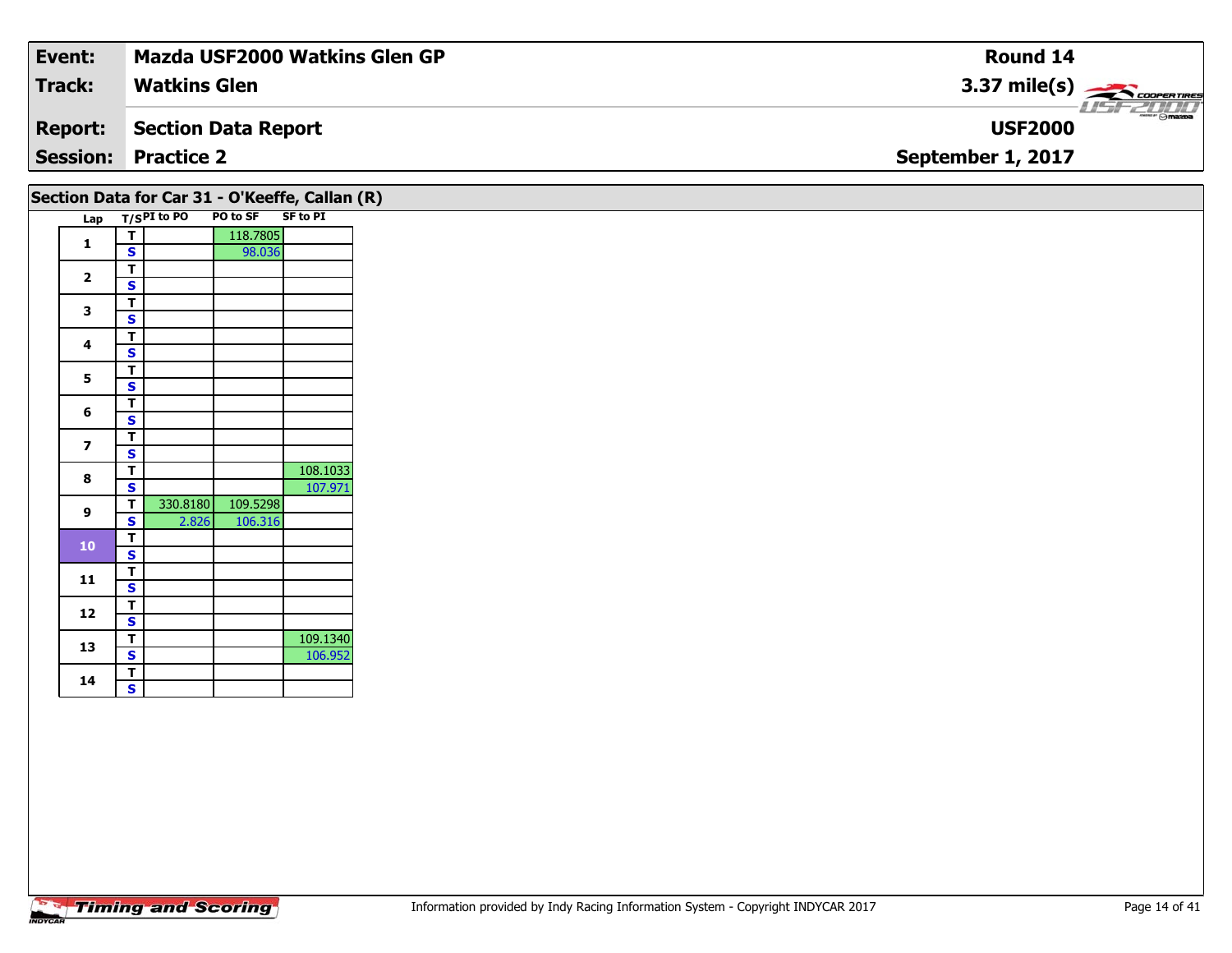| Event:         | <b>Mazda USF2000 Watkins Glen GP</b> | Round 14                                                                                                                                                                                                                                                                                                                                                                                                                                                                                          |
|----------------|--------------------------------------|---------------------------------------------------------------------------------------------------------------------------------------------------------------------------------------------------------------------------------------------------------------------------------------------------------------------------------------------------------------------------------------------------------------------------------------------------------------------------------------------------|
| <b>Track:</b>  | <b>Watkins Glen</b>                  | $3.37 \text{ mile(s)}$                                                                                                                                                                                                                                                                                                                                                                                                                                                                            |
| <b>Report:</b> | Section Data Report                  | $\overline{\phantom{a}}$ $\overline{\phantom{a}}$ $\overline{\phantom{a}}$ $\overline{\phantom{a}}$ $\overline{\phantom{a}}$ $\overline{\phantom{a}}$ $\overline{\phantom{a}}$ $\overline{\phantom{a}}$ $\overline{\phantom{a}}$ $\overline{\phantom{a}}$ $\overline{\phantom{a}}$ $\overline{\phantom{a}}$ $\overline{\phantom{a}}$ $\overline{\phantom{a}}$ $\overline{\phantom{a}}$ $\overline{\phantom{a}}$ $\overline{\phantom{a}}$ $\overline{\phantom{a}}$ $\overline{\$<br><b>USF2000</b> |
|                | <b>Session: Practice 2</b>           | September 1, 2017                                                                                                                                                                                                                                                                                                                                                                                                                                                                                 |
|                |                                      |                                                                                                                                                                                                                                                                                                                                                                                                                                                                                                   |

| T/SPI to PO<br>118.7805<br>т<br>$\mathbf{1}$<br>98.036<br>S<br>T<br>$\mathbf{2}$<br>$\mathbf{s}$<br>T.<br>3<br>$\mathbf{s}$<br>т<br>4<br>S<br>T<br>5<br>S<br>т<br>6<br>S<br>T<br>$\overline{ }$<br>S<br>T<br>8<br>107.971<br>S<br>109.5298<br>330.8180<br>Т<br>9<br>106.316<br>$\mathbf{s}$<br>2.826<br>Т<br>10<br>S<br>Т<br>11<br>$\mathbf{s}$<br>T<br>12<br>$\mathbf{s}$<br>т<br>109.1340<br>13<br>106.952<br>S<br>т |     |  | PO to SF | Section Data for Car 31 - O'Keeffe, Callan (R)<br><b>SF to PI</b> |
|------------------------------------------------------------------------------------------------------------------------------------------------------------------------------------------------------------------------------------------------------------------------------------------------------------------------------------------------------------------------------------------------------------------------|-----|--|----------|-------------------------------------------------------------------|
|                                                                                                                                                                                                                                                                                                                                                                                                                        | Lap |  |          |                                                                   |
|                                                                                                                                                                                                                                                                                                                                                                                                                        |     |  |          |                                                                   |
|                                                                                                                                                                                                                                                                                                                                                                                                                        |     |  |          |                                                                   |
|                                                                                                                                                                                                                                                                                                                                                                                                                        |     |  |          |                                                                   |
|                                                                                                                                                                                                                                                                                                                                                                                                                        |     |  |          |                                                                   |
|                                                                                                                                                                                                                                                                                                                                                                                                                        |     |  |          |                                                                   |
|                                                                                                                                                                                                                                                                                                                                                                                                                        |     |  |          |                                                                   |
|                                                                                                                                                                                                                                                                                                                                                                                                                        |     |  |          |                                                                   |
|                                                                                                                                                                                                                                                                                                                                                                                                                        |     |  |          |                                                                   |
|                                                                                                                                                                                                                                                                                                                                                                                                                        |     |  |          |                                                                   |
|                                                                                                                                                                                                                                                                                                                                                                                                                        |     |  |          |                                                                   |
|                                                                                                                                                                                                                                                                                                                                                                                                                        |     |  |          |                                                                   |
|                                                                                                                                                                                                                                                                                                                                                                                                                        |     |  |          |                                                                   |
|                                                                                                                                                                                                                                                                                                                                                                                                                        |     |  |          |                                                                   |
|                                                                                                                                                                                                                                                                                                                                                                                                                        |     |  |          |                                                                   |
|                                                                                                                                                                                                                                                                                                                                                                                                                        |     |  |          | 108.1033                                                          |
|                                                                                                                                                                                                                                                                                                                                                                                                                        |     |  |          |                                                                   |
|                                                                                                                                                                                                                                                                                                                                                                                                                        |     |  |          |                                                                   |
|                                                                                                                                                                                                                                                                                                                                                                                                                        |     |  |          |                                                                   |
|                                                                                                                                                                                                                                                                                                                                                                                                                        |     |  |          |                                                                   |
|                                                                                                                                                                                                                                                                                                                                                                                                                        |     |  |          |                                                                   |
|                                                                                                                                                                                                                                                                                                                                                                                                                        |     |  |          |                                                                   |
|                                                                                                                                                                                                                                                                                                                                                                                                                        |     |  |          |                                                                   |
|                                                                                                                                                                                                                                                                                                                                                                                                                        |     |  |          |                                                                   |
|                                                                                                                                                                                                                                                                                                                                                                                                                        |     |  |          |                                                                   |
|                                                                                                                                                                                                                                                                                                                                                                                                                        |     |  |          |                                                                   |
|                                                                                                                                                                                                                                                                                                                                                                                                                        |     |  |          |                                                                   |
|                                                                                                                                                                                                                                                                                                                                                                                                                        |     |  |          |                                                                   |
| S                                                                                                                                                                                                                                                                                                                                                                                                                      | 14  |  |          |                                                                   |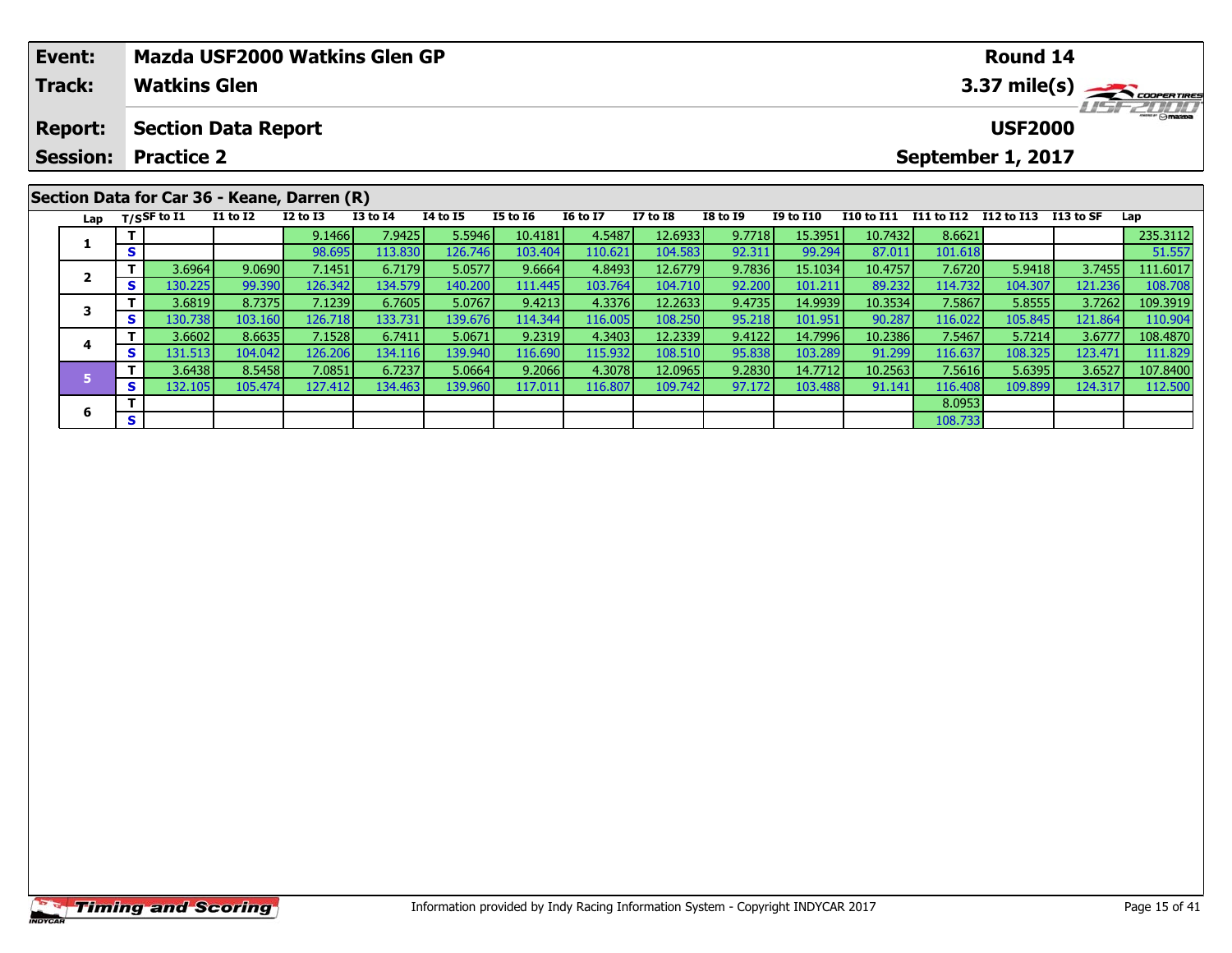|                                                                            | Event: |                                             | <b>Mazda USF2000 Watkins Glen GP</b> |                 |                 |          |                 |                 |                                     |                 |                  |            |            | <b>Round 14</b> |            |                      |  |
|----------------------------------------------------------------------------|--------|---------------------------------------------|--------------------------------------|-----------------|-----------------|----------|-----------------|-----------------|-------------------------------------|-----------------|------------------|------------|------------|-----------------|------------|----------------------|--|
|                                                                            | Track: | <b>Watkins Glen</b>                         |                                      |                 |                 |          |                 |                 |                                     |                 | 3.37 mile(s)     |            |            |                 |            |                      |  |
| <b>Section Data Report</b><br><b>Report:</b><br><b>Session: Practice 2</b> |        |                                             |                                      |                 |                 |          |                 |                 | <b>USF2000</b><br>September 1, 2017 |                 |                  |            |            |                 |            | $\frac{1}{2}$ omazoa |  |
|                                                                            |        | Section Data for Car 36 - Keane, Darren (R) | <b>I1 to I2</b>                      | <b>I2 to I3</b> | <b>I3 to I4</b> | 14 to 15 | <b>I5 to 16</b> | <b>I6 to I7</b> | <b>I7 to I8</b>                     | <b>I8 to 19</b> | <b>I9 to I10</b> | I10 to I11 | I11 to I12 | I12 to I13      | I 13 to SF |                      |  |
|                                                                            |        | Lap $T/SSF$ to I1                           |                                      |                 |                 |          |                 |                 |                                     |                 |                  |            |            |                 |            | Lap                  |  |
|                                                                            |        |                                             |                                      | 9.1466          | 7.9425          | 5.5946   | 10.4181         | 4.5487          | 12.6933                             | 9.7718          | 15.3951          | 10.7432    | 8.6621     |                 |            | 235.3112             |  |
|                                                                            |        | S                                           |                                      | 98.6951         | 113.830         | 126.746  | 103.404         | 110.6211        | 104.583                             | 92.311          | 99.294           | 87.011     | 101.618    |                 |            | 51.557               |  |

2 1 3.6964 9.0690 7.1451 6.7179 5.0577 9.6664 4.8493 12.6779 9.7836 15.1034 10.4757 7.6720 5.9418 3.7455 111.6017<br>2 5 130.225 99.390 126.342 134.579 140.200 111.445 103.764 104.710 92.200 101.211 89.232 114.732 104.307 121

3 T 3.6819 8.7375 7.1239 6.7605 5.0767 9.4213 4.3376 12.2633 9.4735 14.9939 10.3534 7.5867 5.8555 3.7262 109.3919<br>S S 130.738 103.160 126.718 133.731 139.676 114.344 116.005 108.250 95.218 101.951 90.287 116.022 105.845 12

**<sup>T</sup>** 3.6602 8.6635 7.1528 6.7411 5.0671 9.2319 4.3403 12.2339 9.4122 14.7996 10.2386 7.5467 5.7214 3.6777 108.4870 **<sup>S</sup>** 131.513 104.042 126.206 134.116 139.940 116.690 115.932 108.510 95.838 103.289 91.299 116.637 108.325 123.471 111.829

**<sup>T</sup>** 3.6438 8.5458 7.0851 6.7237 5.0664 9.2066 4.3078 12.0965 9.2830 14.7712 10.2563 7.5616 5.6395 3.6527 107.8400 **<sup>S</sup>** 132.105 105.474 127.412 134.463 139.960 117.011 116.807 109.742 97.172 103.488 91.141 116.408 109.899 124.317 112.500

**6 T** 8.0953<br> **S** 108.733

**2**

**3**

**4**

**5**

**6**

108.708<br>109.3919

111.829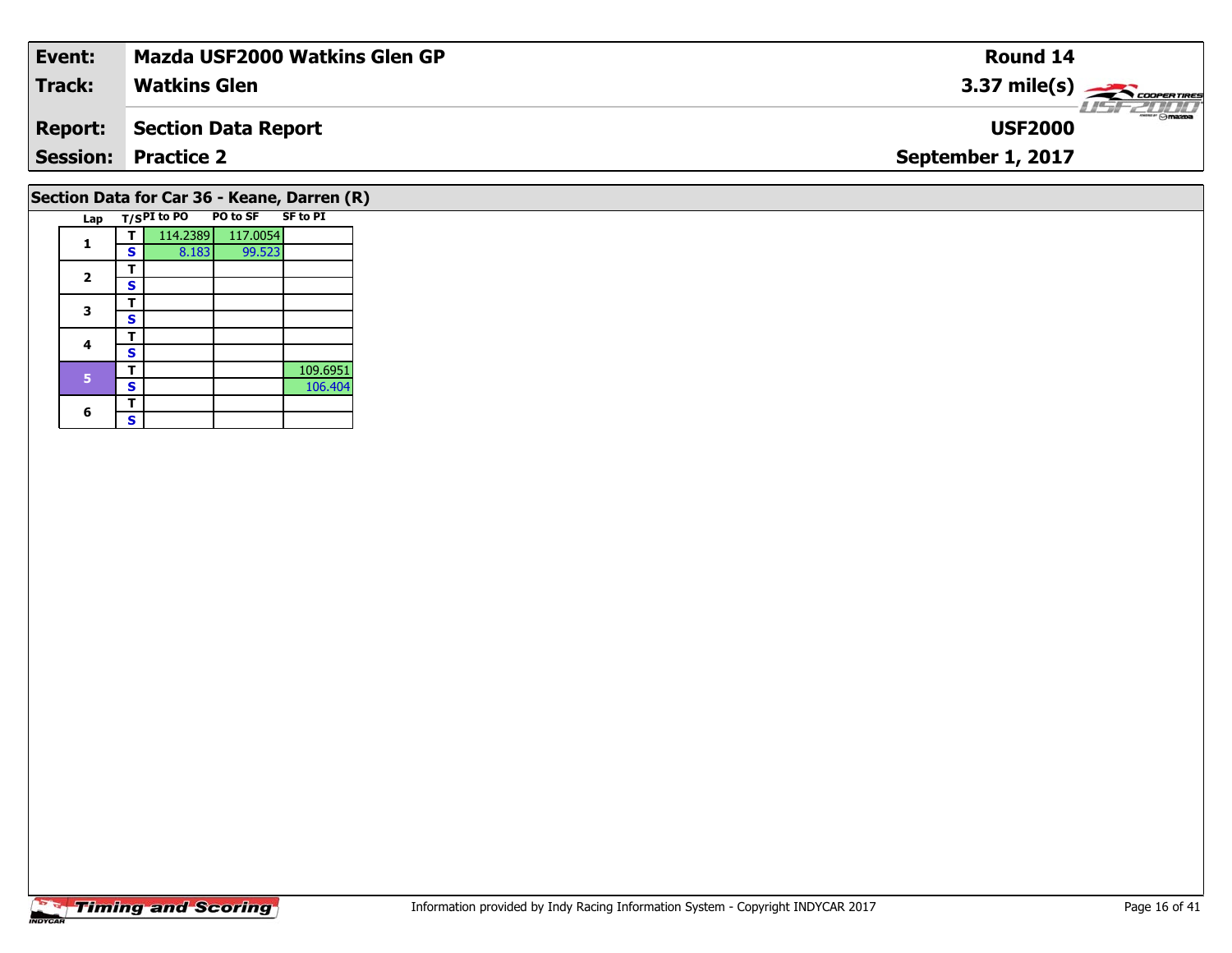| Event:                                      | Mazda USF2000 Watkins Glen GP | Round 14                                          |  |  |  |  |  |  |  |
|---------------------------------------------|-------------------------------|---------------------------------------------------|--|--|--|--|--|--|--|
| <b>Track:</b>                               | <b>Watkins Glen</b>           | 3.37 mile(s) $\frac{1}{\sqrt{2\pi}}$ coorer these |  |  |  |  |  |  |  |
| <b>Report:</b>                              | <b>Section Data Report</b>    | <b>USF2000</b>                                    |  |  |  |  |  |  |  |
|                                             | <b>Session: Practice 2</b>    | September 1, 2017                                 |  |  |  |  |  |  |  |
| Section Data for Car 36 - Keane, Darren (R) |                               |                                                   |  |  |  |  |  |  |  |

### Lap T/S<sup>PI</sup> to PO PO to SF SF to PI **1T** 114.2389 117.0054<br>**S** 8.183 99.523 2  $\frac{1}{s}$  $rac{s}{T}$ 3  $\frac{1}{s}$  $4$   $\frac{1}{s}$ **4** $\overline{\mathbf{s}}$ **T** 109.6951 **S** 106.404 **Section Data for Car 36 - Keane, Darren (R)**

6  $\frac{1}{s}$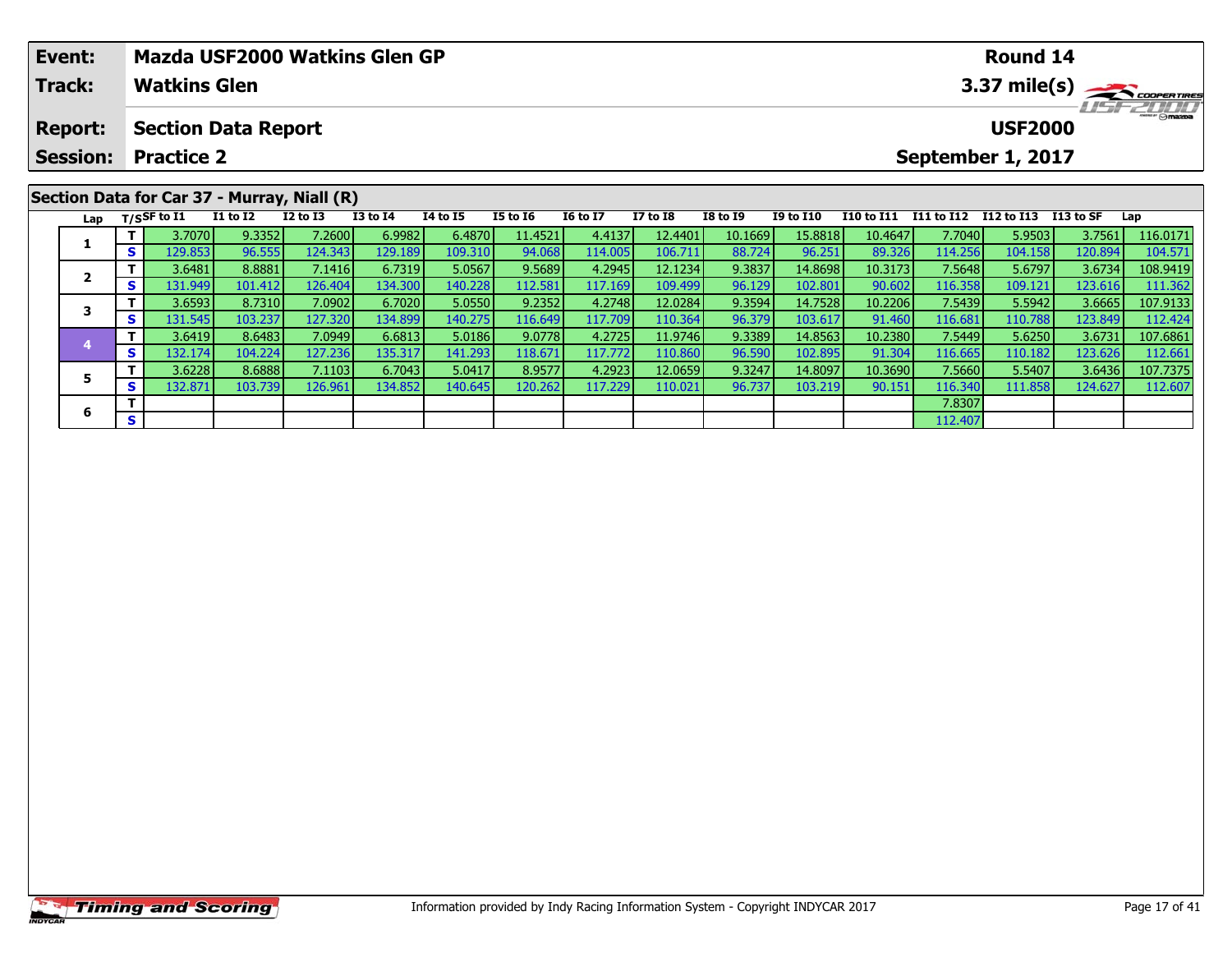| Event:          | Mazda USF2000 Watkins Glen GP |                     |                            |                                                             |              |                 |                 |                 |                 |                 |                  |            |            | <b>Round 14</b>      |         |                        |
|-----------------|-------------------------------|---------------------|----------------------------|-------------------------------------------------------------|--------------|-----------------|-----------------|-----------------|-----------------|-----------------|------------------|------------|------------|----------------------|---------|------------------------|
| <b>Track:</b>   |                               | <b>Watkins Glen</b> |                            |                                                             |              |                 |                 |                 |                 |                 |                  |            |            |                      |         | $3.37 \text{ mile(s)}$ |
| <b>Report:</b>  |                               |                     | <b>Section Data Report</b> |                                                             |              |                 |                 |                 |                 |                 |                  |            |            | <b>USF2000</b>       |         | <b>HSFZUHD</b>         |
| <b>Session:</b> |                               | <b>Practice 2</b>   |                            |                                                             |              |                 |                 |                 |                 |                 |                  |            |            | September 1, 2017    |         |                        |
|                 |                               | Lap $T/SSF$ to I1   | <b>I1 to I2</b>            | Section Data for Car 37 - Murray, Niall (R)<br>$I2$ to $I3$ | $I3$ to $I4$ | <b>I4 to I5</b> | <b>I5 to 16</b> | <b>I6 to I7</b> | <b>I7 to I8</b> | <b>I8 to I9</b> | <b>I9 to I10</b> | I10 to I11 | I11 to I12 | I12 to I13 I13 to SF |         | Lap                    |
|                 |                               | 3.7070              | 9.3352                     | 7.2600                                                      | 6.9982       | 6.4870          | 11.4521         | 4.4137          | 12.4401         | 10.1669         | 15.8818          | 10.4647    | 7.7040     | 5.9503               | 3.7561  | 116.0171               |
|                 | S.                            | 129.853             | 96.555                     | 124.343                                                     | 129.189      | 109.310         | 94.068          | 114.005         | 106.711         | 88.724          | 96.251           | 89.326     | 114.256    | 104.158              | 120.894 | 104.571                |
|                 |                               | 36481               | $R R R R 1$                | 71416                                                       | 67319        | 5.05671         | 9589            | 4.2945          | 121234          | Q 3837          | 14.8698          | 10.3173    | 75648      | 567971               | 36734   | 1089419                |

|   | 3.7070   | 9.3352  | 7.2600   | 6.9982  | 6.4870  | 11.4521 | 4.4137  | 12.4401 | 10.1669 | 15.8818 | 10.4647 | 7.7040 <b>I</b> | 5.9503  | 3.7561  | 116.0171 |
|---|----------|---------|----------|---------|---------|---------|---------|---------|---------|---------|---------|-----------------|---------|---------|----------|
| - | 129.853  | 96.555  | 124.3431 | 129.189 | 109.310 | 94.068  | 114.005 | 106.711 | 88.724  | 96.251  | 89.326  | 114.256         | 104.158 | 120.894 | 104.571  |
|   | 3.6481   | 8.8881  | 7.1416   | 6.7319  | 5.0567  | 9.5689  | 4.2945  | 12.1234 | 9.3837  | 14.8698 | 10.3173 | 7.5648          | 5.6797  | 3.6734  | 108.9419 |
| э | 131.949  | 101.412 | 126.404  | 134.300 | 140.228 | 112.581 | 117.169 | 109.499 | 96.129  | 102.801 | 90.602  | 116.358         | 109.121 | 123.616 | 111.362  |
|   | 3.6593   | 8.7310  | 7.0902   | 6.7020  | 5.0550  | 9.2352  | 4.2748  | 12.0284 | 9.3594  | 14.7528 | 10.2206 | 7.5439          | 5.5942  | 3.6665  | 107.9133 |
| ь | 131.545  | 103.237 | 127.320  | 134.899 | 140.275 | 16.649  | 117.709 | 110.364 | 96.379  | 103.617 | 91.460  | 116.681         | 110.788 | 123.849 | 112.424  |
|   | 3.6419   | 8.6483  | 7.0949   | 6.6813  | 5.0186  | 9.0778  | 4.2725  | 11.9746 | 9.3389  | 14.8563 | 10.2380 | 7.5449 l        | 5.6250  | 3.6731  | 107.6861 |
| s | 132.1741 | 104.224 | 127.236  | 135.317 | 141.293 | 118.671 | 117.772 | 110.860 | 96.590  | 102.895 | 91.304  | 116.665         | 110.182 | 123.626 | 112.661  |
|   | 3.6228   | 8.6888  | 7.1103   | 6.7043  | 5.0417  | 8.9577  | 4.2923  | 12.0659 | 9.3247  | 14.8097 | 10.3690 | 7.5660          | 5.5407  | 3.6436  | 107.7375 |
| s | 132.871  | 103.739 | 126.961  | 134.852 | 140.645 | 120.262 | 117.229 | 110.021 | 96.737  | 103.219 | 90.151  | 116.340         | 111.858 | 124.627 | 112.607  |
|   |          |         |          |         |         |         |         |         |         |         |         | 7.8307          |         |         |          |
|   |          |         |          |         |         |         |         |         |         |         |         | 112.407         |         |         |          |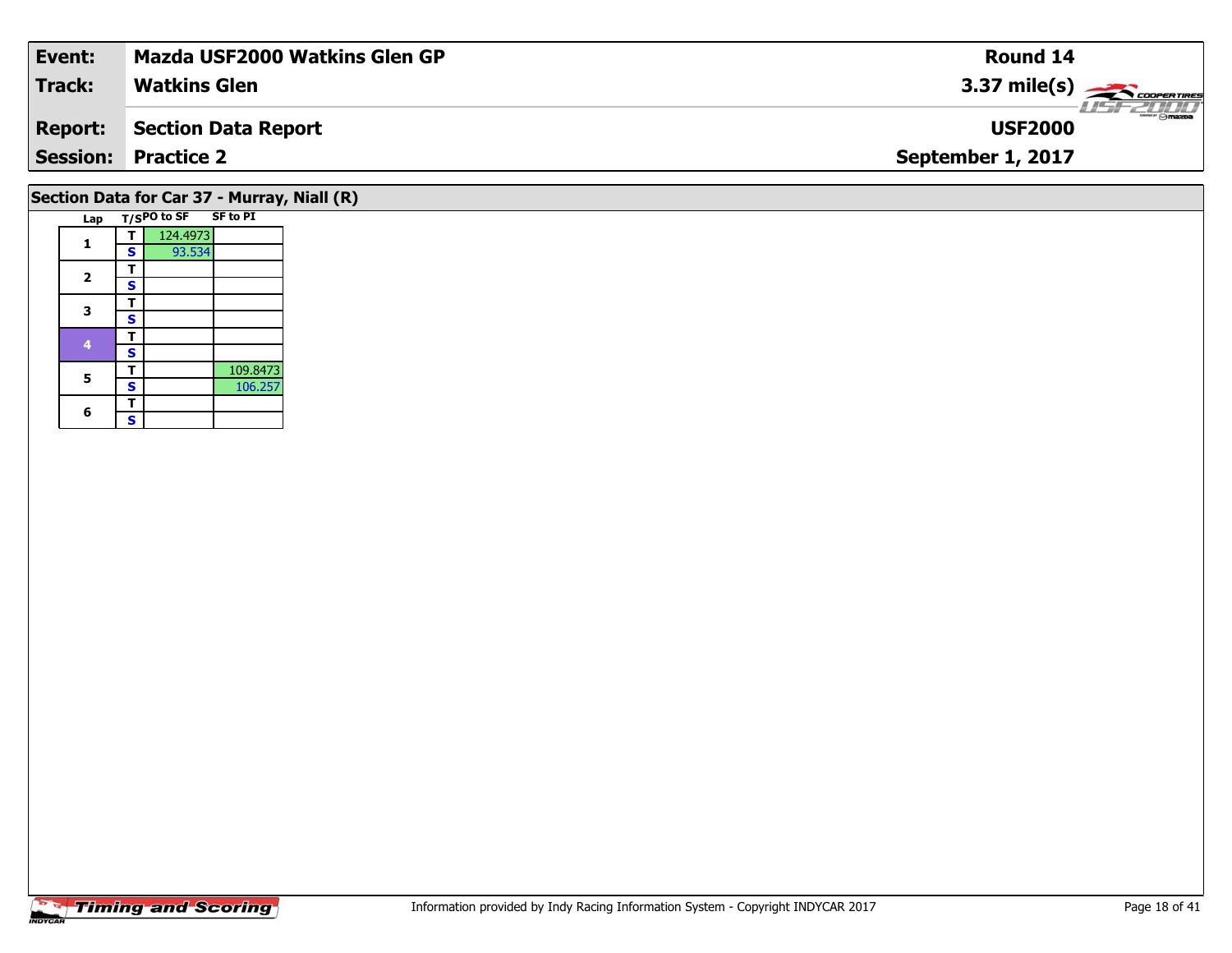| Event:                                      | <b>Mazda USF2000 Watkins Glen GP</b> | Round 14                                                                                                                                                                                                                                                                                                                              |  |  |  |  |  |  |  |  |
|---------------------------------------------|--------------------------------------|---------------------------------------------------------------------------------------------------------------------------------------------------------------------------------------------------------------------------------------------------------------------------------------------------------------------------------------|--|--|--|--|--|--|--|--|
| <b>Track:</b>                               | <b>Watkins Glen</b>                  | $3.37 \text{ mile(s)}$                                                                                                                                                                                                                                                                                                                |  |  |  |  |  |  |  |  |
| <b>Report:</b>                              | <b>Section Data Report</b>           | $\frac{1}{2}$ $\frac{1}{2}$ $\frac{1}{2}$ $\frac{1}{2}$ $\frac{1}{2}$ $\frac{1}{2}$ $\frac{1}{2}$ $\frac{1}{2}$ $\frac{1}{2}$ $\frac{1}{2}$ $\frac{1}{2}$ $\frac{1}{2}$ $\frac{1}{2}$ $\frac{1}{2}$ $\frac{1}{2}$ $\frac{1}{2}$ $\frac{1}{2}$ $\frac{1}{2}$ $\frac{1}{2}$ $\frac{1}{2}$ $\frac{1}{2}$ $\frac{1}{2}$<br><b>USF2000</b> |  |  |  |  |  |  |  |  |
|                                             | <b>Session: Practice 2</b>           | September 1, 2017                                                                                                                                                                                                                                                                                                                     |  |  |  |  |  |  |  |  |
| Section Data for Car 37 - Murray, Niall (R) |                                      |                                                                                                                                                                                                                                                                                                                                       |  |  |  |  |  |  |  |  |

| Lap          |             | T/SPO to SF SF to PI |          |
|--------------|-------------|----------------------|----------|
|              |             | 124.4973             |          |
|              | S           | 93.534               |          |
|              |             |                      |          |
| $\mathbf{2}$ | S           |                      |          |
|              |             |                      |          |
| з            | S           |                      |          |
|              |             |                      |          |
| 4            | S           |                      |          |
| 5            | т           |                      | 109.8473 |
|              | $\mathbf s$ |                      | 106.257  |
|              |             |                      |          |
| 6            | S           |                      |          |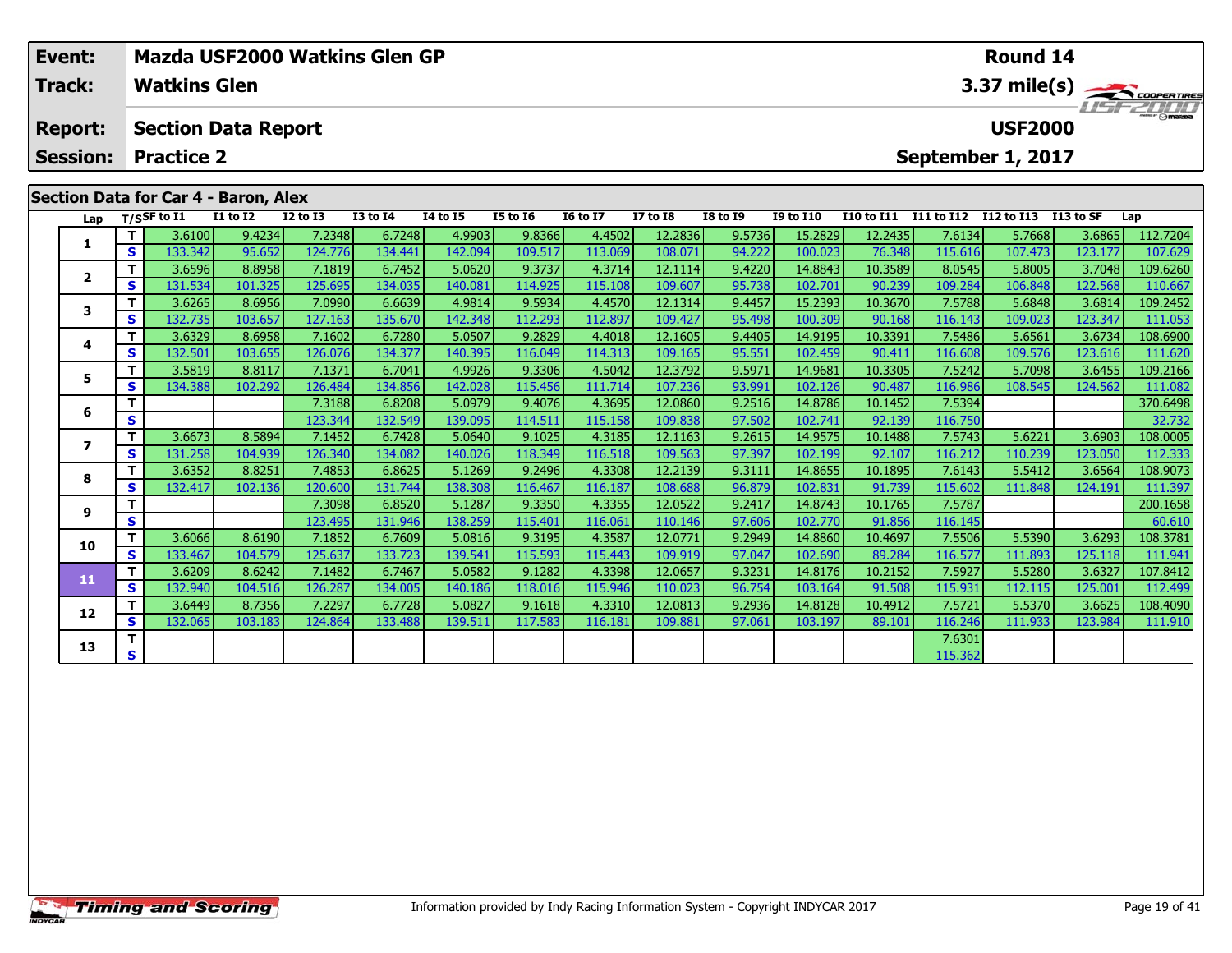| Event:          |    |                     |                                      |                 | Mazda USF2000 Watkins Glen GP |                 |                 |                 |                 |                 |                  |                                     |            | Round 14          |            |          |  |  |
|-----------------|----|---------------------|--------------------------------------|-----------------|-------------------------------|-----------------|-----------------|-----------------|-----------------|-----------------|------------------|-------------------------------------|------------|-------------------|------------|----------|--|--|
| <b>Track:</b>   |    | <b>Watkins Glen</b> |                                      |                 |                               |                 |                 |                 |                 |                 |                  | $3.37 \text{ mile(s)}$<br>1151-2000 |            |                   |            |          |  |  |
| <b>Report:</b>  |    |                     | <b>Section Data Report</b>           |                 |                               |                 |                 |                 |                 |                 |                  |                                     |            | <b>USF2000</b>    |            |          |  |  |
| <b>Session:</b> |    | <b>Practice 2</b>   |                                      |                 |                               |                 |                 |                 |                 |                 |                  |                                     |            | September 1, 2017 |            |          |  |  |
|                 |    |                     | Section Data for Car 4 - Baron, Alex |                 |                               |                 |                 |                 |                 |                 |                  |                                     |            |                   |            |          |  |  |
|                 |    | Lap $T/SSF$ to I1   | <b>I1 to I2</b>                      | <b>I2 to I3</b> | <b>I3 to I4</b>               | <b>I4 to I5</b> | <b>I5 to 16</b> | <b>16 to 17</b> | <b>I7 to I8</b> | <b>I8 to I9</b> | <b>I9 to I10</b> | <b>I10 to I11</b>                   | I11 to I12 | I12 to I13        | I 13 to SF | Lap      |  |  |
|                 |    | 3.6100              | 9.4234                               | 7.2348          | 6.7248                        | 4.9903          | 9.8366          | 4.4502          | 12.2836         | 9.5736          | 15.2829          | 12.2435                             | 7.6134     | 5.7668            | 3.6865     | 112.7204 |  |  |
|                 | S  | 133.342             | 95.652                               | 124.776         | 134.441                       | 142.094         | 109.517         | 113.069         | 108.071         | 94.222          | 100.023          | 76.348                              | 115.616    | 107.473           | 123.177    | 107.629  |  |  |
|                 |    | 3.6596              | 8.8958                               | 7.1819          | 6.7452                        | 5.0620          | 9.3737          | 4.3714          | 12.1114         | 9.4220          | 14.8843          | 10.3589                             | 8.0545     | 5.8005            | 3.7048     | 109.6260 |  |  |
|                 | S. | 131.534             | 101.325                              | 125.695         | 134.035                       | 140.081         | 114.925         | 115.108         | 109.607         | 95.738          | 102.701          | 90.239                              | 109.284    | 106.848           | 122.568    | 110.667  |  |  |
|                 |    | 3.6265              | 8.6956                               | 7.0990          | 6.6639                        | 4.9814          | 9.5934          | 4.4570          | 12.1314         | 9.4457          | 15.2393          | 10.3670                             | 7.5788     | 5.6848            | 3.6814     | 109.2452 |  |  |
|                 | S. | 132.735             | 103.657                              | 127.163         | 135.670                       | 142.348         | 112.293         | 112.897         | 109.427         | 95.498          | 100.309          | 90.168                              | 116.143    | 109.023           | 123.347    | 111.053  |  |  |
|                 |    | 3.6329              | 8.6958                               | 7.1602          | 6.7280                        | 5.0507          | 9.2829          | 4.4018          | 12.1605         | 9.4405          | 14.9195          | 10.3391                             | 7.5486     | 5.6561            | 3.6734     | 108.6900 |  |  |
|                 | S. | 132.501             | 103.655                              | 126.076         | 134.377                       | 140.395         | 116.049         | 114.313         | 109.165         | 95.551          | 102.459          | 90.411                              | 116,608    | 109.576           | 123.616    | 111.620  |  |  |

**<sup>T</sup>** 3.5819 8.8117 7.1371 6.7041 4.9926 9.3306 4.5042 12.3792 9.5971 14.9681 10.3305 7.5242 5.7098 3.6455 109.2166 **<sup>S</sup>** 134.388 102.292 126.484 134.856 142.028 115.456 111.714 107.236 93.991 102.126 90.487 116.986 108.545 124.562 111.082

**<sup>T</sup>** 7.3188 6.8208 5.0979 9.4076 4.3695 12.0860 9.2516 14.8786 10.1452 7.5394 370.6498 **<sup>S</sup>** 123.344 132.549 139.095 114.511 115.158 109.838 97.502 102.741 92.139 116.750 32.732

7 | T | 3.6673 | 8.5894 | 7.1452 | 6.7428 | 5.0640 | 9.1025 | 4.3185 | 12.1163 | 9.2615 | 14.9575 | 10.1488 | 7.5743 | 5.6221 | 3.6903 |108.0005<br>7 | S | 131.258 | 104.939 | 126.340 | 134.082 | 140.026 | 118.349 | 116.518 |

**<sup>T</sup>** 3.6352 8.8251 7.4853 6.8625 5.1269 9.2496 4.3308 12.2139 9.3111 14.8655 10.1895 7.6143 5.5412 3.6564 108.9073 **<sup>S</sup>** 132.417 102.136 120.600 131.744 138.308 116.467 116.187 108.688 96.879 102.831 91.739 115.602 111.848 124.191 111.397

**<sup>T</sup>** 7.3098 6.8520 5.1287 9.3350 4.3355 12.0522 9.2417 14.8743 10.1765 7.5787 200.1658 **<sup>S</sup>** 123.495 131.946 138.259 115.401 116.061 110.146 97.606 102.770 91.856 116.145 60.610

**<sup>T</sup>** 3.6066 8.6190 7.1852 6.7609 5.0816 9.3195 4.3587 12.0771 9.2949 14.8860 10.4697 7.5506 5.5390 3.6293 108.3781 **<sup>S</sup>** 133.467 104.579 125.637 133.723 139.541 115.593 115.443 109.919 97.047 102.690 89.284 116.577 111.893 125.118 111.941

**<sup>T</sup>** 3.6209 8.6242 7.1482 6.7467 5.0582 9.1282 4.3398 12.0657 9.3231 14.8176 10.2152 7.5927 5.5280 3.6327 107.8412 **<sup>S</sup>** 132.940 104.516 126.287 134.005 140.186 118.016 115.946 110.023 96.754 103.164 91.508 115.931 112.115 125.001 112.499

2 T 3.6449 8.7356 7.2297 6.7728 5.0827 9.1618 4.3310 12.0813 9.2936 14.8128 10.4912 7.5721 5.5370 3.6625 108.4090<br>2 S 132.065 103.183 124.864 133.488 139.511 117.583 116.181 109.881 97.061 103.197 89.101 116.246 111.933 12

**T** 7.6301 **S** 1 7.6301 **S** 2.6301

### **Timing and Scoring**

**5**

**6**

**7**

**8**

**9**

**10**

**11**

**12**

**13**

111.620

60.610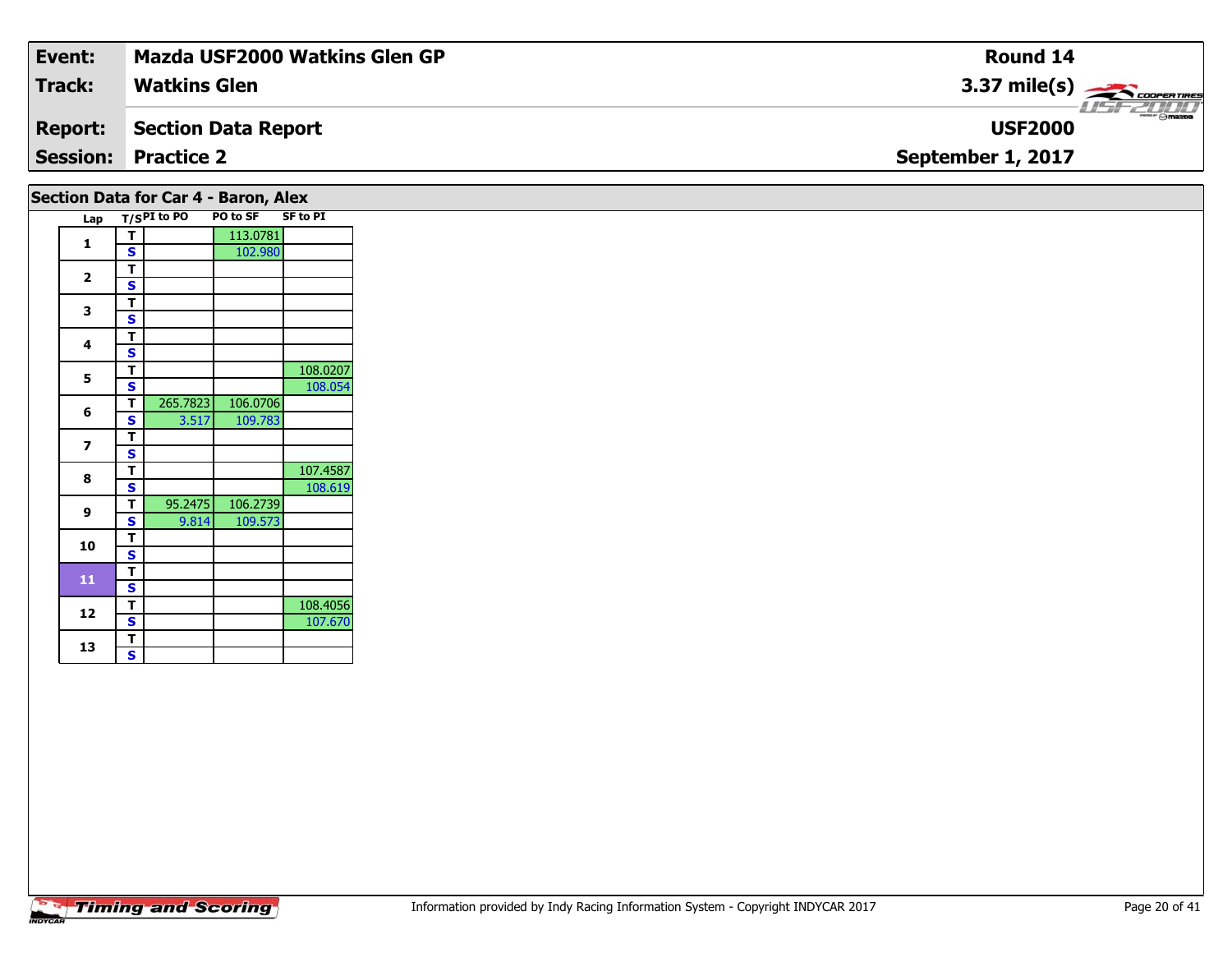| Event:                               | Mazda USF2000 Watkins Glen GP | <b>Round 14</b>                    |  |  |  |  |  |  |  |  |
|--------------------------------------|-------------------------------|------------------------------------|--|--|--|--|--|--|--|--|
| <b>Track:</b>                        | <b>Watkins Glen</b>           | $3.37 \text{ mile(s)}$             |  |  |  |  |  |  |  |  |
| <b>Report:</b>                       | Section Data Report           | <b>LISF 2000</b><br><b>USF2000</b> |  |  |  |  |  |  |  |  |
|                                      | <b>Session: Practice 2</b>    | September 1, 2017                  |  |  |  |  |  |  |  |  |
| Section Data for Car 4 - Baron, Alex |                               |                                    |  |  |  |  |  |  |  |  |

| Lap                     |   | $T/S$ PI to PO | PO to SF | <b>SF to PI</b> |
|-------------------------|---|----------------|----------|-----------------|
|                         | т |                | 113.0781 |                 |
| 1                       | S |                | 102.980  |                 |
|                         | т |                |          |                 |
| $\overline{\mathbf{2}}$ | S |                |          |                 |
| 3                       | т |                |          |                 |
|                         | Ś |                |          |                 |
| 4                       | т |                |          |                 |
|                         | S |                |          |                 |
| 5                       | т |                |          | 108.0207        |
|                         | S |                |          | 108.054         |
| 6                       | Т | 265.7823       | 106.0706 |                 |
|                         | S | 3.517          | 109.783  |                 |
| 7                       | т |                |          |                 |
|                         | S |                |          |                 |
| 8                       | Т |                |          | 107.4587        |
|                         | S |                |          | 108.619         |
| 9                       | т | 95.2475        | 106.2739 |                 |
|                         | S | 9.814          | 109.573  |                 |
| 10                      | т |                |          |                 |
|                         | S |                |          |                 |
| 11                      | т |                |          |                 |
|                         | Š |                |          |                 |
| 12                      | Т |                |          | 108.4056        |
|                         | S |                |          | 107.670         |
| 13                      | Т |                |          |                 |
|                         | S |                |          |                 |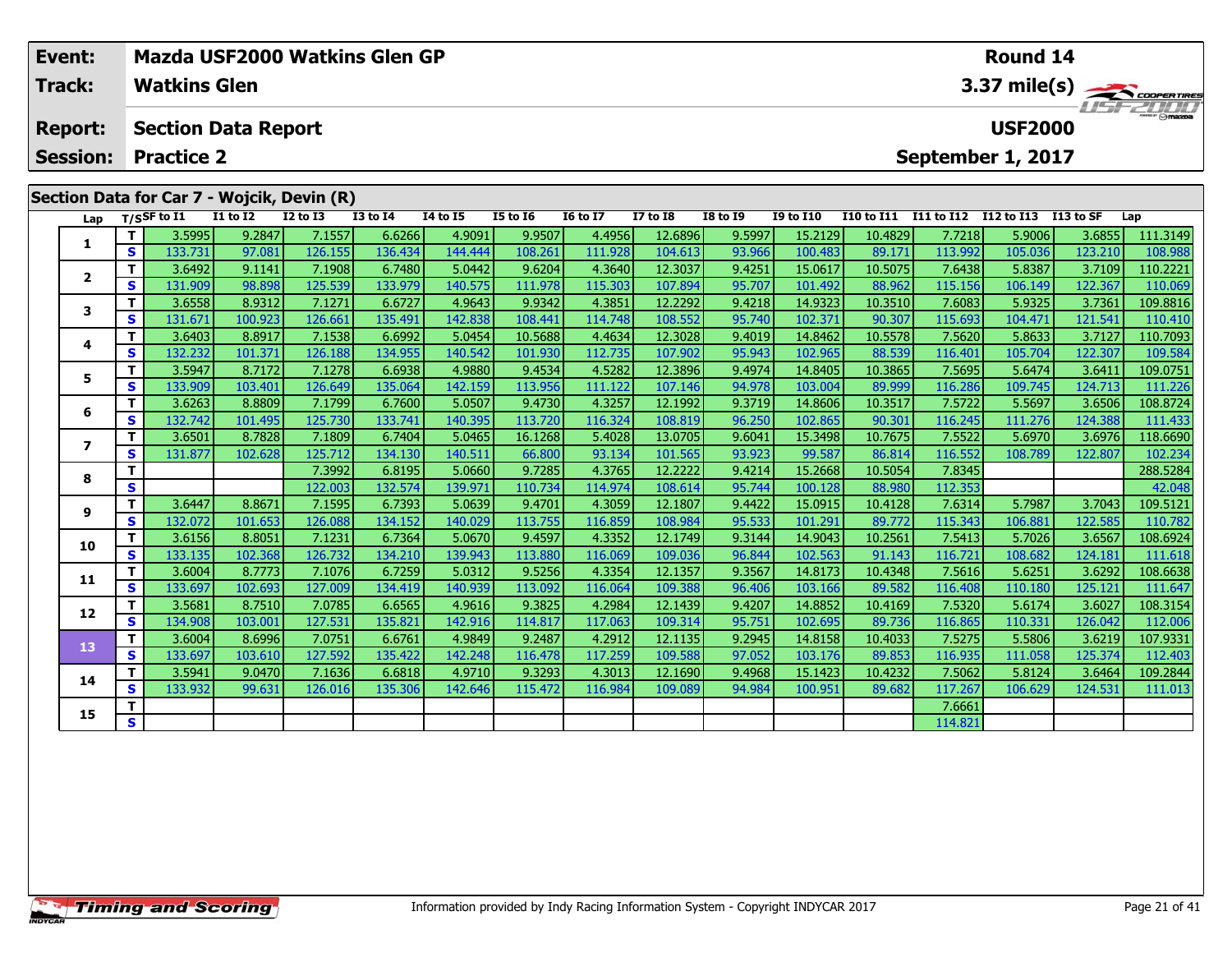| Event:          |          | Mazda USF2000 Watkins Glen GP              |                   |                   |                   |                   |                   |                   | Round 14           |                  |                    |                   |                   |                   |                   |                                       |
|-----------------|----------|--------------------------------------------|-------------------|-------------------|-------------------|-------------------|-------------------|-------------------|--------------------|------------------|--------------------|-------------------|-------------------|-------------------|-------------------|---------------------------------------|
| Track:          |          | <b>Watkins Glen</b>                        |                   |                   |                   |                   |                   |                   |                    |                  |                    |                   |                   |                   |                   | 3.37 mile(s)                          |
| <b>Report:</b>  |          | <b>Section Data Report</b>                 |                   |                   |                   |                   |                   |                   |                    |                  |                    |                   |                   | <b>USF2000</b>    |                   | $\frac{2}{\sqrt{2}}$ of $\frac{1}{2}$ |
| <b>Session:</b> |          | <b>Practice 2</b>                          |                   |                   |                   |                   |                   |                   |                    |                  |                    |                   |                   | September 1, 2017 |                   |                                       |
|                 |          | Section Data for Car 7 - Wojcik, Devin (R) |                   |                   |                   |                   |                   |                   |                    |                  |                    |                   |                   |                   |                   |                                       |
| Lap             |          | $T/S$ SF to I1                             | <b>I1 to I2</b>   | <b>I2 to I3</b>   | <b>I3 to I4</b>   | 14 to 15          | <b>I5 to 16</b>   | <b>16 to 17</b>   | <b>I7 to I8</b>    | I8 to I9         | <b>I9 to I10</b>   | <b>I10 to I11</b> | I11 to I12        | I12 to I13        | <b>I13 to SF</b>  | Lap                                   |
| 1               | Τ.       | 3.5995                                     | 9.2847            | 7.1557            | 6.6266            | 4.9091            | 9.9507            | 4.4956            | 12.6896            | 9.5997           | 15.2129            | 10.4829           | 7.7218            | 5.9006            | 3.6855            | 111.3149                              |
|                 | S.       | 133.731                                    | 97.081            | 126.155           | 136.434           | 144.444           | 108.261           | 111.928           | 104.613            | 93.966           | 100.483            | 89.171            | 113.992           | 105.036           | 123.210           | 108.988                               |
| $\overline{2}$  | T.       | 3.6492                                     | 9.1141            | 7.1908            | 6.7480            | 5.0442            | 9.6204            | 4.3640            | 12.3037            | 9.4251           | 15.0617            | 10.5075           | 7.6438            | 5.8387            | 3.7109            | 110.2221                              |
|                 | S        | 131.909                                    | 98.898            | 125.539           | 133.979           | 140.575           | 111.978           | 115.303           | 107.894            | 95.707           | 101.492            | 88.962            | 115.156           | 106.149           | 122.367           | 110.069                               |
| 3               | T.       | 3.6558                                     | 8.9312            | 7.1271            | 6.6727            | 4.9643            | 9.9342            | 4.3851            | 12.2292            | 9.4218           | 14.9323            | 10.3510           | 7.6083            | 5.9325            | 3.7361            | 109.8816                              |
|                 | S.       | 131.671                                    | 100.923           | 126.661           | 135.491           | 142.838           | 108.441           | 114.748           | 108.552            | 95.740           | 102.371            | 90.307            | 115.693           | 104.471           | 121.541           | 110.410                               |
| 4               | Τ.       | 3.6403                                     | 8.8917            | 7.1538            | 6.6992            | 5.0454            | 10.5688           | 4.4634            | 12.3028            | 9.4019           | 14.8462            | 10.5578           | 7.5620            | 5.8633            | 3.7127            | 110.7093                              |
|                 | S        | 132.232                                    | 101.371           | 126.188           | 134.955           | 140.542           | 101.930           | 112.735           | 107.902            | 95.943           | 102.965            | 88.539            | 116.401           | 105.704           | 122.307           | 109.584                               |
| 5               | Τ.<br>S. | 3.5947<br>133.909                          | 8.7172<br>103.401 | 7.1278<br>126.649 | 6.6938<br>135.064 | 4.9880<br>142.159 | 9.4534            | 4.5282<br>111.122 | 12.3896<br>107.146 | 9.4974           | 14.8405<br>103.004 | 10.3865           | 7.5695<br>116.286 | 5.6474<br>109.745 | 3.6411<br>124.713 | 109.0751<br>111.226                   |
|                 | т.       | 3.6263                                     | 8.8809            | 7.1799            | 6.7600            | 5.0507            | 113.956<br>9.4730 | 4.3257            | 12.1992            | 94.978<br>9.3719 | 14.8606            | 89.999<br>10.3517 | 7.5722            | 5.5697            | 3.6506            | 108.8724                              |
| 6               | S.       | 132.742                                    | 101.495           | 125.730           | 133.741           | 140.395           | 113.720           | 116.324           | 108.819            | 96.250           | 102.865            | 90.301            | 116.245           | 111.276           | 124.388           | 111.433                               |
|                 | т.       | 3.6501                                     | 8.7828            | 7.1809            | 6.7404            | 5.0465            | 16.1268           | 5.4028            | 13.0705            | 9.6041           | 15.3498            | 10.7675           | 7.5522            | 5.6970            | 3.6976            | 118.6690                              |
| $\overline{ }$  | S.       | 131.877                                    | 102.628           | 125.712           | 134.130           | 140.511           | 66.800            | 93.134            | 101.565            | 93.923           | 99.587             | 86.814            | 116.552           | 108.789           | 122.807           | 102.234                               |
|                 | т        |                                            |                   | 7.3992            | 6.8195            | 5.0660            | 9.7285            | 4.3765            | 12.2222            | 9.4214           | 15.2668            | 10.5054           | 7.8345            |                   |                   | 288.5284                              |
| 8               | S.       |                                            |                   | 122.003           | 132.574           | 139.971           | 110.734           | 114.974           | 108.614            | 95.744           | 100.128            | 88.980            | 112.353           |                   |                   | 42.048                                |
|                 | т        | 3.6447                                     | 8.8671            | 7.1595            | 6.7393            | 5.0639            | 9.4701            | 4.3059            | 12.1807            | 9.4422           | 15.0915            | 10.4128           | 7.6314            | 5.7987            | 3.7043            | 109.5121                              |
| 9               | S.       | 132.072                                    | 101.653           | 126.088           | 134.152           | 140.029           | 113.755           | 116.859           | 108.984            | 95.533           | 101.291            | 89.772            | 115.343           | 106.881           | 122.585           | 110.782                               |
|                 | T.       | 3.6156                                     | 8.8051            | 7.1231            | 6.7364            | 5.0670            | 9.4597            | 4.3352            | 12.1749            | 9.3144           | 14.9043            | 10.2561           | 7.5413            | 5.7026            | 3.6567            | 108.6924                              |
| 10              | S        | 133.135                                    | 102.368           | 126.732           | 134.210           | 139.943           | 113.880           | 116.069           | 109.036            | 96.844           | 102.563            | 91.143            | 116.721           | 108.682           | 124.181           | 111.618                               |
|                 |          |                                            |                   |                   |                   |                   |                   |                   |                    |                  |                    |                   |                   |                   |                   |                                       |

**11**

**12**

**13**

**14**

**15**

**<sup>T</sup>** 3.6004 8.7773 7.1076 6.7259 5.0312 9.5256 4.3354 12.1357 9.3567 14.8173 10.4348 7.5616 5.6251 3.6292 108.6638 **<sup>S</sup>** 133.697 102.693 127.009 134.419 140.939 113.092 116.064 109.388 96.406 103.166 89.582 116.408 110.180 125.121 111.647

2 | T | 3.5681 | 8.7510| 7.0785| 6.6565| 4.9616| 9.3825| 4.2984| 12.1439| 9.4207| 14.8852| 10.4169| 7.5320| 5.6174| 3.6027| 108.3154<br>| S | 134.908| 103.001| 127.531| 135.821| 142.916| 114.817| 117.063| 109.314| 95.751| 102

3 T 3.6004 8.6996 7.0751 6.6761 4.9849 9.2487 4.2912 12.1135 9.2945 14.8158 10.4033 7.5275 5.5806 3.6219 107.9331<br>S 133.697 103.610 127.592 135.422 142.248 116.478 117.259 109.588 97.052 103.176 89.853 116.935 111.058 125.

4 | **T** | 3.5941 | 9.0470 | 7.1636 | 6.6818 | 4.9710 | 9.3293 | 4.3013 | 12.1690 | 9.4968 | 15.1423 | 10.4232 | 7.5062 | 5.8124 | 3.6464 |109.2844<br>- S | 133.932 | 99.631 | 126.016 | 135.306 | 142.646 | 115.472 | 116.984 |

**T** 7.6661<br> **S S** 114.821

112.403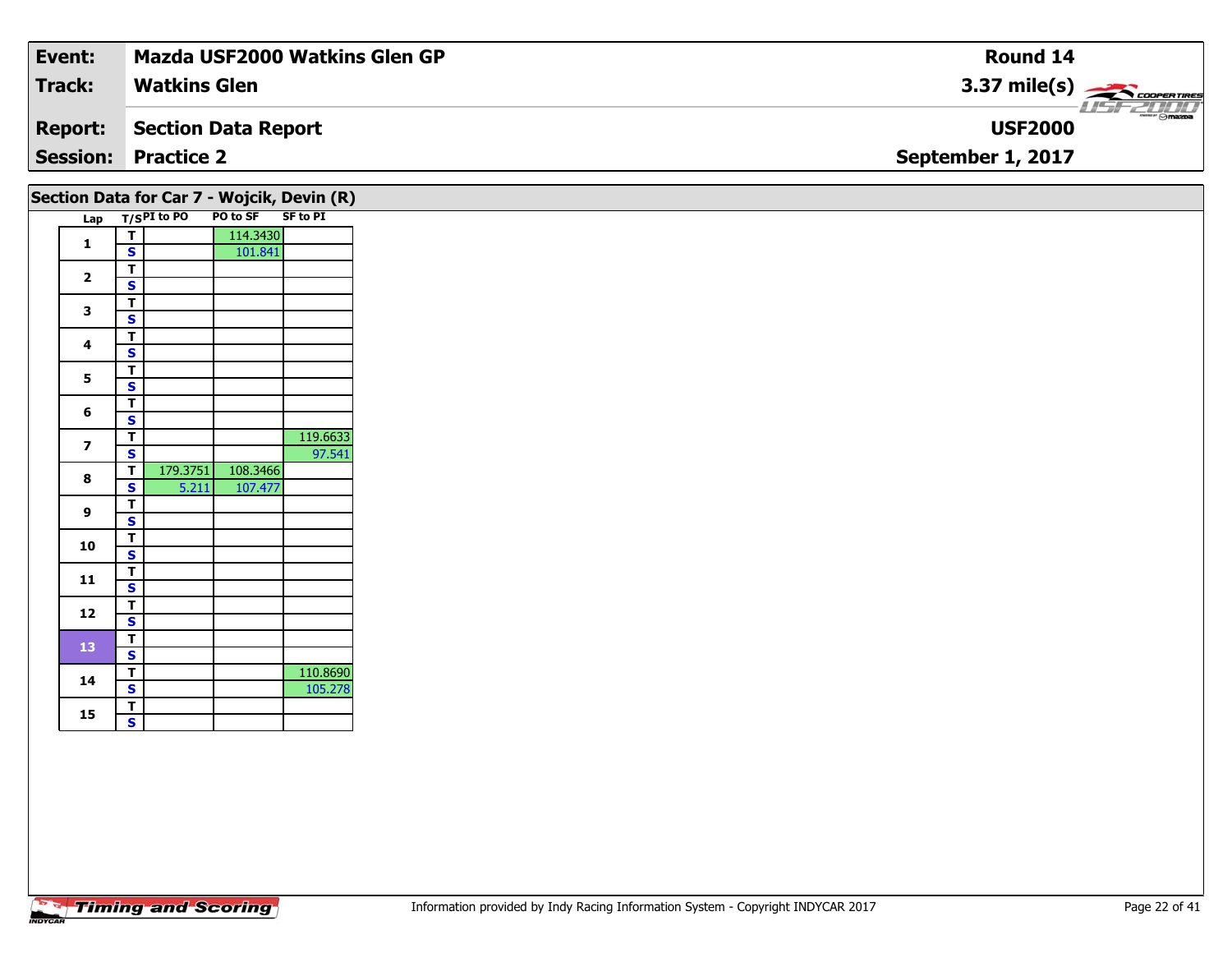| Event:                                        | Mazda USF2000 Watkins Glen GP | <b>Round 14</b>                             |  |  |  |  |  |  |  |  |
|-----------------------------------------------|-------------------------------|---------------------------------------------|--|--|--|--|--|--|--|--|
| <b>Track:</b>                                 | <b>Watkins Glen</b>           | $3.37 \text{ mile(s)}$                      |  |  |  |  |  |  |  |  |
| <b>Report:</b>                                | Section Data Report           | $\epsilon$ $\theta$ mazoa<br><b>USF2000</b> |  |  |  |  |  |  |  |  |
| <b>Session:</b>                               | <b>Practice 2</b>             | September 1, 2017                           |  |  |  |  |  |  |  |  |
| Section Data for Car $7$ - Wojcik Devin $(R)$ |                               |                                             |  |  |  |  |  |  |  |  |

|  | Lap                     |                         | T/SPI to PO | PO to SF | <b>SF to PI</b> |
|--|-------------------------|-------------------------|-------------|----------|-----------------|
|  | 1                       | T                       |             | 114.3430 |                 |
|  |                         | $\mathbf{s}$            |             | 101.841  |                 |
|  | $\overline{\mathbf{2}}$ | T                       |             |          |                 |
|  |                         | $\mathbf s$             |             |          |                 |
|  | 3                       | T                       |             |          |                 |
|  |                         | $\mathbf s$             |             |          |                 |
|  |                         | $\overline{\mathsf{r}}$ |             |          |                 |
|  | $\overline{\mathbf{4}}$ | $\overline{\mathbf{s}}$ |             |          |                 |
|  |                         | T                       |             |          |                 |
|  | 5                       | $\overline{\mathbf{s}}$ |             |          |                 |
|  |                         | T                       |             |          |                 |
|  | 6                       | $\mathbf{s}$            |             |          |                 |
|  | $\overline{ }$          | Ŧ                       |             |          | 119.6633        |
|  |                         | $\mathbf s$             |             |          | 97.541          |
|  | 8                       | T                       | 179.3751    | 108.3466 |                 |
|  |                         | $\overline{\mathbf{s}}$ | 5.211       | 107.477  |                 |
|  | 9                       | T                       |             |          |                 |
|  |                         | $\overline{\mathbf{s}}$ |             |          |                 |
|  |                         | Ŧ                       |             |          |                 |
|  | 10                      | $\overline{\mathbf{s}}$ |             |          |                 |
|  |                         | T                       |             |          |                 |
|  | 11                      | $\overline{\mathbf{s}}$ |             |          |                 |
|  |                         | T                       |             |          |                 |
|  | 12                      | $\overline{\mathbf{s}}$ |             |          |                 |
|  |                         | T                       |             |          |                 |
|  | 13                      | $\overline{\mathbf{s}}$ |             |          |                 |
|  |                         | Ŧ                       |             |          | 110.8690        |
|  | 14                      | $\mathbf{s}$            |             |          | 105.278         |
|  |                         | T                       |             |          |                 |
|  | 15                      | S                       |             |          |                 |
|  |                         |                         |             |          |                 |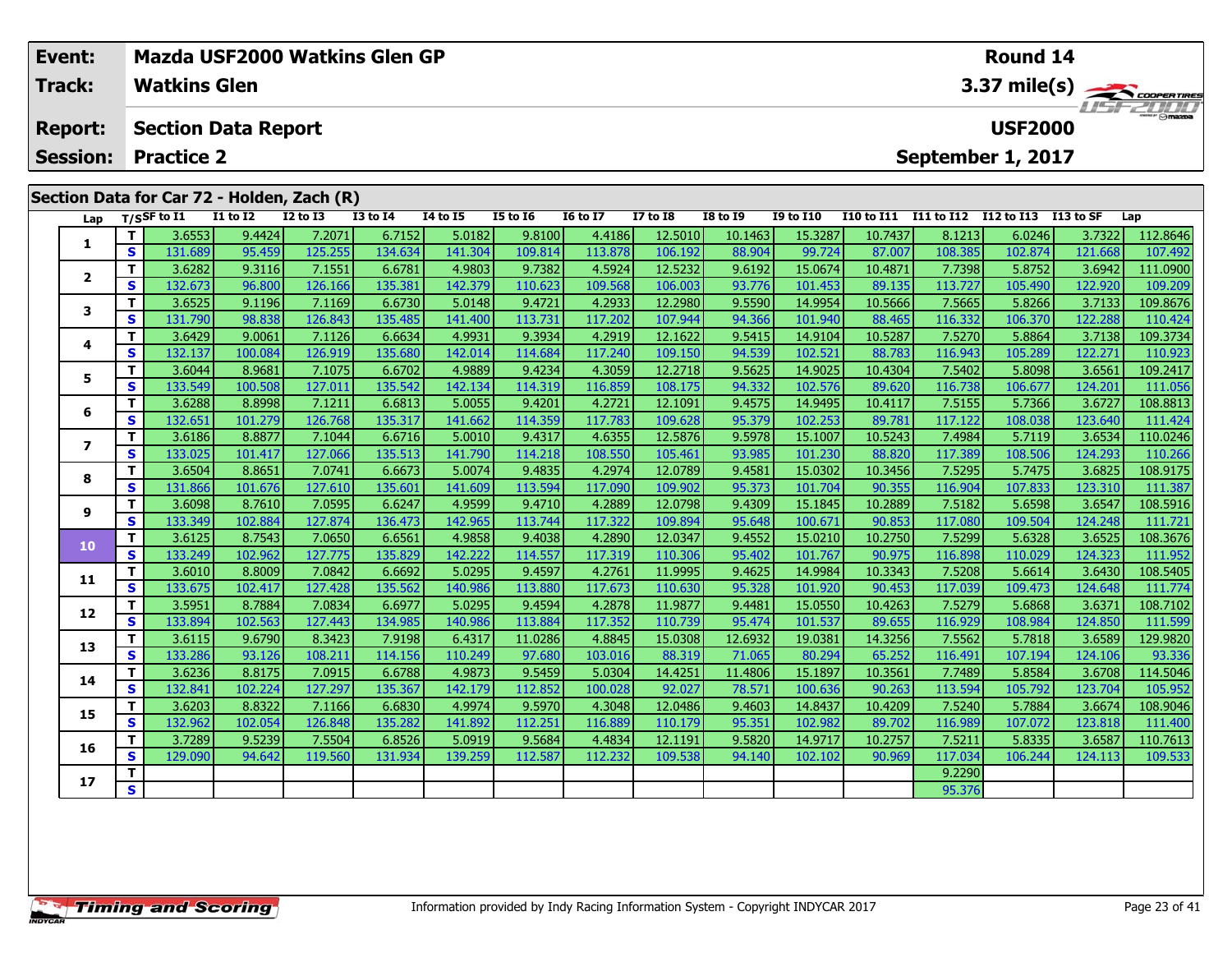| Event:<br>Track: |         | Mazda USF2000 Watkins Glen GP<br><b>Watkins Glen</b> |                   |                   |                   |                   | Round 14<br>$3.37 \text{ mile(s)}$ |                   |                    |                  |                    |                       |                   |                      |                   |                     |
|------------------|---------|------------------------------------------------------|-------------------|-------------------|-------------------|-------------------|------------------------------------|-------------------|--------------------|------------------|--------------------|-----------------------|-------------------|----------------------|-------------------|---------------------|
| <b>Report:</b>   |         | <b>Section Data Report</b>                           |                   |                   |                   |                   |                                    |                   |                    |                  |                    |                       |                   | <b>USF2000</b>       |                   |                     |
| <b>Session:</b>  |         | <b>Practice 2</b>                                    |                   |                   |                   |                   |                                    |                   |                    |                  |                    |                       |                   | September 1, 2017    |                   |                     |
|                  |         | Section Data for Car 72 - Holden, Zach (R)           |                   |                   |                   |                   |                                    |                   |                    |                  |                    |                       |                   |                      |                   |                     |
| Lap              |         | $T/S$ SF to $I1$                                     | <b>I1 to I2</b>   | <b>I2 to I3</b>   | <b>I3 to I4</b>   | <b>14 to 15</b>   | <b>I5 to 16</b>                    | <b>16 to 17</b>   | <b>I7 to I8</b>    | <b>I8 to I9</b>  | <b>I9 to I10</b>   | I10 to I11 I11 to I12 |                   | I12 to I13 I13 to SF |                   | Lap                 |
|                  | т       | 3.6553                                               | 9.4424            | 7.2071            | 6.7152            | 5.0182            | 9.8100                             | 4.4186            | 12.5010            | 10.1463          | 15.3287            | 10.7437               | 8.1213            | 6.0246               | 3.7322            | 112.8646            |
| 1                | S       | 131.689                                              | 95.459            | 125.255           | 134.634           | 141.304           | 109.814                            | 113.878           | 106.192            | 88.904           | 99.724             | 87.007                | 108.385           | 102.874              | 121.668           | 107.492             |
|                  | T.      | 3.6282                                               | 9.3116            | 7.1551            | 6.6781            | 4.9803            | 9.7382                             | 4.5924            | 12.5232            | 9.6192           | 15.0674            | 10.4871               | 7.7398            | 5.8752               | 3.6942            | 111.0900            |
| $\overline{2}$   | S.      | 132.673                                              | 96.800            | 126.166           | 135.381           | 142.379           | 110.623                            | 109.568           | 106.003            | 93.776           | 101.453            | 89.135                | 113.727           | 105.490              | 122.920           | 109.209             |
| 3                | T.      | 3.6525                                               | 9.1196            | 7.1169            | 6.6730            | 5.0148            | 9.4721                             | 4.2933            | 12.2980            | 9.5590           | 14.9954            | 10.5666               | 7.5665            | 5.8266               | 3.7133            | 109.8676            |
|                  | S.      | 131.790                                              | 98.838            | 126.843           | 135.485           | 141.400           | 113.731                            | 117.202           | 107.944            | 94.366           | 101.940            | 88.465                | 116.332           | 106.370              | 122.288           | 110.424             |
| 4                | T.      | 3.6429                                               | 9.0061            | 7.1126            | 6.6634            | 4.9931            | 9.3934                             | 4.2919            | 12.1622            | 9.5415           | 14.9104            | 10.5287               | 7.5270            | 5.8864               | 3.7138            | 109.3734            |
|                  | S       | 132.137                                              | 100.084           | 126.919           | 135.680           | 142.014           | 114.684                            | 117.240           | 109.150            | 94.539           | 102.521            | 88.783                | 116.943           | 105.289              | 122.271           | 110.923             |
| 5                | T.      | 3.6044                                               | 8.9681            | 7.1075            | 6.6702            | 4.9889            | 9.4234                             | 4.3059            | 12.2718            | 9.5625           | 14.9025            | 10.4304               | 7.5402            | 5.8098               | 3.6561            | 109.2417            |
|                  | S.      | 133.549                                              | 100.508           | 127.011           | 135.542           | 142.134           | 114.319                            | 116.859           | 108.175            | 94.332           | 102.576            | 89.620                | 116.738           | 106.677              | 124.201           | 111.056             |
| 6                | т.      | 3.6288                                               | 8.8998            | 7.1211            | 6.6813            | 5.0055            | 9.4201                             | 4.2721            | 12.1091            | 9.4575           | 14.9495            | 10.4117               | 7.5155            | 5.7366               | 3.6727            | 108.8813            |
|                  | S.      | 132.651                                              | 101.279           | 126.768           | 135.317           | 141.662           | 114.359                            | 117.783           | 109.628            | 95.379           | 102.253            | 89.781                | 117.122           | 108.038              | 123.640           | 111.424             |
| $\overline{ }$   | T.      | 3.6186                                               | 8.8877            | 7.1044            | 6.6716            | 5.0010            | 9.4317                             | 4.6355            | 12.5876            | 9.5978           | 15.1007            | 10.5243               | 7.4984            | 5.7119               | 3.6534            | 110.0246            |
|                  | S.      | 133.025                                              | 101.417           | 127.066           | 135.513           | 141.790           | 114.218                            | 108.550           | 105.461            | 93.985           | 101.230            | 88.820                | 117.389           | 108.506              | 124.293           | 110.266             |
| 8                | T.      | 3.6504                                               | 8.8651            | 7.0741            | 6.6673            | 5.0074            | 9.4835                             | 4.2974            | 12.0789<br>109.902 | 9.4581           | 15.0302            | 10.3456               | 7.5295            | 5.7475<br>107.833    | 3.6825            | 108.9175            |
|                  | S<br>T. | 131.866<br>3.6098                                    | 101.676<br>8.7610 | 127.610<br>7.0595 | 135.601<br>6.6247 | 141.609<br>4.9599 | 113.594<br>9.4710                  | 117.090<br>4.2889 | 12.0798            | 95.373<br>9.4309 | 101.704<br>15.1845 | 90.355<br>10.2889     | 116.904<br>7.5182 | 5.6598               | 123.310<br>3.6547 | 111.387<br>108.5916 |
| 9                | S       | 133.349                                              | 102.884           | 127.874           | 136.473           | 142.965           | 113.744                            | 117.322           | 109.894            | 95.648           | 100.671            | 90.853                | 117.080           | 109.504              | 124.248           | 111.721             |
|                  | T.      | 3.6125                                               | 8.7543            | 7.0650            | 6.6561            | 4.9858            | 9.4038                             | 4.2890            | 12.0347            | 9.4552           | 15.0210            | 10.2750               | 7.5299            | 5.6328               | 3.6525            | 108.3676            |
| 10               | S.      | 133.249                                              | 102.962           | 127.775           | 135.829           | 142.222           | 114.557                            | 117.319           | 110.306            | 95.402           | 101.767            | 90.975                | 116.898           | 110.029              | 124.323           | 111.952             |
|                  | T.      | 3.6010                                               | 8.8009            | 7.0842            | 6.6692            | 5.0295            | 9.4597                             | 4.2761            | 11.9995            | 9.4625           | 14.9984            | 10.3343               | 7.5208            | 5.6614               | 3.6430            | 108.5405            |
| 11               | S.      | 133.675                                              | 102.417           | 127.428           | 135.562           | 140.986           | 113.880                            | 117.673           | 110.630            | 95.328           | 101.920            | 90.453                | 117.039           | 109.473              | 124.648           | 111.774             |
|                  | т.      | 3.5951                                               | 8.7884            | 7.0834            | 6.6977            | 5.0295            | 9.4594                             | 4.2878            | 11.9877            | 9.4481           | 15.0550            | 10.4263               | 7.5279            | 5.6868               | 3.6371            | 108.7102            |
| 12               | S.      | 133.894                                              | 102.563           | 127.443           | 134.985           | 140.986           | 113.884                            | 117.352           | 110.739            | 95.474           | 101.537            | 89.655                | 116.929           | 108.984              | 124.850           | 111.599             |

**13**

**14**

**15**

**16**

**17**

3 T 3.6115 9.6790 8.3423 7.9198 6.4317 11.0286 4.8845 15.0308 12.6932 19.0381 14.3256 7.5562 5.7818 3.6589 129.9820<br>S 133.286 93.126 108.211 114.156 110.249 97.680 103.016 88.319 71.065 80.294 65.252 116.491 107.194 124.10

**<sup>T</sup>** 3.6236 8.8175 7.0915 6.6788 4.9873 9.5459 5.0304 14.4251 11.4806 15.1897 10.3561 7.7489 5.8584 3.6708 114.5046 **<sup>S</sup>** 132.841 102.224 127.297 135.367 142.179 112.852 100.028 92.027 78.571 100.636 90.263 113.594 105.792 123.704 105.952

**<sup>T</sup>** 3.6203 8.8322 7.1166 6.6830 4.9974 9.5970 4.3048 12.0486 9.4603 14.8437 10.4209 7.5240 5.7884 3.6674 108.9046 **<sup>S</sup>** 132.962 102.054 126.848 135.282 141.892 112.251 116.889 110.179 95.351 102.982 89.702 116.989 107.072 123.818 111.400

**<sup>T</sup>** 3.7289 9.5239 7.5504 6.8526 5.0919 9.5684 4.4834 12.1191 9.5820 14.9717 10.2757 7.5211 5.8335 3.6587 110.7613 **<sup>S</sup>** 129.090 94.642 119.560 131.934 139.259 112.587 112.232 109.538 94.140 102.102 90.969 117.034 106.244 124.113 109.533

**<sup>T</sup>** 9.2290 **<sup>S</sup>** 95.376

93.336

105.952

109.533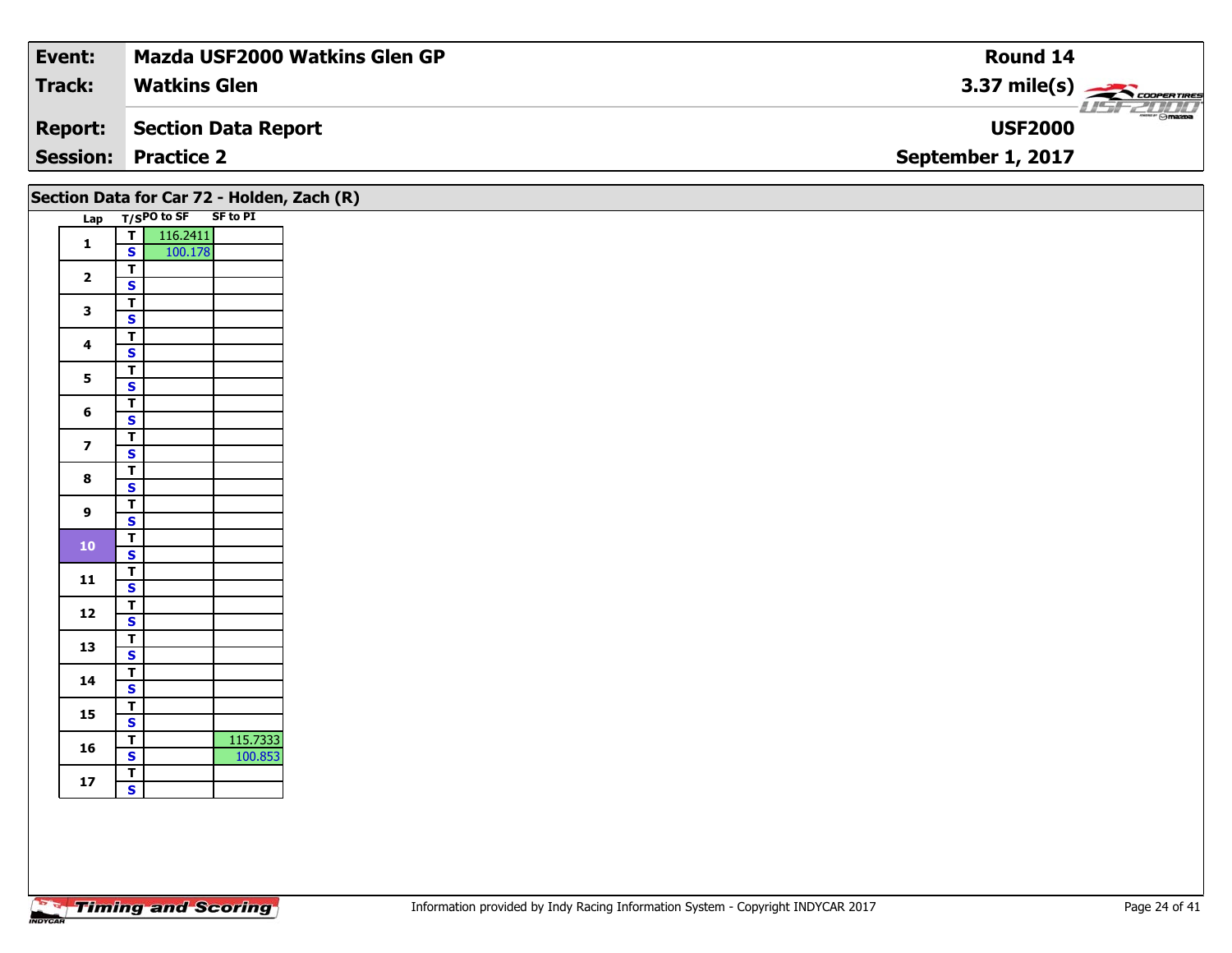| Event:         | Mazda USF2000 Watkins Glen GP | Round 14                         |
|----------------|-------------------------------|----------------------------------|
| <b>Track:</b>  | <b>Watkins Glen</b>           | $3.37 \text{ mile(s)}$           |
| <b>Report:</b> | Section Data Report           | <b>HSFZDDD</b><br><b>USF2000</b> |
|                | <b>Session: Practice 2</b>    | September 1, 2017                |
|                |                               |                                  |

| Section Data for Car 72 - Holden, Zach (R) |                              |                                  |                 |  |  |
|--------------------------------------------|------------------------------|----------------------------------|-----------------|--|--|
| Lap                                        |                              | $\frac{}{\mathsf{T}}$ /SPO to SF | <b>SF to PI</b> |  |  |
| $\mathbf{1}$                               | T                            | 116.2411                         |                 |  |  |
|                                            | S                            | 100.178                          |                 |  |  |
| $\overline{\mathbf{2}}$                    | Ŧ                            |                                  |                 |  |  |
|                                            | S                            |                                  |                 |  |  |
| 3                                          | T                            |                                  |                 |  |  |
|                                            | S                            |                                  |                 |  |  |
| $\overline{\mathbf{4}}$                    | T                            |                                  |                 |  |  |
|                                            | S                            |                                  |                 |  |  |
| 5                                          | T                            |                                  |                 |  |  |
|                                            | S                            |                                  |                 |  |  |
| 6                                          | $\overline{\mathsf{r}}$      |                                  |                 |  |  |
|                                            | S                            |                                  |                 |  |  |
| 7                                          | T                            |                                  |                 |  |  |
|                                            | S                            |                                  |                 |  |  |
| 8                                          | T                            |                                  |                 |  |  |
|                                            | S                            |                                  |                 |  |  |
| 9                                          | T                            |                                  |                 |  |  |
|                                            | S                            |                                  |                 |  |  |
| 10                                         | T                            |                                  |                 |  |  |
|                                            | S                            |                                  |                 |  |  |
| 11                                         | T                            |                                  |                 |  |  |
|                                            | S                            |                                  |                 |  |  |
| 12                                         | T                            |                                  |                 |  |  |
|                                            | S                            |                                  |                 |  |  |
| 13                                         | T                            |                                  |                 |  |  |
|                                            | S                            |                                  |                 |  |  |
| 14                                         | T                            |                                  |                 |  |  |
|                                            | S                            |                                  |                 |  |  |
| 15                                         | Т                            |                                  |                 |  |  |
|                                            | $\overline{\mathbf{s}}$      |                                  |                 |  |  |
| 16                                         | T                            |                                  | 115.7333        |  |  |
|                                            | S                            |                                  | 100.853         |  |  |
| 17                                         | T<br>$\overline{\mathsf{s}}$ |                                  |                 |  |  |
|                                            |                              |                                  |                 |  |  |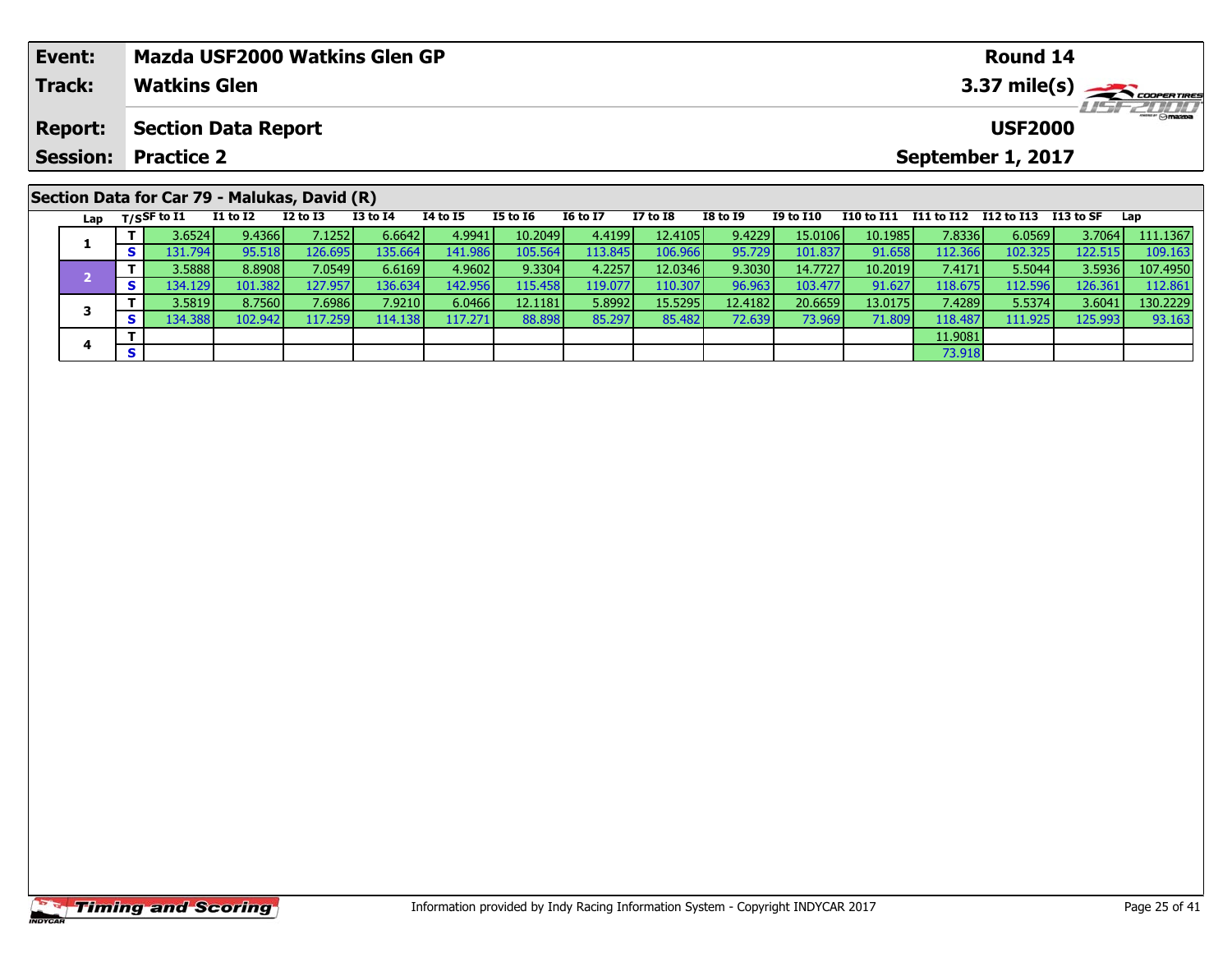| Event:  | <b>Mazda USF2000 Watkins Glen GP</b>                                                                                                                                                                                                                                                                                                             |          |                 |          |                 |                 |          |           |                                                           | Round 14       |                         |
|---------|--------------------------------------------------------------------------------------------------------------------------------------------------------------------------------------------------------------------------------------------------------------------------------------------------------------------------------------------------|----------|-----------------|----------|-----------------|-----------------|----------|-----------|-----------------------------------------------------------|----------------|-------------------------|
| Track:  | <b>Watkins Glen</b>                                                                                                                                                                                                                                                                                                                              |          |                 |          |                 |                 |          |           |                                                           |                | $3.37 \text{ mile(s)}$  |
| Report: | <b>Section Data Report</b>                                                                                                                                                                                                                                                                                                                       |          |                 |          |                 |                 |          |           |                                                           | <b>USF2000</b> | <i><b>LISF 2000</b></i> |
|         | <b>Session: Practice 2</b>                                                                                                                                                                                                                                                                                                                       |          |                 |          |                 |                 |          |           | September 1, 2017                                         |                |                         |
|         | Section Data for Car 79 - Malukas, David (R)                                                                                                                                                                                                                                                                                                     |          |                 |          |                 |                 |          |           |                                                           |                |                         |
|         | $T1 + 6T2$ $T2 + 6T2$<br>$1 - \frac{1}{2}$ $\frac{1}{2}$ $\frac{1}{2}$ $\frac{1}{2}$ $\frac{1}{2}$ $\frac{1}{2}$ $\frac{1}{2}$ $\frac{1}{2}$ $\frac{1}{2}$ $\frac{1}{2}$ $\frac{1}{2}$ $\frac{1}{2}$ $\frac{1}{2}$ $\frac{1}{2}$ $\frac{1}{2}$ $\frac{1}{2}$ $\frac{1}{2}$ $\frac{1}{2}$ $\frac{1}{2}$ $\frac{1}{2}$ $\frac{1}{2}$ $\frac{1}{2}$ | T2 to T4 | <b>TA to TE</b> | TE to TA | <b>TG to T7</b> | <b>T7 to TQ</b> | TQ to TQ | TO to T10 | <b>T10</b> to T11 <b>T11</b> to T12 <b>T12</b> t112 to CE |                | lan                     |

| Lap | T/SSF to I1     | <b>I1 to I2</b> | $I2$ to $I3$     | I3 to I4 | 14 to 15         | <b>I5 to I6</b> | <b>16 to 17</b> | I7 to I8 | <b>I8 to I9</b> | <b>I9 to I10</b> | I10 to I11 | I11 to I12 | I12 to I13       | I13 to SF | Lap      |
|-----|-----------------|-----------------|------------------|----------|------------------|-----------------|-----------------|----------|-----------------|------------------|------------|------------|------------------|-----------|----------|
|     | 3.6524 <b>l</b> | 9.4366          | 7.12521          | 6.6642   | 4.9941           | 10.2049         | 4.41991         | 12.4105  | 9.4229          | 15.0106          | 10.1985    | 7.8336     | 6.0569           | 3.7064    | 111.1367 |
|     | 131.794 I       | 95.518          | 126.695 <b>I</b> | 135.6641 | 141.986          | 105.564         | 113.845         | 106.966  | 95.729          | 101.837          | 91.658     | 112.366    | 102.325          | 122.515   | 109.163  |
|     | 3.5888          | 8.8908          | 7.0549 <b>l</b>  | 6.6169   | 4.9602           | 9.3304          | 4.2257          | 12.0346  | 9.3030          | 14.7727          | 10.2019    | 7.4171     | 5.5044           | 3.5936    | 107.4950 |
|     | 134.129         | 101.382         | 127.957          | 136.634  | 142.956          | 115.458         | 119.077         | 110.307  | 96.963          | 103.477          | 91.627     | 118.675    | 112.596          | 126.361   | 112.861  |
|     | 3.5819          | 8.7560          | 7.69861          | 7.9210   | 6.0466           | 12.1181         | 5.8992          | 15.5295  | 12.41821        | 20.6659          | 13.0175    | 7.4289     | 5.5374           | 3.6041    | 130.2229 |
|     | 134.3881        | 102.942         | 117.259          | 114.138  | 117.271 <b>I</b> | 88.898          | 85.297          | 85.482   | 72.639          | 73.969           | 71.809     | 118,487    | 111.925 <b>I</b> | 125.993   | 93.163   |
|     |                 |                 |                  |          |                  |                 |                 |          |                 |                  |            | 11.9081    |                  |           |          |
|     |                 |                 |                  |          |                  |                 |                 |          |                 |                  |            | 73.918     |                  |           |          |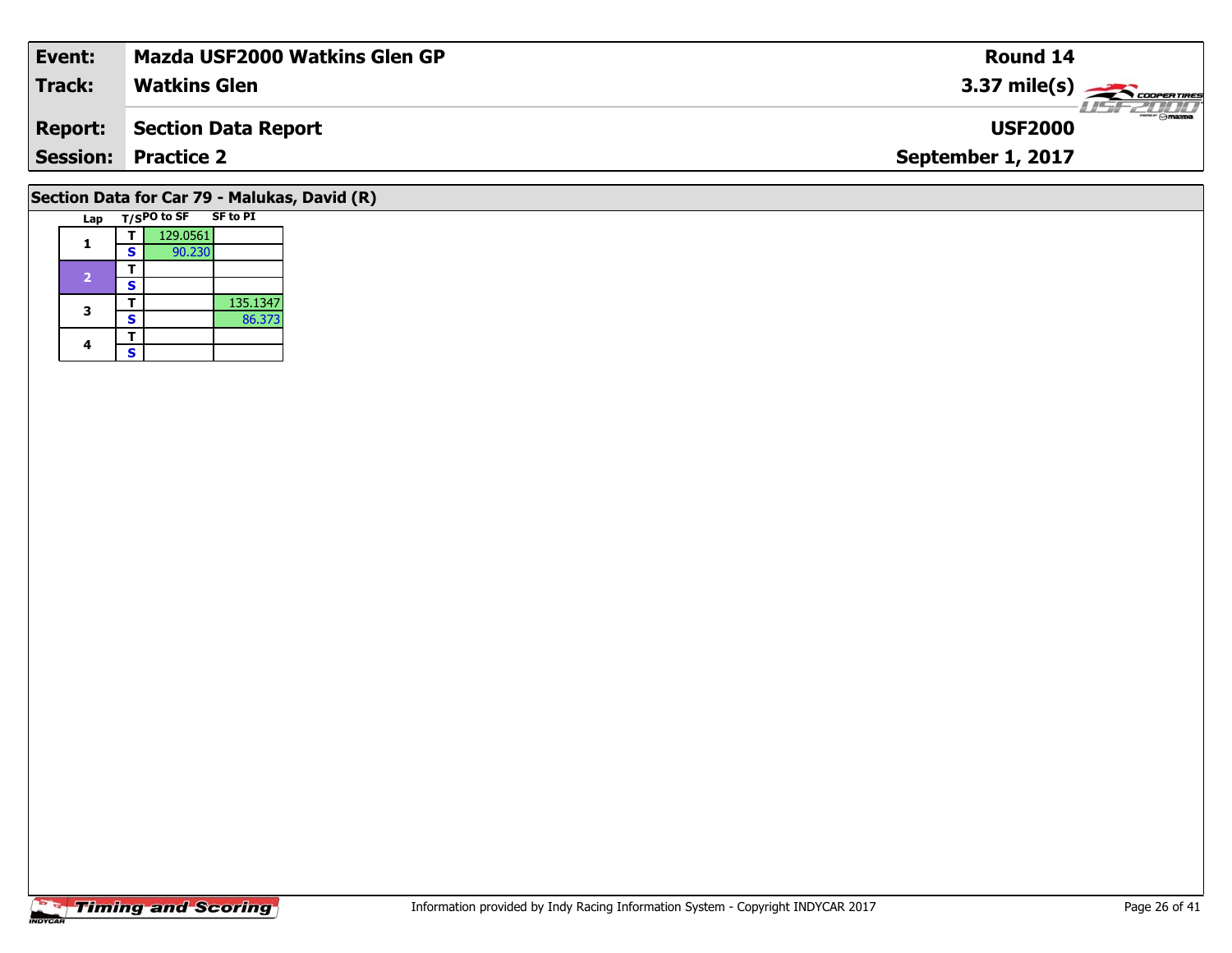| Event:                                       | <b>Mazda USF2000 Watkins Glen GP</b> | <b>Round 14</b>                 |  |  |  |  |  |  |
|----------------------------------------------|--------------------------------------|---------------------------------|--|--|--|--|--|--|
| <b>Track:</b>                                | <b>Watkins Glen</b>                  | $3.37 \text{ mile(s)}$          |  |  |  |  |  |  |
| <b>Report:</b>                               | Section Data Report                  | $\frac{1}{2}$<br><b>USF2000</b> |  |  |  |  |  |  |
|                                              | <b>Session: Practice 2</b>           | September 1, 2017               |  |  |  |  |  |  |
| Section Data for Car 79 - Malukas, David (R) |                                      |                                 |  |  |  |  |  |  |

| Lap |   | $T/S$ PO to SF | SF to PI |
|-----|---|----------------|----------|
|     |   | 129.0561       |          |
|     | S | 90.230         |          |
|     |   |                |          |
| 2   | s |                |          |
| 3   |   |                | 135.1347 |
|     | S |                | 86.373   |
|     |   |                |          |
|     | S |                |          |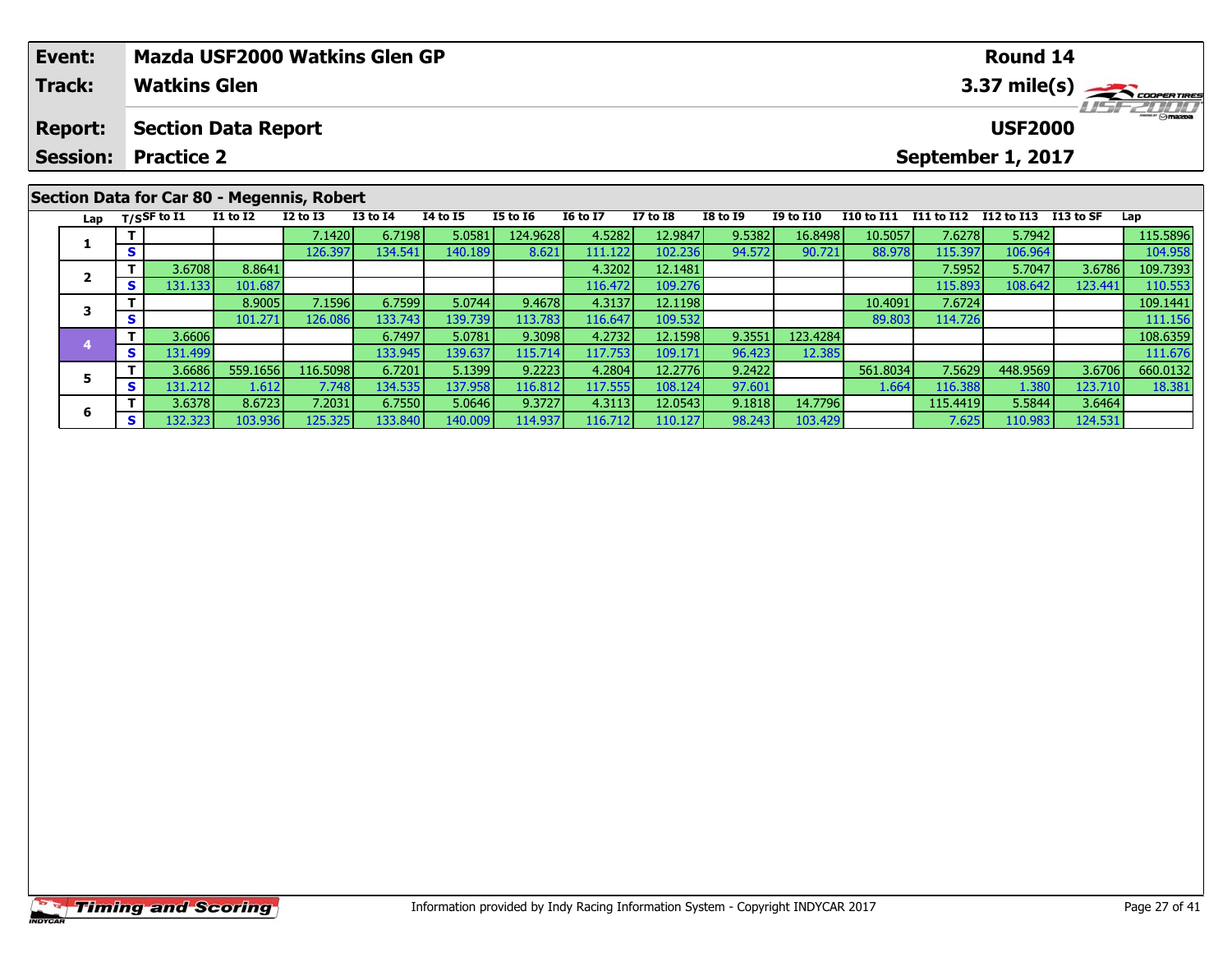| Event:                                                                                                   |                                            | <b>Mazda USF2000 Watkins Glen GP</b> |          |              |                 |                 |                 |                 |                 |                  |            |            | <b>Round 14</b>   |            |          |
|----------------------------------------------------------------------------------------------------------|--------------------------------------------|--------------------------------------|----------|--------------|-----------------|-----------------|-----------------|-----------------|-----------------|------------------|------------|------------|-------------------|------------|----------|
| <b>Track:</b><br>3.37 mile(s) $\frac{1}{\sqrt{1-\frac{1}{2}}\sqrt{\frac{1}{2}}}}$<br><b>Watkins Glen</b> |                                            |                                      |          |              |                 |                 |                 |                 |                 |                  |            |            |                   |            |          |
| <b>Report:</b>                                                                                           |                                            | <b>Section Data Report</b>           |          |              |                 |                 |                 |                 |                 |                  |            |            | <b>USF2000</b>    |            |          |
| <b>Session:</b>                                                                                          | <b>Practice 2</b>                          |                                      |          |              |                 |                 |                 |                 |                 |                  |            |            | September 1, 2017 |            |          |
|                                                                                                          | Section Data for Car 80 - Megennis, Robert |                                      |          |              |                 |                 |                 |                 |                 |                  |            |            |                   |            |          |
|                                                                                                          | Lap $T/S$ SF to $\overline{11}$            | <b>I1 to I2</b>                      | I2 to I3 | $I3$ to $I4$ | <b>I4 to I5</b> | <b>I5 to 16</b> | <b>16 to 17</b> | <b>I7 to I8</b> | <b>I8 to I9</b> | <b>I9 to I10</b> | I10 to I11 | I11 to I12 | I12 to I13        | I 13 to SF | Lap      |
|                                                                                                          |                                            |                                      | 7.1420   | 6.7198       | 5.0581          | 124.9628        | 4.5282          | 12.9847         | 9.5382          | 16.8498          | 10.5057    | 7.6278     | 5.7942            |            | 115.5896 |
|                                                                                                          | S.                                         |                                      | 126.3971 | 134.541      | 140.189         | 8.621           | 111.1221        | 102.236         | 94.572          | 90.721           | 88.978     | 115.397    | 106.964           |            | 104.958  |

**<sup>T</sup>** 3.6708 8.8641 4.3202 12.1481 7.5952 5.7047 3.6786 109.7393 **<sup>S</sup>** 131.133 101.687 116.472 109.276 115.893 108.642 123.441 110.553

**<sup>T</sup>** 8.9005 7.1596 6.7599 5.0744 9.4678 4.3137 12.1198 10.4091 7.6724 109.1441 **<sup>S</sup>** 101.271 126.086 133.743 139.739 113.783 116.647 109.532 89.803 114.726 111.156

**<sup>T</sup>** 3.6606 6.7497 5.0781 9.3098 4.2732 12.1598 9.3551 123.4284 108.6359 **<sup>S</sup>** 131.499 133.945 139.637 115.714 117.753 109.171 96.423 12.385 111.676

5 T | 3.6686 559.1656 116.5098 6.7201 5.1399 9.2223 4.2804 12.2776 9.2422 561.8034 7.5629 448.9569 3.6706 660.0132<br>5 S 131.212 1.612 7.748 134.535 137.958 116.812 117.555 108.124 97.601 1.664 116.388 1.380 123.710 18.3

**<sup>T</sup>** 3.6378 8.6723 7.2031 6.7550 5.0646 9.3727 4.3113 12.0543 9.1818 14.7796 115.4419 5.5844 3.6464 **<sup>S</sup>** 132.323 103.936 125.325 133.840 140.009 114.937 116.712 110.127 98.243 103.429 7.625 110.983 124.531

|                | <b>Timing and Scoring</b> |
|----------------|---------------------------|
| <b>INDYCAR</b> |                           |

**2**

**3**

**4**

**5**

**6**

 $\frac{110.553}{109.1441}$ 

111.676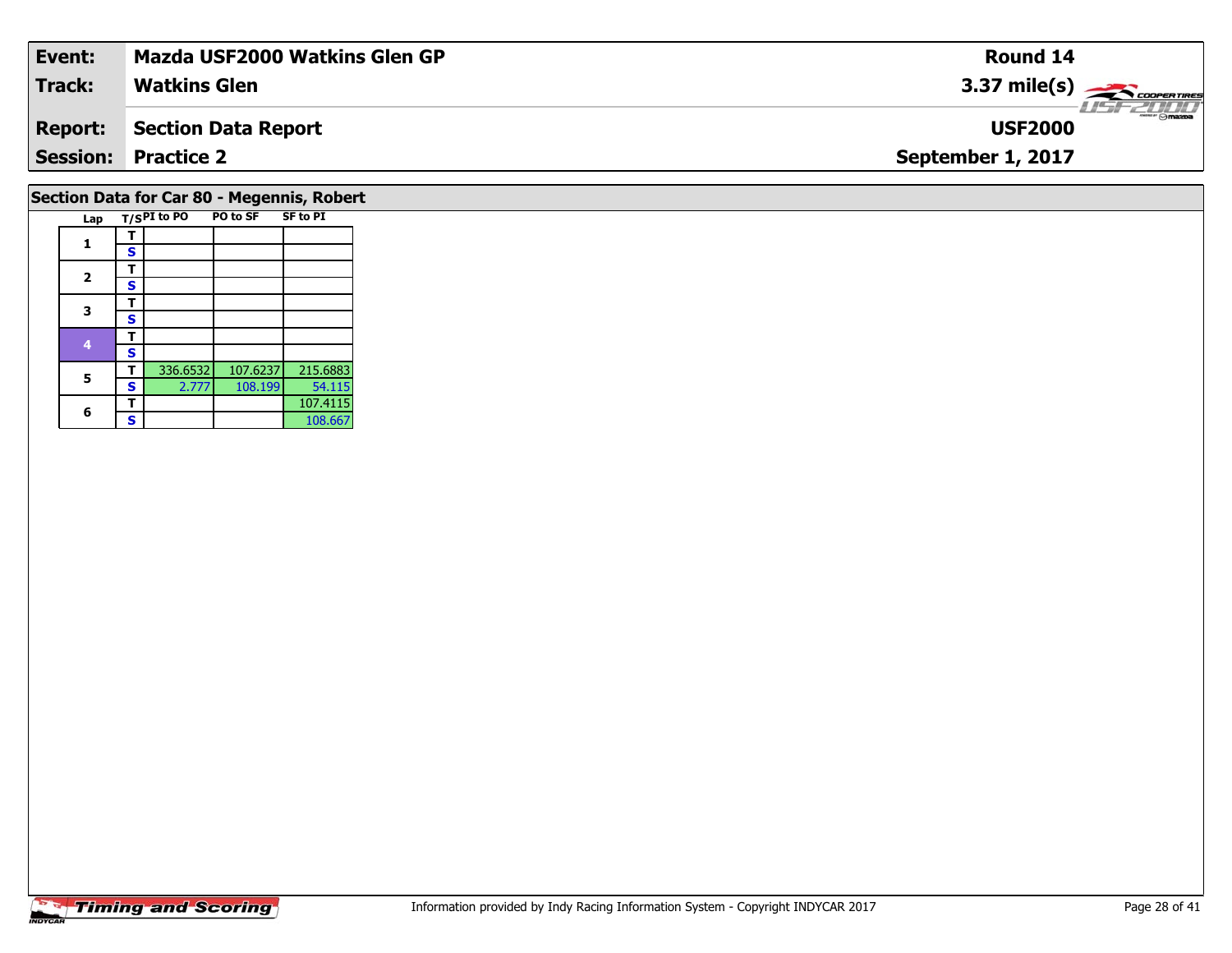| Event:                                  | Mazda USF2000 Watkins Glen GP | Round 14               |  |  |  |  |  |
|-----------------------------------------|-------------------------------|------------------------|--|--|--|--|--|
| Track:                                  | <b>Watkins Glen</b>           | $3.37 \text{ mile(s)}$ |  |  |  |  |  |
| <b>Report:</b>                          | Section Data Report           | <b>USF2000</b>         |  |  |  |  |  |
|                                         | <b>Session: Practice 2</b>    | September 1, 2017      |  |  |  |  |  |
| Costian Data for Car 80 Mosannia Debort |                               |                        |  |  |  |  |  |

#### **Section Data for Car 80 - Megennis, Robert**

| Lap                         |   | T/SPI to PO | PO to SF | <b>SF to PI</b> |
|-----------------------------|---|-------------|----------|-----------------|
|                             | ı |             |          |                 |
| 1<br>$\mathbf{2}$<br>3<br>4 | s |             |          |                 |
|                             | т |             |          |                 |
|                             | S |             |          |                 |
|                             | т |             |          |                 |
|                             | S |             |          |                 |
|                             | т |             |          |                 |
|                             | S |             |          |                 |
| 5                           | т | 336.6532    | 107.6237 | 215.6883        |
|                             | S | 2.777       | 108.199  | 54.115          |
|                             |   |             |          | 107.4115        |
| 6                           | S |             |          | 108.667         |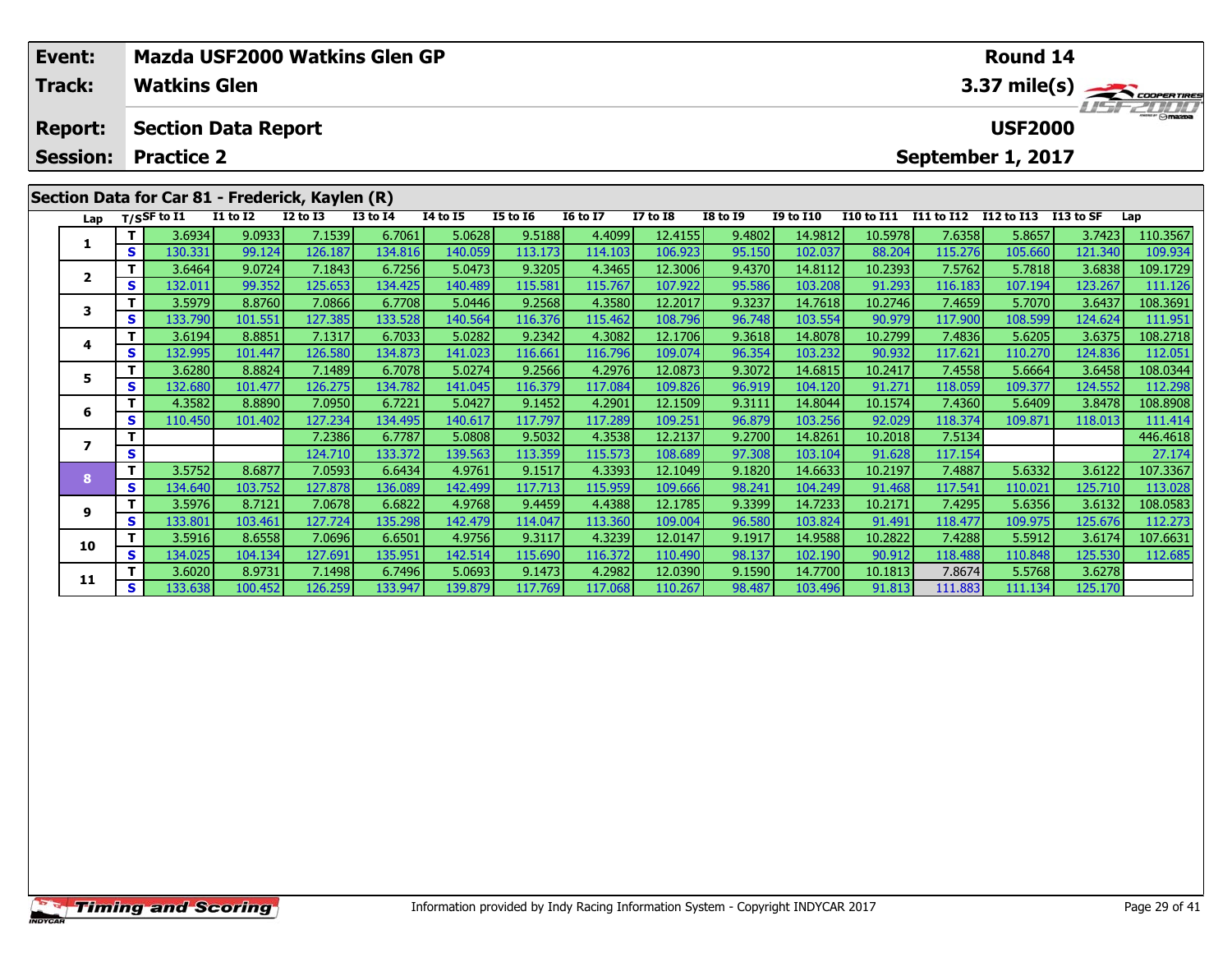| Event:          |                                        |                     |                                                                 |                   | Mazda USF2000 Watkins Glen GP |                   |                   |                   |                    |                  |                    |                   |                   | <b>Round 14</b> |           |                     |
|-----------------|----------------------------------------|---------------------|-----------------------------------------------------------------|-------------------|-------------------------------|-------------------|-------------------|-------------------|--------------------|------------------|--------------------|-------------------|-------------------|-----------------|-----------|---------------------|
| Track:          |                                        | <b>Watkins Glen</b> |                                                                 |                   |                               |                   |                   |                   |                    |                  |                    |                   |                   |                 |           | 3.37 mile(s)        |
| <b>Report:</b>  |                                        |                     | <b>Section Data Report</b>                                      |                   |                               |                   |                   |                   |                    |                  |                    |                   |                   | <b>USF2000</b>  |           | $T = -T$            |
| <b>Session:</b> | <b>Practice 2</b><br>September 1, 2017 |                     |                                                                 |                   |                               |                   |                   |                   |                    |                  |                    |                   |                   |                 |           |                     |
|                 |                                        | $T/S$ SF to $I1$    | Section Data for Car 81 - Frederick, Kaylen (R)<br>$I1$ to $I2$ | $I2$ to $I3$      | <b>I3 to I4</b>               | 14 to 15          | <b>I5 to 16</b>   | <b>16 to 17</b>   | <b>I7 to I8</b>    | <b>I8 to I9</b>  | <b>I9 to I10</b>   | <b>I10 to I11</b> | I11 to I12        | I12 to I13      | I13 to SF | Lap                 |
| Lap             | $\mathbf{T}$                           | 3.6934              | 9.0933                                                          | 7.1539            | 6.7061                        | 5.0628            | 9.5188            | 4.4099            | 12.4155            | 9.4802           | 14.9812            | 10.5978           | 7.6358            | 5.8657          | 3.7423    | 110.3567            |
|                 | S.                                     | 130.331             | 99.124                                                          | 126.187           | 134.816                       | 140.059           | 113.173           | 114.103           | 106.923            | 95.150           | 102.037            | 88.204            | 115.276           | 105.660         | 121.340   | 109.934             |
|                 |                                        | 3.6464              | 9.0724                                                          | 7.1843            | 6.7256                        | 5.0473            | 9.3205            | 4.3465            | 12.3006            | 9.4370           | 14.8112            | 10.2393           | 7.5762            | 5.7818          | 3.6838    | 109.1729            |
| $\overline{2}$  | S.                                     | 132.011             | 99.352                                                          | 125.653           | 134.425                       | 140.489           | 115.581           | 115.767           | 107.922            | 95.586           | 103.208            | 91.293            | 116.183           | 107.194         | 123.267   | 111.126             |
| 3               | T.                                     | 3.5979              | 8.8760                                                          | 7.0866            | 6.7708                        | 5.0446            | 9.2568            | 4.3580            | 12.2017            | 9.3237           | 14.7618            | 10.2746           | 7.4659            | 5.7070          | 3.6437    | 108.3691            |
|                 | S.                                     | 133.790             | 101.551                                                         | 127.385           | 133.528                       | 140.564           | 116.376           | 115.462           | 108.796            | 96.748           | 103.554            | 90.979            | 117.900           | 108.599         | 124.624   | 111.951             |
| 4               | T.                                     | 3.6194              | 8.8851                                                          | 7.1317            | 6.7033                        | 5.0282            | 9.2342            | 4.3082            | 12.1706            | 9.3618           | 14.8078            | 10.2799           | 7.4836            | 5.6205          | 3.6375    | 108.2718            |
|                 | S.                                     | 132.995             | 101.447                                                         | 126.580           | 134.873                       | 141.023           | 116.661           | 116.796           | 109.074            | 96.354           | 103.232            | 90.932            | 117.621           | 110.270         | 124.836   | 112.051             |
| 5.              | T.                                     | 3.6280              | 8.8824                                                          | 7.1489            | 6.7078                        | 5.0274            | 9.2566            | 4.2976            | 12.0873            | 9.3072           | 14.6815            | 10.2417           | 7.4558            | 5.6664          | 3.6458    | 108.0344            |
|                 | S.                                     | 132.680             | 101.477                                                         | 126.275           | 134.782                       | 141.045           | 116.379           | 117.084           | 109.826            | 96.919           | 104.120            | 91.271            | 118.059           | 109.377         | 124.552   | 112.298             |
| 6               |                                        | 4.3582              | 8.8890                                                          | 7.0950            | 6.7221                        | 5.0427            | 9.1452            | 4.2901            | 12.1509            | 9.3111           | 14.8044            | 10.1574           | 7.4360            | 5.6409          | 3.8478    | 108.8908            |
|                 | S.                                     | 110.450             | 101.402                                                         | 127.234<br>7.2386 | 134.495<br>6.7787             | 140.617<br>5.0808 | 117.797<br>9.5032 | 117.289<br>4.3538 | 109.251<br>12.2137 | 96.879<br>9.2700 | 103.256<br>14.8261 | 92.029<br>10.2018 | 118.374<br>7.5134 | 109.871         | 118.013   | 111.414<br>446.4618 |
|                 | S                                      |                     |                                                                 | 124.710           | 133.372                       | 139.563           | 113.359           | 115.573           | 108.689            | 97.308           | 103.104            | 91.628            | 117.154           |                 |           | 27.174              |
|                 |                                        |                     |                                                                 |                   |                               |                   |                   |                   |                    |                  |                    |                   |                   |                 |           |                     |

8 T | 3.5752 8.6877 7.0593 6.6434 4.9761 9.1517 4.3393 12.1049 9.1820 14.6633 10.2197 7.4887 5.6332 3.6122 107.3367<br>8 S 134.640 103.752 127.878 136.089 142.499 117.713 115.959 109.666 98.241 104.249 91.468 117.541 110.021

108.0583 108.0583 108.0583 10.1785 12.1785 12.1785 12.1785 12.17233 10.2171| 7.4295| 5.6356| 3.6132| 2.68.0583<br>S | 133.801| 103.461| 127.724| 135.298| 142.479| 114.047| 113.360| 109.004| 96.580| 103.824| 91.491| 118.477|

0 | T | 3.5916| 8.6558| 7.0696| 6.6501| 4.9756| 9.3117| 4.3239| 12.0147| 9.1917| 14.9588| 10.2822| 7.4288| 5.5912| 3.6174| 107.6631<br>| S | 134.025| 104.134| 127.691| 135.951| 142.514| 115.690| 116.372| 110.490| 98.137| 102.

**<sup>T</sup>** 3.6020 8.9731 7.1498 6.7496 5.0693 9.1473 4.2982 12.0390 9.1590 14.7700 10.1813 7.8674 5.5768 3.6278 **<sup>S</sup>** 133.638 100.452 126.259 133.947 139.879 117.769 117.068 110.267 98.487 103.496 91.813 111.883 111.134 125.170

**8**

**9**

**10**

**11**

27.174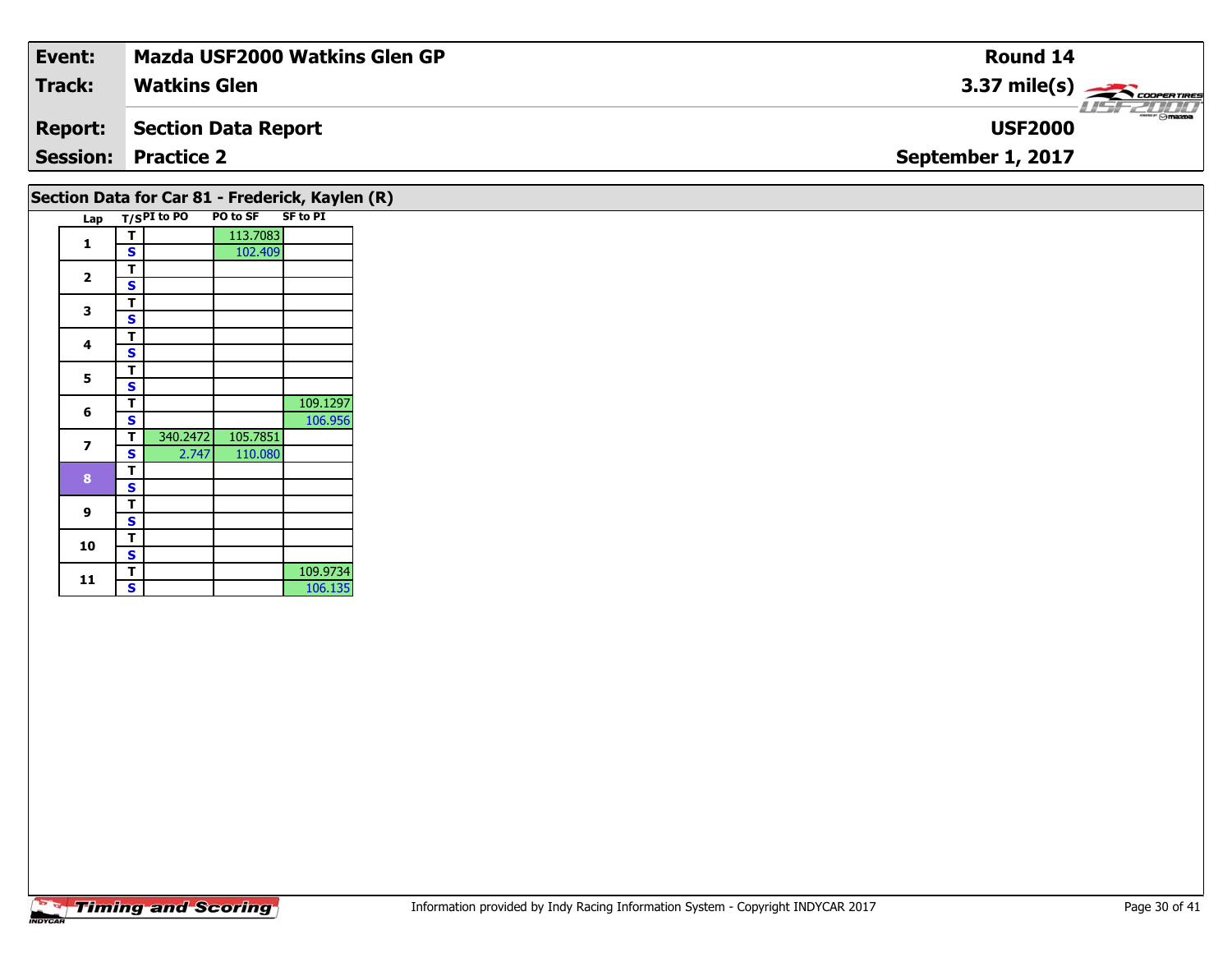| Event:         | <b>Mazda USF2000 Watkins Glen GP</b> | Round 14                                    |
|----------------|--------------------------------------|---------------------------------------------|
| Track:         | <b>Watkins Glen</b>                  | $3.37 \text{ mile(s)}$                      |
| <b>Report:</b> | Section Data Report                  | $\overline{\Theta}$ maxpa<br><b>USF2000</b> |
|                | <b>Session: Practice 2</b>           | September 1, 2017                           |
|                |                                      |                                             |

## **Section Data for Car 81 - Frederick, Kaylen (R)**

| Lap |   | $T/SPI$ to PO | PO to SF SF to PI |          |
|-----|---|---------------|-------------------|----------|
| 1   | T |               | 113.7083          |          |
|     | S |               | 102.409           |          |
| 2   | T |               |                   |          |
|     | S |               |                   |          |
| 3   | T |               |                   |          |
|     | S |               |                   |          |
| 4   | т |               |                   |          |
|     | S |               |                   |          |
| 5   | т |               |                   |          |
|     | S |               |                   |          |
| 6   | T |               |                   | 109.1297 |
|     | S |               |                   | 106.956  |
| 7   | Т | 340.2472      | 105.7851          |          |
|     | S | 2.747         | 110.080           |          |
| 8   | т |               |                   |          |
|     | S |               |                   |          |
| 9   | т |               |                   |          |
|     | S |               |                   |          |
| 10  | T |               |                   |          |
|     | S |               |                   |          |
| 11  | Т |               |                   | 109.9734 |
|     | S |               |                   | 106.135  |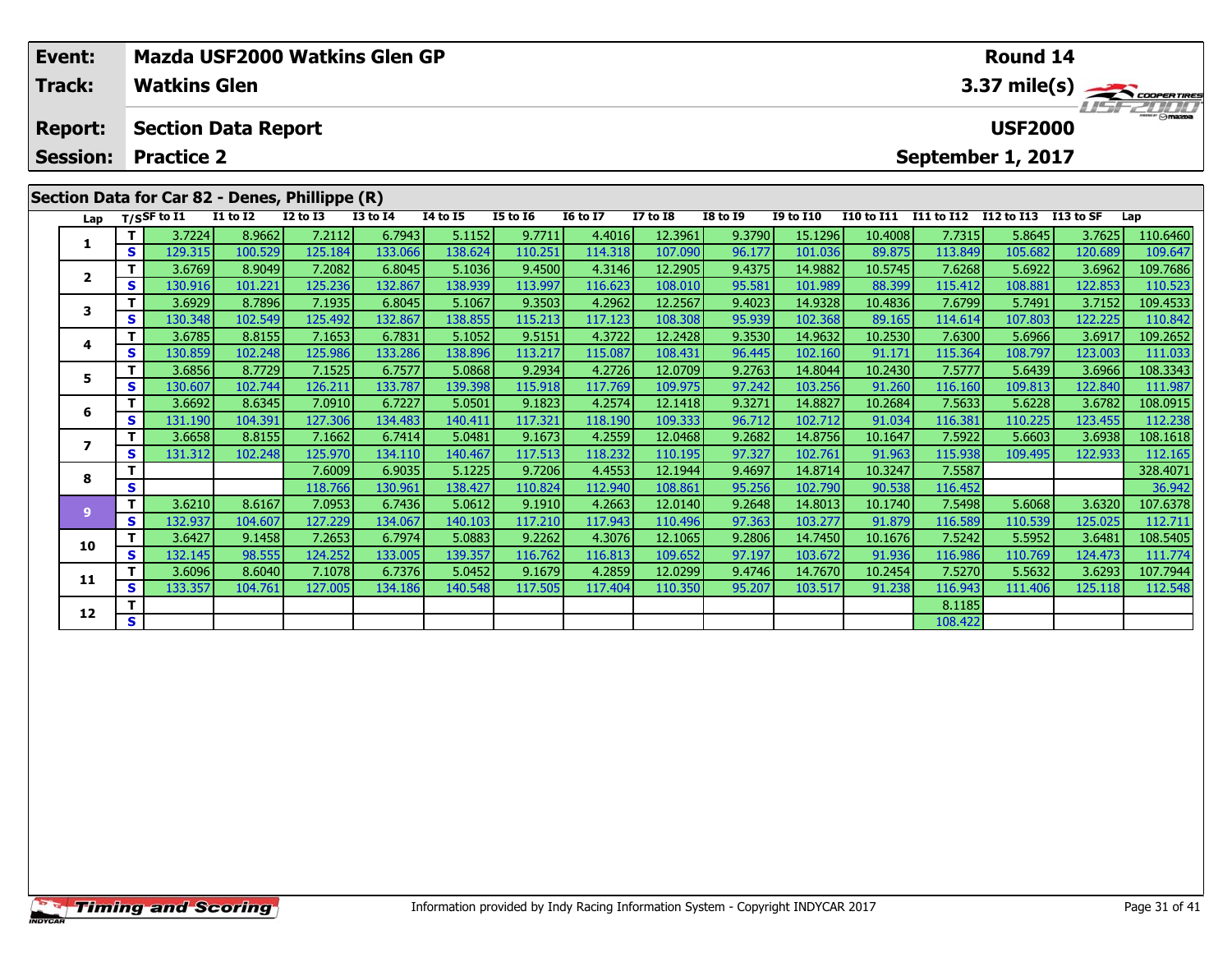| Mazda USF2000 Watkins Glen GP<br>Event: |    |                     |                                                |                   |                   |                   |                   |                   |                    | <b>Round 14</b>  |                    |                   |                   |                   |                   |                                    |  |  |  |
|-----------------------------------------|----|---------------------|------------------------------------------------|-------------------|-------------------|-------------------|-------------------|-------------------|--------------------|------------------|--------------------|-------------------|-------------------|-------------------|-------------------|------------------------------------|--|--|--|
| Track:                                  |    | <b>Watkins Glen</b> |                                                |                   |                   |                   |                   |                   |                    |                  |                    |                   |                   |                   |                   | 3.37 mile(s)<br>$\frac{1}{\omega}$ |  |  |  |
| <b>Report:</b>                          |    |                     | <b>Section Data Report</b>                     |                   |                   |                   |                   |                   |                    |                  |                    |                   |                   | <b>USF2000</b>    |                   |                                    |  |  |  |
| <b>Session:</b>                         |    | <b>Practice 2</b>   |                                                |                   |                   |                   |                   |                   |                    |                  |                    |                   |                   | September 1, 2017 |                   |                                    |  |  |  |
|                                         |    |                     | Section Data for Car 82 - Denes, Phillippe (R) |                   |                   |                   |                   |                   |                    |                  |                    |                   |                   |                   |                   |                                    |  |  |  |
| Lap                                     |    | $T/S$ SF to $I1$    | I1 to I2                                       | <b>I2 to I3</b>   | <b>I3 to I4</b>   | <b>I4 to I5</b>   | <b>I5 to I6</b>   | <b>16 to 17</b>   | <b>I7 to I8</b>    | <b>I8 to 19</b>  | <b>I9 to I10</b>   | <b>I10 to I11</b> | I11 to I12        | I12 to I13        | I13 to SF         | Lap                                |  |  |  |
|                                         | s. | 3.7224<br>129.315   | 8.9662<br>100.529                              | 7.2112<br>125.184 | 6.7943<br>133.066 | 5.1152<br>138.624 | 9.7711<br>110.251 | 4.4016<br>114.318 | 12.3961<br>107.090 | 9.3790<br>96.177 | 15.1296<br>101.036 | 10.4008<br>89.875 | 7.7315<br>113.849 | 5.8645<br>105.682 | 3.7625<br>120.689 | 110.6460<br>109.647                |  |  |  |
|                                         |    | 3.6769              | 8.9049                                         | 7.2082            | 6.8045            | 5.1036            | 9.4500            | 4.3146            | 12.2905            | 9.4375           | 14.9882            | 10.5745           | 7.6268            | 5.6922            | 3.6962            | 109.7686                           |  |  |  |
| $\mathbf{2}$                            | S. | 130.916             | 101.221                                        | 125.236           | 132.867           | 138.939           | 113.997           | 116.623           | 108.010            | 95.581           | 101.989            | 88.399            | 115.412           | 108.881           | 122.853           | 110.523                            |  |  |  |
|                                         |    | 3.6929              | 8.7896                                         | 7.1935            | 6.8045            | 5.1067            | 9.3503            | 4.2962            | 12.2567            | 9.4023           | 14.9328            | 10.4836           | 7.6799            | 5.7491            | 3.7152            | 109.4533                           |  |  |  |
| 3                                       | S. | 130.348             | 102.549                                        | 125.492           | 132.867           | 138.855           | 115.213           | 117.123           | 108.308            | 95.939           | 102.368            | 89.165            | 114.614           | 107.803           | 122.225           | 110.842                            |  |  |  |
| 4                                       |    | 3.6785              | 8.8155                                         | 7.1653            | 6.7831            | 5.1052            | 9.5151            | 4.3722            | 12.2428            | 9.3530           | 14.9632            | 10.2530           | 7.6300            | 5.6966            | 3.6917            | 109.2652                           |  |  |  |
|                                         | S. | 130.859             | 102.248                                        | 125.986           | 133.286           | 138.896           | 113.217           | 115.087           | 108.431            | 96.445           | 102.160            | 91.171            | 115.364           | 108.797           | 123.003           | 111.033                            |  |  |  |
| 5                                       |    | 3.6856              | 8.7729                                         | 7.1525            | 6.7577            | 5.0868            | 9.2934            | 4.2726            | 12.0709            | 9.2763           | 14.8044            | 10.2430           | 7.5777            | 5.6439            | 3.6966            | 108.3343                           |  |  |  |
|                                         | S. | 130.607             | 102.744                                        | 126.211           | 133.787           | 139.398           | 115.918           | 117.769           | 109.975            | 97.242           | 103.256            | 91.260            | 116.160           | 109.813           | 122.840           | 111.987                            |  |  |  |
| 6                                       |    | 3.6692              | 8.6345                                         | 7.0910            | 6.7227            | 5.0501            | 9.1823            | 4.2574            | 12.1418            | 9.3271           | 14.8827            | 10.2684           | 7.5633            | 5.6228            | 3.6782            | 108.0915                           |  |  |  |
|                                         | S. | 131.190             | 104.391                                        | 127.306           | 134.483           | 140.411           | 117.321           | 118.190           | 109.333            | 96.712           | 102.712            | 91.034            | 116.381           | 110.225           | 123.455           | 112.238                            |  |  |  |
|                                         |    | 3.6658              | 8.8155                                         | 7.1662            | 6.7414            | 5.0481            | 9.1673            | 4.2559            | 12.0468            | 9.2682           | 14.8756            | 10.1647           | 7.5922            | 5.6603            | 3.6938            | 108.1618                           |  |  |  |
|                                         | S  | 131.312             | 102.248                                        | 125.970           | 134.110           | 140.467           | 117.513           | 118.232           | 110.195            | 97.327           | 102.761            | 91.963            | 115.938           | 109.495           | 122.933           | 112.165                            |  |  |  |

**<sup>T</sup>** 7.6009 6.9035 5.1225 9.7206 4.4553 12.1944 9.4697 14.8714 10.3247 7.5587 328.4071 **<sup>S</sup>** 118.766 130.961 138.427 110.824 112.940 108.861 95.256 102.790 90.538 116.452 36.942

107.6378 | 110.578 | 14.005 | 14.005 | 14.005 | 14.005 | 14.005 | 15.005 | 16.005 | 16.005 | 16.005 | 16.005 |<br>117.210 | 17.943 | 17.229 | 134.067 | 140.103 | 117.210 | 117.943 | 110.496 | 97.363 | 103.277 | 91.879 | 116.

0 T 3.6427 9.1458 7.2653 6.7974 5.0883 9.2262 4.3076 12.1065 9.2806 14.7450 10.1676 7.5242 5.5952 3.6481 108.5405<br>S 132.145 98.555 124.252 133.005 139.357 116.762 116.813 109.652 97.197 103.672 91.936 116.986 110.769 124.4

**<sup>T</sup>** 3.6096 8.6040 7.1078 6.7376 5.0452 9.1679 4.2859 12.0299 9.4746 14.7670 10.2454 7.5270 5.5632 3.6293 107.7944 **<sup>S</sup>** 133.357 104.761 127.005 134.186 140.548 117.505 117.404 110.350 95.207 103.517 91.238 116.943 111.406 125.118 112.548

**T** 8.1185<br> **S** 108.422

**8**

**9**

**10**

**11**

**12**

112.165

112.711

112.548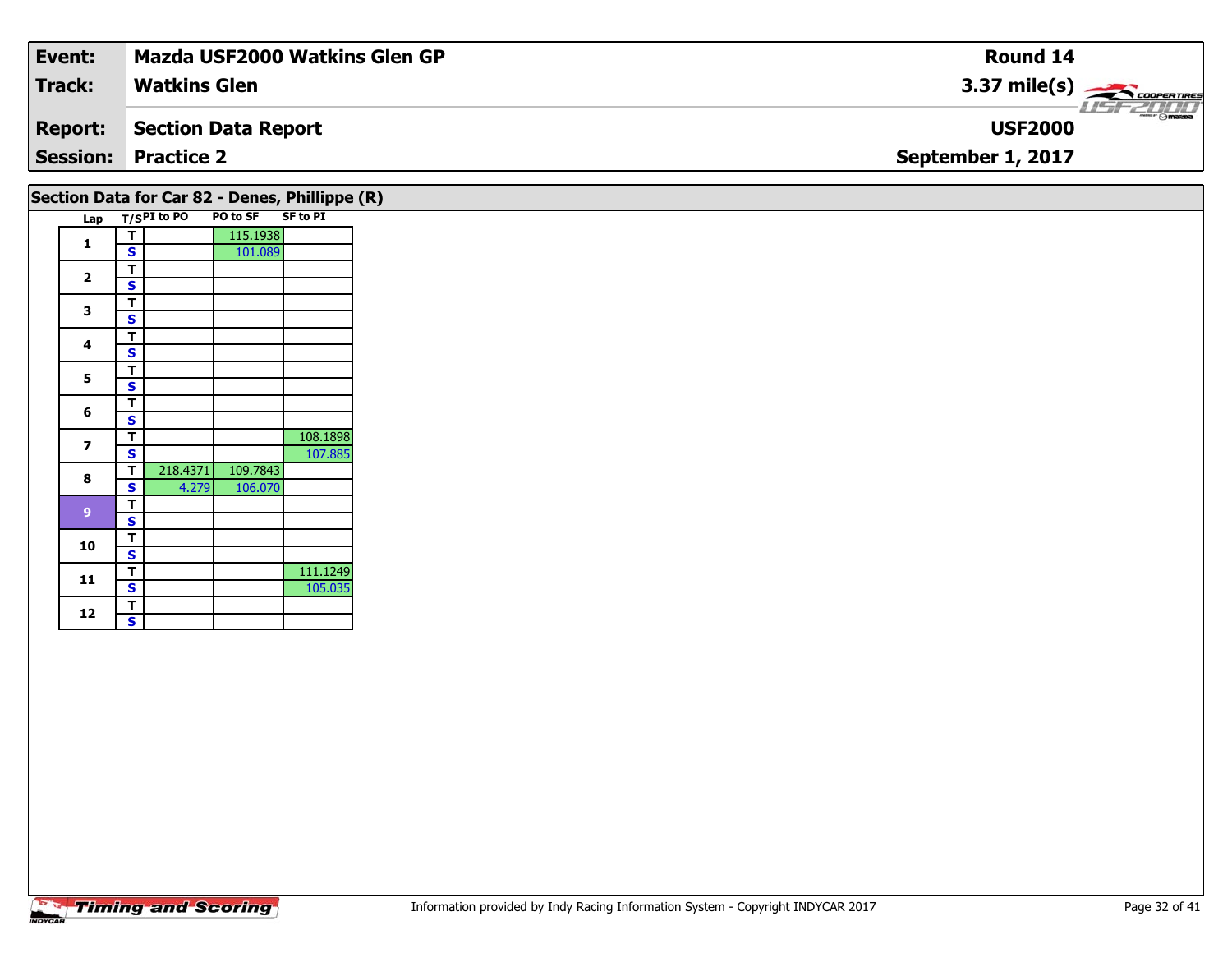| Event:          | <b>Mazda USF2000 Watkins Glen GP</b> | Round 14                                                   |
|-----------------|--------------------------------------|------------------------------------------------------------|
| Track:          | <b>Watkins Glen</b>                  | $3.37 \text{ mile(s)}$                                     |
| <b>Report:</b>  | Section Data Report                  | $\overline{\phantom{a}}$ $\otimes$ mazpa<br><b>USF2000</b> |
| <b>Session:</b> | <b>Practice 2</b>                    | September 1, 2017                                          |
|                 |                                      |                                                            |

#### Lap T/S<sup>PI</sup> to PO PO to SF SF to PI **1d T S** 115.1938<br>**S** 101.089 2  $\frac{1}{s}$  $rac{s}{T}$ 3  $\frac{1}{s}$  $rac{s}{T}$ 4  $\frac{1}{s}$  $\overline{\mathbf{s}}$ 5  $\frac{1}{s}$  $\overline{\mathbf{T}}$ 6  $\frac{1}{s}$  $\overline{\mathbf{T}}$ **7T** 108.1898<br>**S** 107.885 **88 T** 218.4371 109.7843<br>**S** 4.279 106.070 **9 TS 10** $\frac{1}{s}$  $\overline{\mathbf{T}}$ **11d T** 111.1249<br>**S** 105.035 105.035 **Section Data for Car 82 - Denes, Phillippe (R)**

12  $\frac{1}{s}$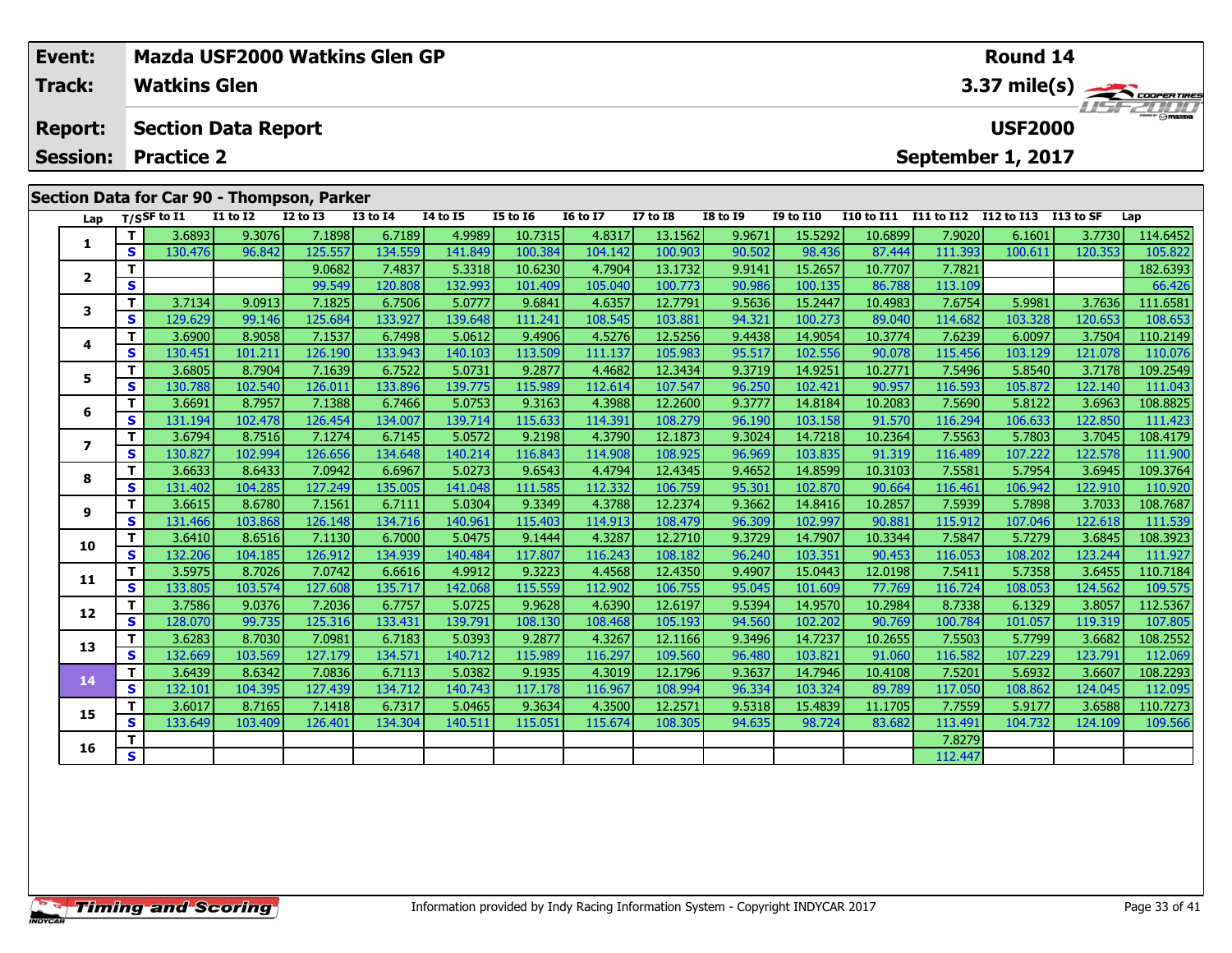| Event:                                     |    |                     |                            |              | Mazda USF2000 Watkins Glen GP |                 |                 |                 |                 | Round 14        |                                            |            |            |                   |           |          |  |
|--------------------------------------------|----|---------------------|----------------------------|--------------|-------------------------------|-----------------|-----------------|-----------------|-----------------|-----------------|--------------------------------------------|------------|------------|-------------------|-----------|----------|--|
| Track:                                     |    | <b>Watkins Glen</b> |                            |              |                               |                 |                 |                 |                 |                 | 3.37 mile(s) COOPERTIRES<br><b>ISFZDOJ</b> |            |            |                   |           |          |  |
| <b>Report:</b>                             |    |                     | <b>Section Data Report</b> |              |                               |                 |                 |                 |                 |                 |                                            |            |            | <b>USF2000</b>    |           |          |  |
| <b>Session:</b>                            |    | <b>Practice 2</b>   |                            |              |                               |                 |                 |                 |                 |                 |                                            |            |            | September 1, 2017 |           |          |  |
| Section Data for Car 90 - Thompson, Parker |    |                     |                            |              |                               |                 |                 |                 |                 |                 |                                            |            |            |                   |           |          |  |
|                                            |    | Lap $T/SSF$ to I1   | $I1$ to $I2$               | $I2$ to $I3$ | $I3$ to $I4$                  | <b>I4 to I5</b> | <b>I5 to 16</b> | <b>16 to 17</b> | <b>I7 to I8</b> | <b>I8 to I9</b> | <b>I9 to I10</b>                           | I10 to I11 | I11 to I12 | I12 to I13        | I13 to SF | Lap      |  |
|                                            |    | 3.6893              | 9.3076                     | 7.1898       | 6.7189                        | 4.9989          | 10.7315         | 4.8317          | 13.1562         | 9.9671          | 15.5292                                    | 10.6899    | 7.9020     | 6.1601            | 3.7730    | 114.6452 |  |
|                                            | S. | 130.476             | 96.842                     | 125.557      | 134.559                       | 141.849         | 100.384         | 104.142         | 100.903         | 90.502          | 98.436                                     | 87.444     | 111.393    | 100.611           | 120.353   | 105.822  |  |

**<sup>T</sup>** 9.0682 7.4837 5.3318 10.6230 4.7904 13.1732 9.9141 15.2657 10.7707 7.7821 182.6393 **<sup>S</sup>** 99.549 120.808 132.993 101.409 105.040 100.773 90.986 100.135 86.788 113.109 66.426

3 T 3.7134 9.0913 7.1825 6.7506 5.0777 9.6841 4.6357 12.7791 9.5636 15.2447 10.4983 7.6754 5.9981 3.7636 111.6581<br>S S 129.629 99.146 125.684 133.927 139.648 111.241 108.545 103.881 94.321 100.273 89.040 114.682 103.328 120

**<sup>T</sup>** 3.6900 8.9058 7.1537 6.7498 5.0612 9.4906 4.5276 12.5256 9.4438 14.9054 10.3774 7.6239 6.0097 3.7504 110.2149 **<sup>S</sup>** 130.451 101.211 126.190 133.943 140.103 113.509 111.137 105.983 95.517 102.556 90.078 115.456 103.129 121.078 110.076

5 | T | 3.6805| 8.7904| 7.1639| 6.7522| 5.0731| 9.2877| 4.4682| 12.3434| 9.3719| 14.9251| 10.2771| 7.5496| 5.8540| 3.7178| 109.2549<br>| S | 130.788 102.540 126.011 133.896 139.775 115.989 112.614 107.547 96.250 102.421 90.95

**<sup>T</sup>** 3.6691 8.7957 7.1388 6.7466 5.0753 9.3163 4.3988 12.2600 9.3777 14.8184 10.2083 7.5690 5.8122 3.6963 108.8825 **<sup>S</sup>** 131.194 102.478 126.454 134.007 139.714 115.633 114.391 108.279 96.190 103.158 91.570 116.294 106.633 122.850 111.423

7 | T | 3.6794 | 8.7516 | 7.1274 | 6.7145 | 5.0572 | 9.2198 | 4.3790 | 12.1873 | 9.3024 | 14.7218 | 10.2364 | 7.5563 | 5.7803 | 3.7045 | 108.4179<br>7 | S | 130.827 | 102.994 | 126.656 | 134.648 | 140.214 | 116.843 | 114.908

8 T 3.6633 8.6433 7.0942 6.6967 5.0273 9.6543 4.4794 12.4345 9.4652 14.8599 10.3103 7.5581 5.7954 3.6945 109.3764<br>8 S 131.402 104.285 127.249 135.005 141.048 111.585 112.332 106.759 95.301 102.870 90.664 116.461 106.942 12

108.7687 | 11.539 | 14.8416 | 10.2857 | 1.5939 | 1.788 | 1.788 | 1.788 | 1.8416 | 1.8416 | 1.2857 | 1.5939 | 2<br>[ 131.466 | 103.868 | 126.148 | 134.716 | 140.961 | 115.403 | 114.913 | 108.479 | 96.309 | 102.997 | 90.881 |

0 T 3.6410 8.6516 7.1130 6.7000 5.0475 9.1444 4.3287 12.2710 9.3729 14.7907 10.3344 7.5847 5.7279 3.6845 108.3923<br>S 132.206 104.185 126.912 134.939 140.484 117.807 116.243 108.182 96.240 103.351 90.453 116.053 108.202 123.

**<sup>T</sup>** 3.5975 8.7026 7.0742 6.6616 4.9912 9.3223 4.4568 12.4350 9.4907 15.0443 12.0198 7.5411 5.7358 3.6455 110.7184 **<sup>S</sup>** 133.805 103.574 127.608 135.717 142.068 115.559 112.902 106.755 95.045 101.609 77.769 116.724 108.053 124.562 109.575

**<sup>T</sup>** 3.7586 9.0376 7.2036 6.7757 5.0725 9.9628 4.6390 12.6197 9.5394 14.9570 10.2984 8.7338 6.1329 3.8057 112.5367 **<sup>S</sup>** 128.070 99.735 125.316 133.431 139.791 108.130 108.468 105.193 94.560 102.202 90.769 100.784 101.057 119.319 107.805

3 T 3.6283 8.7030 7.0981 6.7183 5.0393 9.2877 4.3267 12.1166 9.3496 14.7237 10.2655 7.5503 5.7799 3.6682 108.2552<br>S 132.669 103.569 127.179 134.571 140.712 115.989 116.297 109.560 96.480 103.821 91.060 116.582 107.229 123.

4 | T | 3.6439| 8.6342| 7.0836| 6.7113| 5.0382| 9.1935| 4.3019| 12.1796| 9.3637| 14.7946| 10.4108| 7.5201| 5.6932| 3.6607| 108.2293<br>- S | 132.101| 104.395| 127.439| 134.712| 140.743| 117.178| 116.967| 108.994| 96.334| 103.

5 | T | 3.6017| 8.7165| 7.1418| 6.7317| 5.0465| 9.3634| 4.3500| 12.2571| 9.5318| 15.4839| 11.1705| 7.7559| 5.9177| 3.6588| 110.7273<br>| S | 133.649| 103.409| 126.401| 134.304| 140.511| 115.051| 115.674| 108.305| 94.635| 98.7

**6 T** 7.8279

**2**

**3**

**4**

**5**

**6**

**7**

**8**

**9**

**10**

**11**

**12**

**13**

**14**

**15**

**16**

112.095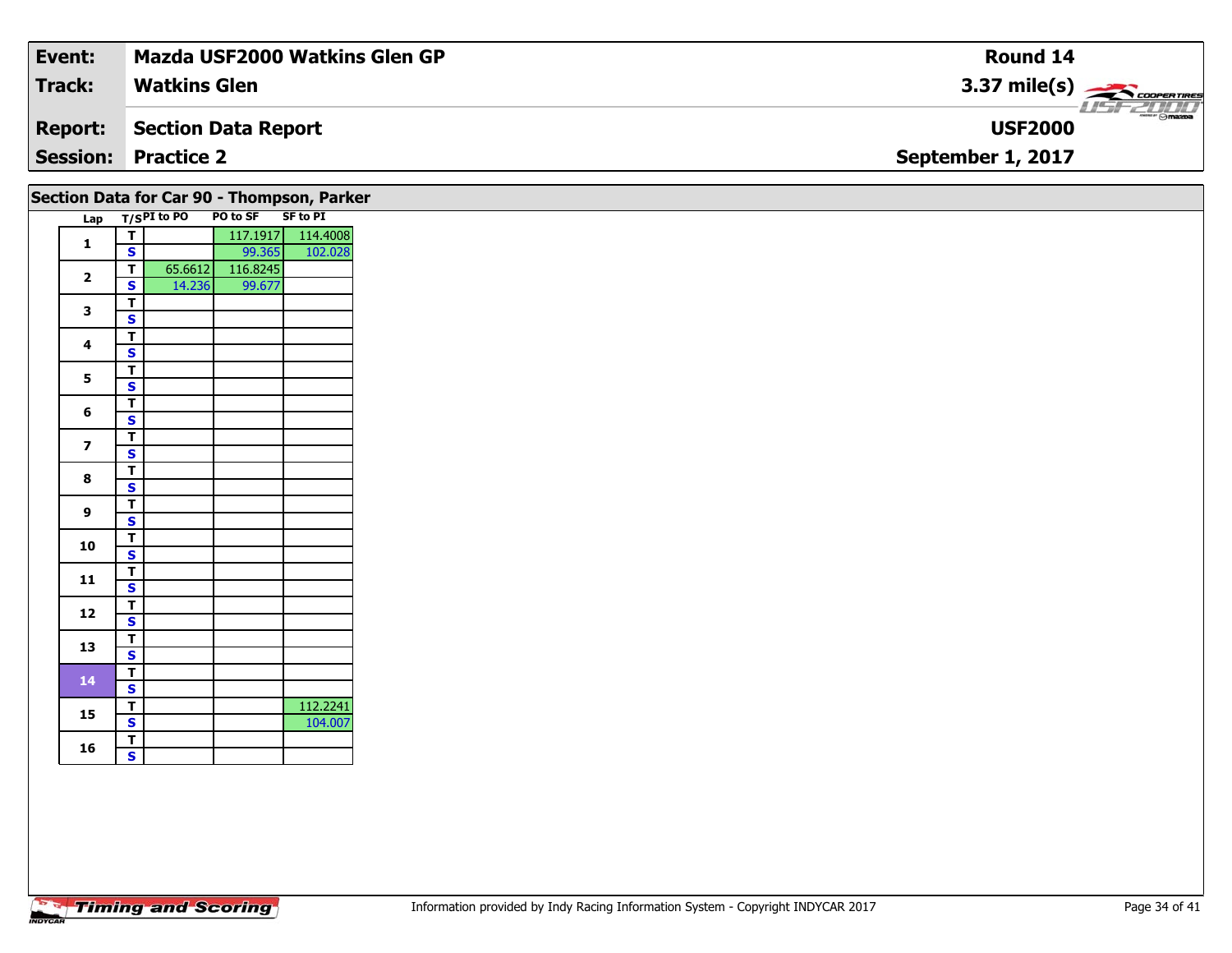| Event:          | <b>Mazda USF2000 Watkins Glen GP</b> | Round 14                                                                                                                                                                                                                                                                                                                                                                                                                                                                                          |
|-----------------|--------------------------------------|---------------------------------------------------------------------------------------------------------------------------------------------------------------------------------------------------------------------------------------------------------------------------------------------------------------------------------------------------------------------------------------------------------------------------------------------------------------------------------------------------|
| Track:          | <b>Watkins Glen</b>                  | $3.37 \text{ mile(s)}$                                                                                                                                                                                                                                                                                                                                                                                                                                                                            |
| <b>Report:</b>  | Section Data Report                  | $\overline{\phantom{a}}$ $\overline{\phantom{a}}$ $\overline{\phantom{a}}$ $\overline{\phantom{a}}$ $\overline{\phantom{a}}$ $\overline{\phantom{a}}$ $\overline{\phantom{a}}$ $\overline{\phantom{a}}$ $\overline{\phantom{a}}$ $\overline{\phantom{a}}$ $\overline{\phantom{a}}$ $\overline{\phantom{a}}$ $\overline{\phantom{a}}$ $\overline{\phantom{a}}$ $\overline{\phantom{a}}$ $\overline{\phantom{a}}$ $\overline{\phantom{a}}$ $\overline{\phantom{a}}$ $\overline{\$<br><b>USF2000</b> |
| <b>Session:</b> | <b>Practice 2</b>                    | September 1, 2017                                                                                                                                                                                                                                                                                                                                                                                                                                                                                 |
|                 |                                      |                                                                                                                                                                                                                                                                                                                                                                                                                                                                                                   |

| Section Data for Car 90 - Thompson, Parker<br>PO to SF SF to PI<br>Lap T/SPI to PO |                             |         |          |                   |  |  |  |  |
|------------------------------------------------------------------------------------|-----------------------------|---------|----------|-------------------|--|--|--|--|
|                                                                                    |                             |         |          |                   |  |  |  |  |
| $\mathbf{1}$                                                                       | $\mathbf{T}$                |         |          | 117.1917 114.4008 |  |  |  |  |
|                                                                                    | $\mathbf{s}$                |         | 99.365   | 102.028           |  |  |  |  |
| $\overline{2}$                                                                     | $\overline{I}$              | 65.6612 | 116.8245 |                   |  |  |  |  |
|                                                                                    | S                           | 14.236  | 99.677   |                   |  |  |  |  |
| 3                                                                                  | T                           |         |          |                   |  |  |  |  |
|                                                                                    | $\mathbf{s}$                |         |          |                   |  |  |  |  |
| $\overline{\mathbf{4}}$                                                            | $\overline{\mathbf{I}}$     |         |          |                   |  |  |  |  |
|                                                                                    | $\mathbf{s}$                |         |          |                   |  |  |  |  |
| 5 <sub>1</sub>                                                                     | $\overline{\mathbf{I}}$     |         |          |                   |  |  |  |  |
|                                                                                    | $\overline{\mathbf{s}}$     |         |          |                   |  |  |  |  |
| $6\phantom{1}$                                                                     | $\mathbf T$                 |         |          |                   |  |  |  |  |
|                                                                                    | $\overline{\mathbf{s}}$     |         |          |                   |  |  |  |  |
| $\overline{\mathbf{z}}$                                                            | $\overline{\mathsf{r}}$     |         |          |                   |  |  |  |  |
|                                                                                    | $\mathbf{s}$                |         |          |                   |  |  |  |  |
| 8                                                                                  | $\overline{\mathsf{r}}$     |         |          |                   |  |  |  |  |
|                                                                                    | $\overline{\mathbf{s}}$     |         |          |                   |  |  |  |  |
| 9                                                                                  | $\overline{\mathbf{I}}$     |         |          |                   |  |  |  |  |
|                                                                                    | S                           |         |          |                   |  |  |  |  |
| 10                                                                                 | $\overline{\mathsf{r}}$     |         |          |                   |  |  |  |  |
|                                                                                    | $\overline{\mathbf{s}}$     |         |          |                   |  |  |  |  |
| 11                                                                                 | $\mathbf T$                 |         |          |                   |  |  |  |  |
|                                                                                    | $\mathbf{s}$                |         |          |                   |  |  |  |  |
| 12                                                                                 | $\overline{\mathbf{T}}$     |         |          |                   |  |  |  |  |
|                                                                                    | $\overline{\mathbf{s}}$     |         |          |                   |  |  |  |  |
| 13                                                                                 | $\overline{\mathbf{T}}$     |         |          |                   |  |  |  |  |
|                                                                                    | $\overline{\mathbf{s}}$     |         |          |                   |  |  |  |  |
| 14                                                                                 | $\overline{\mathsf{T}}$     |         |          |                   |  |  |  |  |
|                                                                                    | $\mathbf{s}$                |         |          |                   |  |  |  |  |
| 15                                                                                 | $\overline{I}$              |         |          | 112.2241          |  |  |  |  |
|                                                                                    | $\overline{\mathbf{s}}$     |         |          | 104.007           |  |  |  |  |
|                                                                                    |                             |         |          |                   |  |  |  |  |
| 16                                                                                 | $\mathbf T$<br>$\mathbf{s}$ |         |          |                   |  |  |  |  |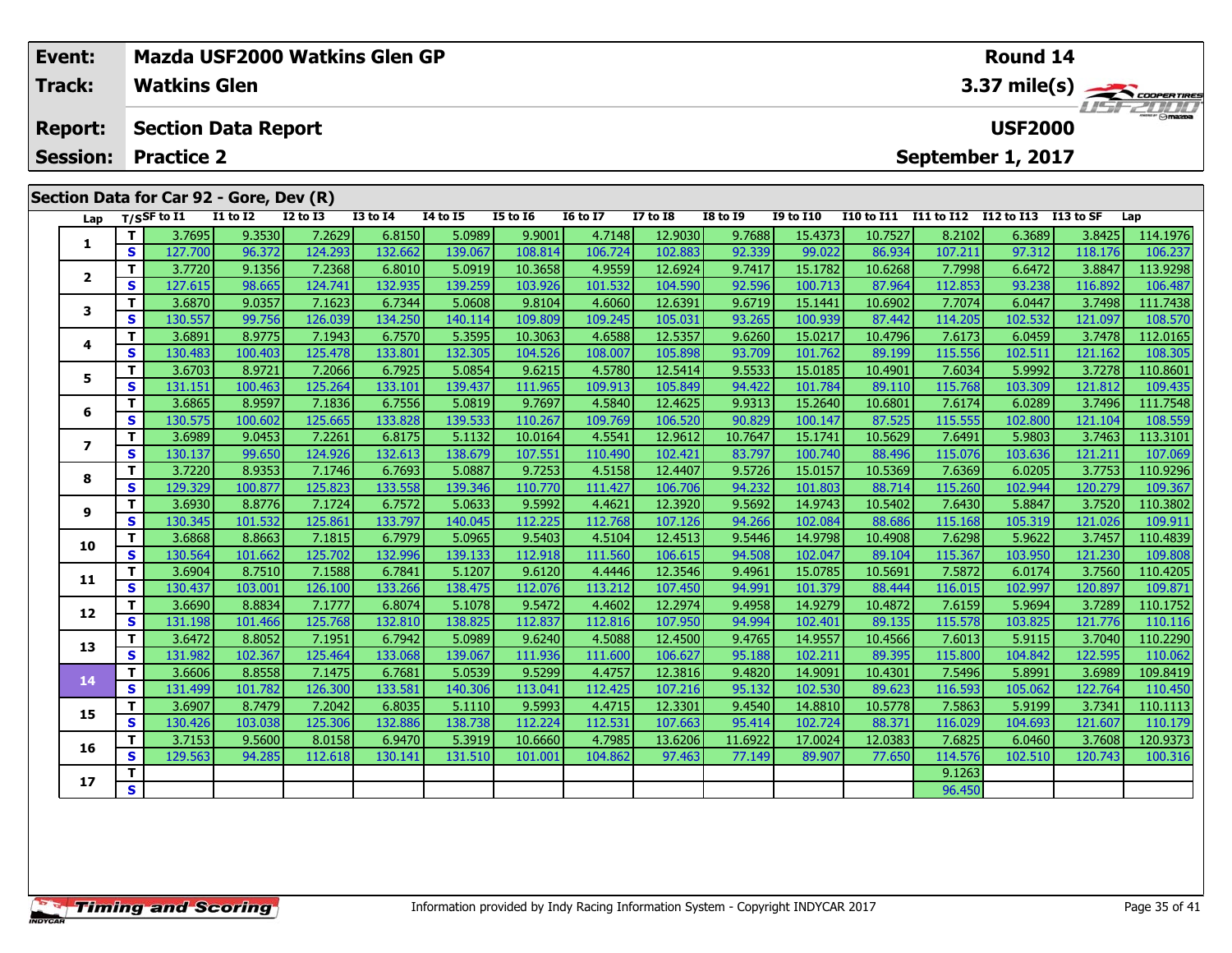|  | Event:<br>Track: |    | <b>Watkins Glen</b>                     |                 | Mazda USF2000 Watkins Glen GP |                 |          |                 |                 | Round 14        | $\begin{array}{c}\n 3.37 \text{ mile(s)} \\ \hline\n \text{H5F-2DDD} \\ \end{array}$ |                  |                   |                   |                |                  |          |
|--|------------------|----|-----------------------------------------|-----------------|-------------------------------|-----------------|----------|-----------------|-----------------|-----------------|--------------------------------------------------------------------------------------|------------------|-------------------|-------------------|----------------|------------------|----------|
|  | <b>Report:</b>   |    | <b>Section Data Report</b>              |                 |                               |                 |          |                 |                 |                 |                                                                                      |                  |                   |                   | <b>USF2000</b> |                  |          |
|  | <b>Session:</b>  |    | <b>Practice 2</b>                       |                 |                               |                 |          |                 |                 |                 |                                                                                      |                  |                   | September 1, 2017 |                |                  |          |
|  |                  |    | Section Data for Car 92 - Gore, Dev (R) |                 |                               |                 |          |                 |                 |                 |                                                                                      |                  |                   |                   |                |                  |          |
|  | Lap              |    | $T/S$ SF to $I1$                        | <b>I1 to I2</b> | <b>I2 to I3</b>               | <b>I3 to I4</b> | 14 to 15 | <b>I5 to 16</b> | <b>16 to 17</b> | <b>I7 to I8</b> | <b>I8 to I9</b>                                                                      | <b>I9 to I10</b> | <b>I10 to I11</b> | <b>I11 to I12</b> | I12 to I13     | I13 to SF        | Lap      |
|  | 1                | T. | 3.7695                                  | 9.3530          | 7.2629                        | 6.8150          | 5.0989   | 9.9001          | 4.7148          | 12.9030         | 9.7688                                                                               | 15.4373          | 10.7527           | 8.2102            | 6.3689         | 3.8425           | 114.1976 |
|  |                  | S  | 127.700                                 | 96.372          | 124.293                       | 132.662         | 139.067  | 108.814         | 106.724         | 102.883         | 92.339                                                                               | 99.022           | 86.934            | 107.211           | 97.312         | 118.176          | 106.237  |
|  | $\mathbf{2}$     |    | 3.7720                                  | 9.1356          | 7.2368                        | 6.8010          | 5.0919   | 10.3658         | 4.9559          | 12.6924         | 9.7417                                                                               | 15.1782          | 10.6268           | 7.7998            | 6.6472         | 3.8847           | 113.9298 |
|  |                  | S  | 127.615                                 | 98.665          | 124.741                       | 132.935         | 139.259  | 103.926         | 101.532         | 104.590         | 92.596                                                                               | 100.713          | 87.964            | 112.853           | 93.238         | 116.892          | 106.487  |
|  | 3                | T. | 3.6870                                  | 9.0357          | 7.1623                        | 6.7344          | 5.0608   | 9.8104          | 4.6060          | 12.6391         | 9.6719                                                                               | 15.1441          | 10.6902           | 7.7074            | 6.0447         | 3.7498           | 111.7438 |
|  |                  | S  | 130.557                                 | 99.756          | 126.039                       | 134.250         | 140.114  | 109.809         | 109.245         | 105.031         | 93.265                                                                               | 100.939          | 87.442            | 114.205           | 102.532        | 121.097          | 108.570  |
|  | 4                |    | 3.6891                                  | 8.9775          | 7.1943                        | 6.7570          | 5.3595   | 10.3063         | 4.6588          | 12.5357         | 9.6260                                                                               | 15.0217          | 10.4796           | 7.6173            | 6.0459         | 3.7478           | 112.0165 |
|  |                  | s  | 130.483                                 | 100.403         | 125.478                       | 133.801         | 132.305  | 104.526         | 108.007         | 105.898         | 93.709                                                                               | 101.762          | 89.199            | 115.556           | 102.511        | 121.162          | 108.305  |
|  | 5                |    | 3.6703                                  | 8.9721          | 7.2066                        | 6.7925          | 5.0854   | 9.6215          | 4.5780          | 12.5414         | 9.5533                                                                               | 15.0185          | 10.4901           | 7.6034            | 5.9992         | 3.7278           | 110.8601 |
|  |                  | S  | 131.151                                 | 100.463         | 125.264                       | 133.101         | 139.437  | 111.965         | 109.913         | 105.849         | 94.422                                                                               | 101.784          | 89.110            | 115.768           | 103.309        | 121.812          | 109.435  |
|  | 6<br>7           |    | 3.6865                                  | 8.9597          | 7.1836                        | 6.7556          | 5.0819   | 9.7697          | 4.5840          | 12.4625         | 9.9313                                                                               | 15.2640          | 10.6801           | 7.6174            | 6.0289         | 3.7496           | 111.7548 |
|  |                  | S  | 130.575                                 | 100.602         | 125.665                       | 133.828         | 139.533  | 110.267         | 109.769         | 106.520         | 90.829                                                                               | 100.147          | 87.525            | 115.555           | 102.800        | 121.104          | 108.559  |
|  |                  |    | 3.6989                                  | 9.0453          | 7.2261                        | 6.8175          | 5.1132   | 10.0164         | 4.5541          | 12.9612         | 10.7647                                                                              | 15.1741          | 10.5629           | 7.6491            | 5.9803         | 3.7463           | 113.3101 |
|  |                  | S  | 130.137                                 | 99.650          | 124.926                       | 132.613         | 138.679  | 107.551         | 110.490         | 102.421         | 83.797                                                                               | 100.740          | 88.496            | 115.076           | 103.636        | 121.211          | 107.069  |
|  |                  |    | 3.7220                                  | 8.9353          | 7.1746                        | 6.7693          | 5.0887   | 9.7253          | 4.5158          | 12.4407         | 9.5726                                                                               | 15.0157          | 10.5369           | 7.6369            | 6.0205         | 3.7753           | 110.9296 |
|  | 8                | S  | 129.329 <b>l</b>                        | 100.877         | 125.823                       | 133.558         | 139.346  | 110.770         | 111.427         | 106.706         | 94.232                                                                               | 101.803          | 88.714            | 115.260           | 102.944        | 120.279 <b>l</b> | 109.367  |

110.3802 | 11 | 3.6930 | 8.8776 | 7.1724 | 6.7572 | 5.0633 | 9.5992 | 4.4621 | 12.3920 | 9.5692 | 14.9743 | 10<br>S | 130.345 | 101.532 | 125.861 | 133.797 | 140.045 | 112.225 | 112.768 | 107.126 | 94.266 | 102.084 | 88.686

0 | T | 3.6868 | 8.8663| 7.1815| 6.7979| 5.0965| 9.5403| 4.5104| 12.4513| 9.5446| 14.9798| 10.4908| 7.6298| 5.9622| 3.7457| 110.4839<br>| S | 130.564 101.662 125.702 132.996 139.133 112.918 111.560 106.615 94.508 102.047 89.1

**<sup>T</sup>** 3.6904 8.7510 7.1588 6.7841 5.1207 9.6120 4.4446 12.3546 9.4961 15.0785 10.5691 7.5872 6.0174 3.7560 110.4205 **<sup>S</sup>** 130.437 103.001 126.100 133.266 138.475 112.076 113.212 107.450 94.991 101.379 88.444 116.015 102.997 120.897 109.871

2 T 3.6690 8.8834 7.1777 6.8074 5.1078 9.5472 4.4602 12.2974 9.4958 14.9279 10.4872 7.6159 5.9694 3.7289 110.1752<br>2 S 131.198 101.466 125.768 132.810 138.825 112.837 112.816 107.950 94.994 102.401 89.135 115.578 103.825 12

3 T 3.6472 8.8052 7.1951 6.7942 5.0989 9.6240 4.5088 12.4500 9.4765 14.9557 10.4566 7.6013 5.9115 3.7040 110.2290<br>S 131.982 102.367 125.464 133.068 139.067 111.936 111.600 106.627 95.188 102.211 89.395 115.800 104.842 122.

4 | T | 3.6606| 8.8558| 7.1475| 6.7681| 5.0539| 9.5299| 4.4757| 12.3816| 9.4820| 14.9091| 10.4301| 7.5496| 5.8991| 3.6989| 109.8419<br>- S | 131.499| 101.782| 126.300| 133.581| 140.306| 113.041| 112.425| 107.216| 95.132| 102.

5 | T | 3.6907| 8.7479| 7.2042| 6.8035| 5.1110| 9.5993| 4.4715| 12.3301| 9.4540| 14.8810| 10.5778| 7.5863| 5.9199| 3.7341| 110.1113<br>| S | 130.426| 103.038| 125.306| 132.886| 138.738| 112.224| 112.531| 107.663| 95.414| 102.

**<sup>T</sup>** 3.7153 9.5600 8.0158 6.9470 5.3919 10.6660 4.7985 13.6206 11.6922 17.0024 12.0383 7.6825 6.0460 3.7608 120.9373 **<sup>S</sup>** 129.563 94.285 112.618 130.141 131.510 101.001 104.862 97.463 77.149 89.907 77.650 114.576 102.510 120.743 100.316

**<sup>T</sup>** 9.1263 **<sup>S</sup>** 96.450

**9**

**10**

**11**

**12**

**13**

**14**

**15**

**16**

**17**

109.911

**Round 14**

110.450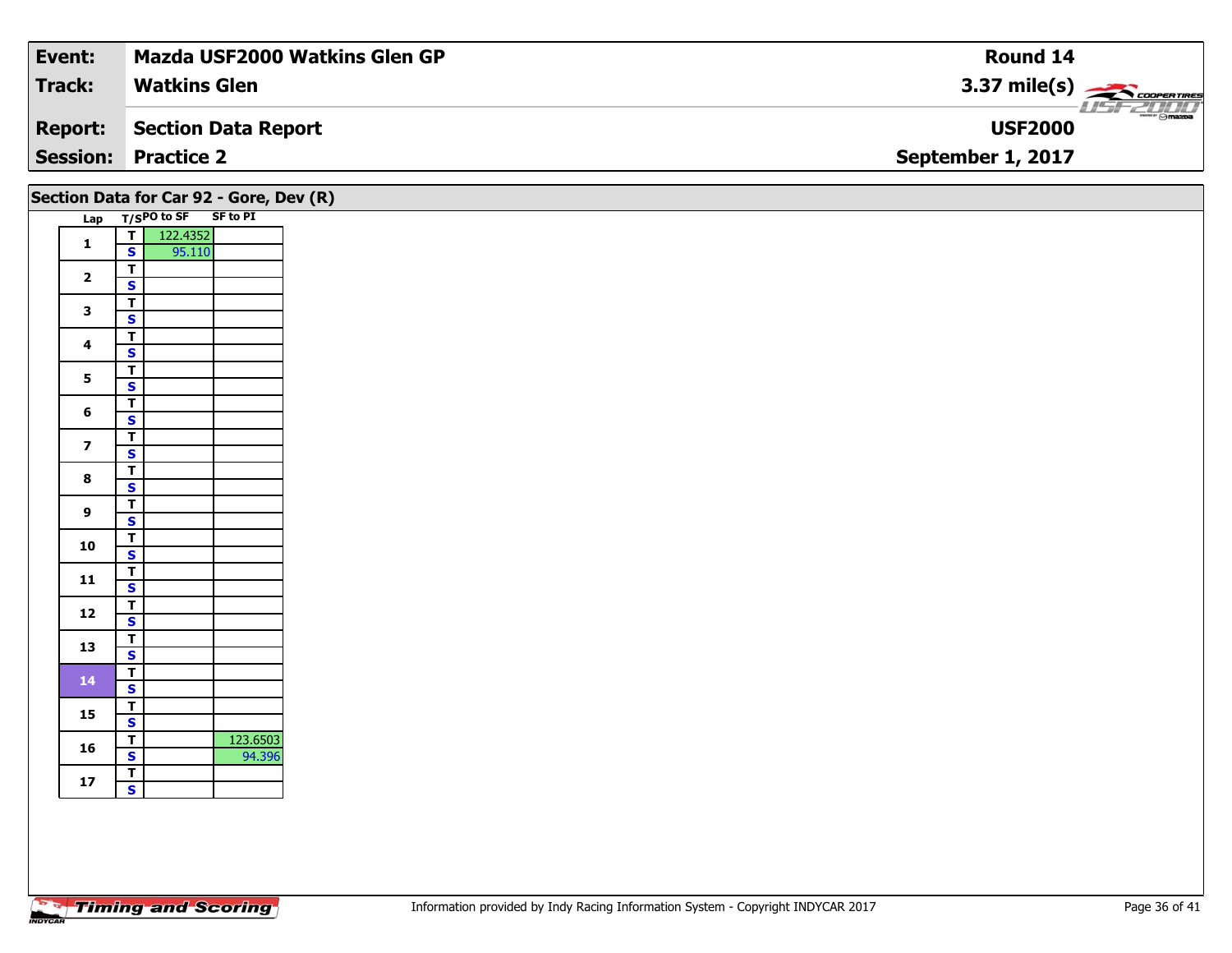| Event:          | <b>Mazda USF2000 Watkins Glen GP</b> | Round 14                                                   |
|-----------------|--------------------------------------|------------------------------------------------------------|
| <b>Track:</b>   | <b>Watkins Glen</b>                  | $3.37 \text{ mile(s)}$                                     |
| <b>Report:</b>  | Section Data Report                  | $\overline{\phantom{a}}$ $\otimes$ mazna<br><b>USF2000</b> |
| <b>Session:</b> | <b>Practice 2</b>                    | September 1, 2017                                          |
|                 |                                      |                                                            |

|                         |                         |             | Section Data for Car 92 - Gore, Dev (R) |  |
|-------------------------|-------------------------|-------------|-----------------------------------------|--|
| Lap                     |                         | T/SPO to SF | <b>SF to PI</b>                         |  |
| 1                       | т                       | 122.4352    |                                         |  |
|                         | S                       | 95.110      |                                         |  |
| $\overline{\mathbf{2}}$ | т                       |             |                                         |  |
|                         | S                       |             |                                         |  |
| 3                       | т                       |             |                                         |  |
|                         | S                       |             |                                         |  |
| 4                       | т                       |             |                                         |  |
|                         | S                       |             |                                         |  |
| 5                       | т                       |             |                                         |  |
|                         | S                       |             |                                         |  |
| 6                       | т                       |             |                                         |  |
|                         | S                       |             |                                         |  |
| 7                       | T                       |             |                                         |  |
|                         | S                       |             |                                         |  |
| 8                       | T                       |             |                                         |  |
|                         | S                       |             |                                         |  |
| 9                       | T                       |             |                                         |  |
|                         | S                       |             |                                         |  |
| 10                      | T                       |             |                                         |  |
|                         | $\overline{\mathbf{s}}$ |             |                                         |  |
| 11                      | T                       |             |                                         |  |
|                         | S                       |             |                                         |  |
| 12                      | т                       |             |                                         |  |
|                         | S                       |             |                                         |  |
| 13                      | т                       |             |                                         |  |
|                         | S                       |             |                                         |  |
| 14                      | T                       |             |                                         |  |
|                         | S                       |             |                                         |  |
| 15                      | Т                       |             |                                         |  |
|                         | S                       |             |                                         |  |
| 16                      | T                       |             | 123.6503                                |  |
|                         | S                       |             | 94.396                                  |  |
| 17                      | т                       |             |                                         |  |
|                         | S                       |             |                                         |  |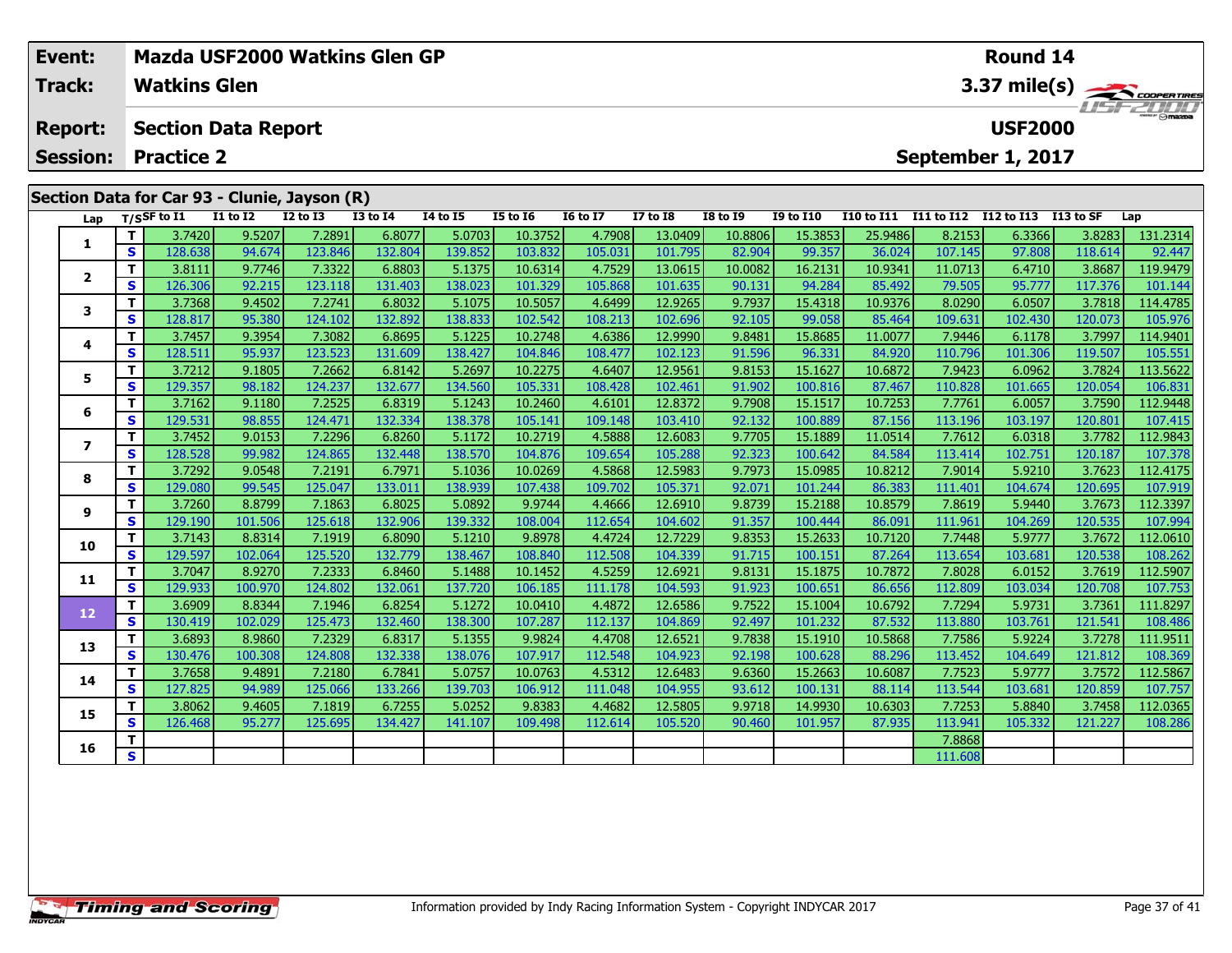|  | Event:          |    |                     | Mazda USF2000 Watkins Glen GP                            |                 |                 |                 |                 | <b>Round 14</b> |                   |                 |                  |                                |            |                   |           |          |  |  |
|--|-----------------|----|---------------------|----------------------------------------------------------|-----------------|-----------------|-----------------|-----------------|-----------------|-------------------|-----------------|------------------|--------------------------------|------------|-------------------|-----------|----------|--|--|
|  | <b>Track:</b>   |    | <b>Watkins Glen</b> |                                                          |                 |                 |                 |                 |                 |                   |                 |                  |                                |            |                   |           |          |  |  |
|  | <b>Report:</b>  |    |                     | <b>Section Data Report</b>                               |                 |                 |                 |                 |                 |                   |                 |                  | 3.37 mile(s)<br><b>USF2000</b> |            |                   |           |          |  |  |
|  | <b>Session:</b> |    | <b>Practice 2</b>   |                                                          |                 |                 |                 |                 |                 | September 1, 2017 |                 |                  |                                |            |                   |           |          |  |  |
|  | Lap             |    | $T/S$ SF to $I1$    | Section Data for Car 93 - Clunie, Jayson (R)<br>I1 to I2 | <b>I2 to I3</b> | <b>I3 to I4</b> | <b>I4 to I5</b> | <b>I5 to I6</b> | <b>16 to 17</b> | <b>I7 to I8</b>   | <b>I8 to I9</b> | <b>I9 to I10</b> | <b>I10 to I11</b>              | I11 to I12 | <b>I12 to I13</b> | I13 to SF | Lap      |  |  |
|  |                 |    | 3.7420              | 9.5207                                                   | 7.2891          | 6.8077          | 5.0703          | 10.3752         | 4.7908          | 13.0409           | 10.8806         | 15.3853          | 25.9486                        | 8.2153     | 6.3366            | 3.8283    | 131.2314 |  |  |
|  |                 | S  | 128.638             | 94.674                                                   | 123.846         | 132.804         | 139.852         | 103.832         | 105.031         | 101.795           | 82.904          | 99.357           | 36.024                         | 107.145    | 97.808            | 118.614   | 92.447   |  |  |
|  |                 |    | 3.8111              | 9.7746                                                   | 7.3322          | 6.8803          | 5.1375          | 10.6314         | 4.7529          | 13.0615           | 10.0082         | 16.2131          | 10.9341                        | 11.0713    | 6.4710            | 3.8687    | 119.9479 |  |  |
|  |                 | S. | 126.306             | 92.215                                                   | 123.118         | 131.403         | 138.023         | 101.329         | 105.868         | 101.635           | 90.131          | 94.284           | 85.492                         | 79.505     | 95.777            | 117.376   | 101.144  |  |  |
|  |                 |    | 3.7368              | 9.4502                                                   | 7.2741          | 6.8032          | 5.1075          | 10.5057         | 4.6499          | 12.9265           | 9.7937          | 15.4318          | 10.9376                        | 8.0290     | 6.0507            | 3.7818    | 114.4785 |  |  |
|  | 3               | S. | 128.817             | 95.380                                                   | 124.102         | 132.892         | 138.833         | 102.542         | 108.213         | 102.696           | 92.105          | 99.058           | 85.464                         | 109.631    | 102.430           | 120.073   | 105.976  |  |  |
|  | 4               |    | 3.7457              | 9.3954                                                   | 7.3082          | 6.8695          | 5.1225          | 10.2748         | 4.6386          | 12.9990           | 9.8481          | 15.8685          | 11.0077                        | 7.9446     | 6.1178            | 3.7997    | 114.9401 |  |  |
|  |                 | S. | 128.511             | 95.937                                                   | 123.523         | 131.609         | 138.427         | 104.846         | 108.477         | 102.123           | 91.596          | 96.331           | 84.920                         | 110.796    | 101.306           | 119.507   | 105.551  |  |  |
|  | 5               |    | 3.7212              | 9.1805                                                   | 7.2662          | 6.8142          | 5.2697          | 10.2275         | 4.6407          | 12.9561           | 9.8153          | 15.1627          | 10.6872                        | 7.9423     | 6.0962            | 3.7824    | 113.5622 |  |  |
|  |                 | S. | 129.357             | 98.182                                                   | 124.237         | 132.677         | 134.560         | 105.331         | 108.428         | 102.461           | 91.902          | 100.816          | 87.467                         | 110.828    | 101.665           | 120.054   | 106.831  |  |  |

**<sup>T</sup>** 3.7162 9.1180 7.2525 6.8319 5.1243 10.2460 4.6101 12.8372 9.7908 15.1517 10.7253 7.7761 6.0057 3.7590 112.9448 **<sup>S</sup>** 129.531 98.855 124.471 132.334 138.378 105.141 109.148 103.410 92.132 100.889 87.156 113.196 103.197 120.801 107.415

7 | T | 3.7452 | 9.0153 | 7.2296 | 6.8260 | 5.1172 | 10.2719 | 4.5888 | 12.6083 | 9.7705 | 15.1889 | 11.0514 | 7.7612 | 6.0318 | 3.7782 | 112.9843<br>7 | S | 128.528 | 99.982 | 124.865 | 132.448 | 138.570 | 104.876 | 109.654

**<sup>T</sup>** 3.7292 9.0548 7.2191 6.7971 5.1036 10.0269 4.5868 12.5983 9.7973 15.0985 10.8212 7.9014 5.9210 3.7623 112.4175 **<sup>S</sup>** 129.080 99.545 125.047 133.011 138.939 107.438 109.702 105.371 92.071 101.244 86.383 111.401 104.674 120.695 107.919

112.3397 112.3397 112.3397 112.3397 112.5397 12.6922 108.004 12.6910 12.6910 15.2188| 10.8579| 7.8619| 5.9440|<br>S 3 129.190 101.506 125.618 132.906 139.332 108.004 112.654 104.602 91.357 100.444 86.091 111.961 104.269 120.

0 | T | 3.7143| 8.8314| 7.1919| 6.8090| 5.1210| 9.8978| 4.4724| 12.7229| 9.8353| 15.2633| 10.7120| 7.7448| 5.9777| 3.7672| 112.0610<br>| S | 129.597| 102.064| 125.520| 132.779| 138.467| 108.840| 112.508| 104.339| 91.715| 100.

**<sup>T</sup>** 3.7047 8.9270 7.2333 6.8460 5.1488 10.1452 4.5259 12.6921 9.8131 15.1875 10.7872 7.8028 6.0152 3.7619 112.5907 **<sup>S</sup>** 129.933 100.970 124.802 132.061 137.720 106.185 111.178 104.593 91.923 100.651 86.656 112.809 103.034 120.708 107.753

2 T 3.6909 8.8344 7.1946 6.8254 5.1272 10.0410 4.4872 12.6586 9.7522 15.1004 10.6792 7.7294 5.9731 3.7361 111.8297<br>2 S 130.419 102.029 125.473 132.460 138.300 107.287 112.137 104.869 92.497 101.232 87.532 113.880 103.761 1

3 T 3.6893 8.9860 7.2329 6.8317 5.1355 9.9824 4.4708 12.6521 9.7838 15.1910 10.5868 7.7586 5.9224 3.7278 111.9511<br>S 130.476 100.308 124.808 132.338 138.076 107.917 112.548 104.923 92.198 100.628 88.296 113.452 104.649 121.

**<sup>T</sup>** 3.7658 9.4891 7.2180 6.7841 5.0757 10.0763 4.5312 12.6483 9.6360 15.2663 10.6087 7.7523 5.9777 3.7572 112.5867 **<sup>S</sup>** 127.825 94.989 125.066 133.266 139.703 106.912 111.048 104.955 93.612 100.131 88.114 113.544 103.681 120.859 107.757

5 T 3.8062 9.4605 7.1819 6.7255 5.0252 9.8383 4.4682 12.5805 9.9718 14.9930 10.6303 7.7253 5.8840 3.7458 112.0365<br>5 S 126.468 95.277 125.695 134.427 141.107 109.498 112.614 105.520 90.460 101.957 87.935 113.941 105.332 121

**<sup>T</sup>** 7.8868 **<sup>S</sup>** 111.608

**6**

**7**

**8**

**9**

**10**

**11**

**12**

**13**

**14**

**15**

**16**

107.378

107.994

108.486

108.369

107.757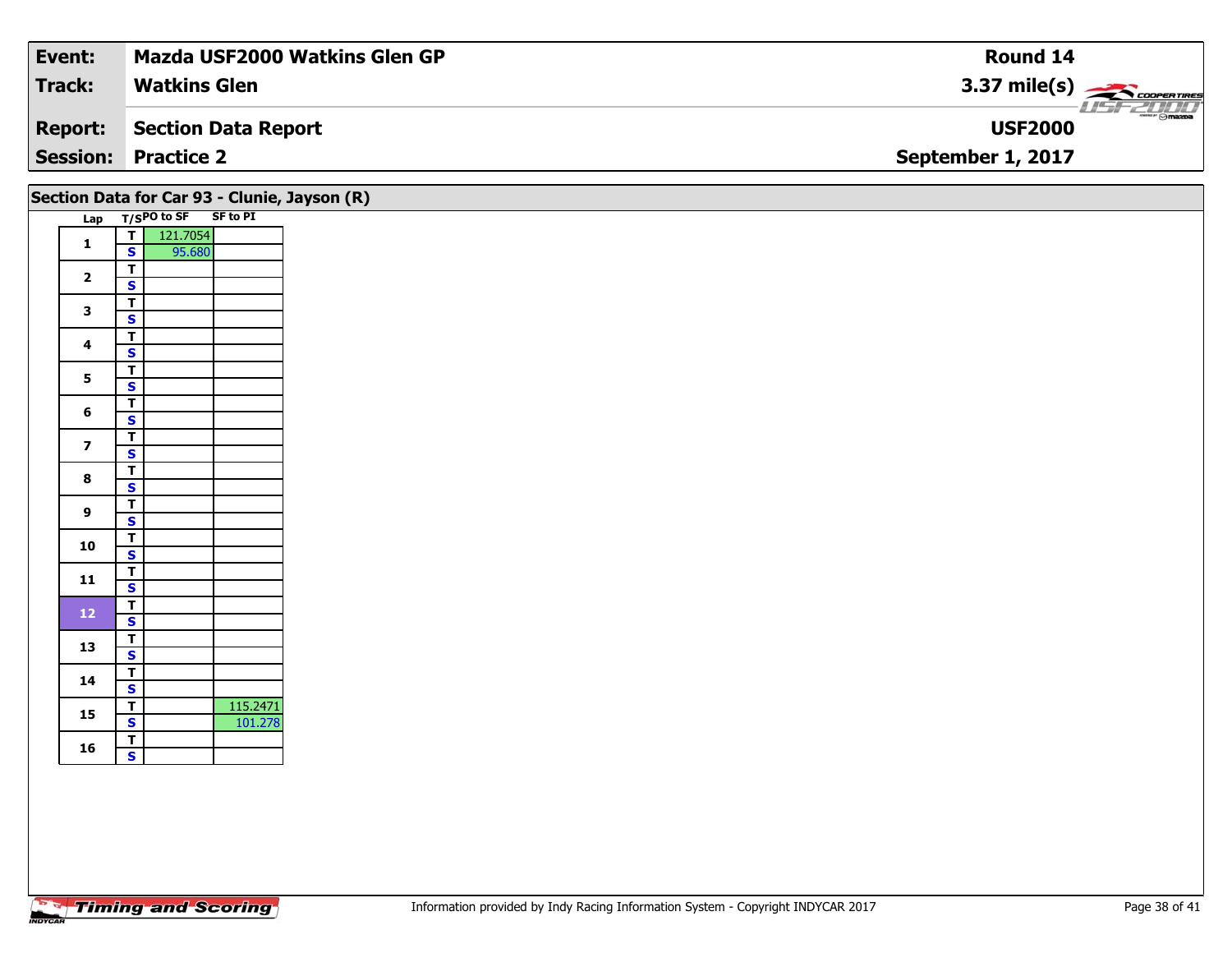| Event:         | Mazda USF2000 Watkins Glen GP | Round 14                         |
|----------------|-------------------------------|----------------------------------|
| <b>Track:</b>  | <b>Watkins Glen</b>           | 3.37 mile(s) $\leftarrow$        |
| <b>Report:</b> | Section Data Report           | <b>Comazoa</b><br><b>USF2000</b> |
|                | <b>Session: Practice 2</b>    | September 1, 2017                |
|                |                               |                                  |

|                          |                         |               |                 | Section Data for Car 93 - Clunie, Jayson (R) |
|--------------------------|-------------------------|---------------|-----------------|----------------------------------------------|
| Lap                      |                         | $T/SPO$ to SF | <b>SF to PI</b> |                                              |
| 1                        | T                       | 121.7054      |                 |                                              |
|                          | S                       | 95.680        |                 |                                              |
| $\overline{2}$           | T                       |               |                 |                                              |
|                          | S                       |               |                 |                                              |
| 3                        | T                       |               |                 |                                              |
|                          | S                       |               |                 |                                              |
| 4                        | T                       |               |                 |                                              |
|                          | S                       |               |                 |                                              |
| 5                        | т                       |               |                 |                                              |
|                          | S                       |               |                 |                                              |
| 6                        | T                       |               |                 |                                              |
|                          | S                       |               |                 |                                              |
| $\overline{\phantom{a}}$ | T                       |               |                 |                                              |
|                          | S                       |               |                 |                                              |
| 8                        | T                       |               |                 |                                              |
|                          | S                       |               |                 |                                              |
| 9                        | Т                       |               |                 |                                              |
|                          | S                       |               |                 |                                              |
| 10                       | T                       |               |                 |                                              |
|                          | S                       |               |                 |                                              |
| 11                       | T                       |               |                 |                                              |
|                          | S                       |               |                 |                                              |
| 12                       | T                       |               |                 |                                              |
|                          | S                       |               |                 |                                              |
| 13                       | T                       |               |                 |                                              |
|                          | S                       |               |                 |                                              |
| 14                       | T                       |               |                 |                                              |
|                          | S                       |               |                 |                                              |
| 15                       | T                       |               | 115.2471        |                                              |
|                          | $\overline{\mathbf{s}}$ |               | 101.278         |                                              |
| 16                       | Т                       |               |                 |                                              |
|                          | S                       |               |                 |                                              |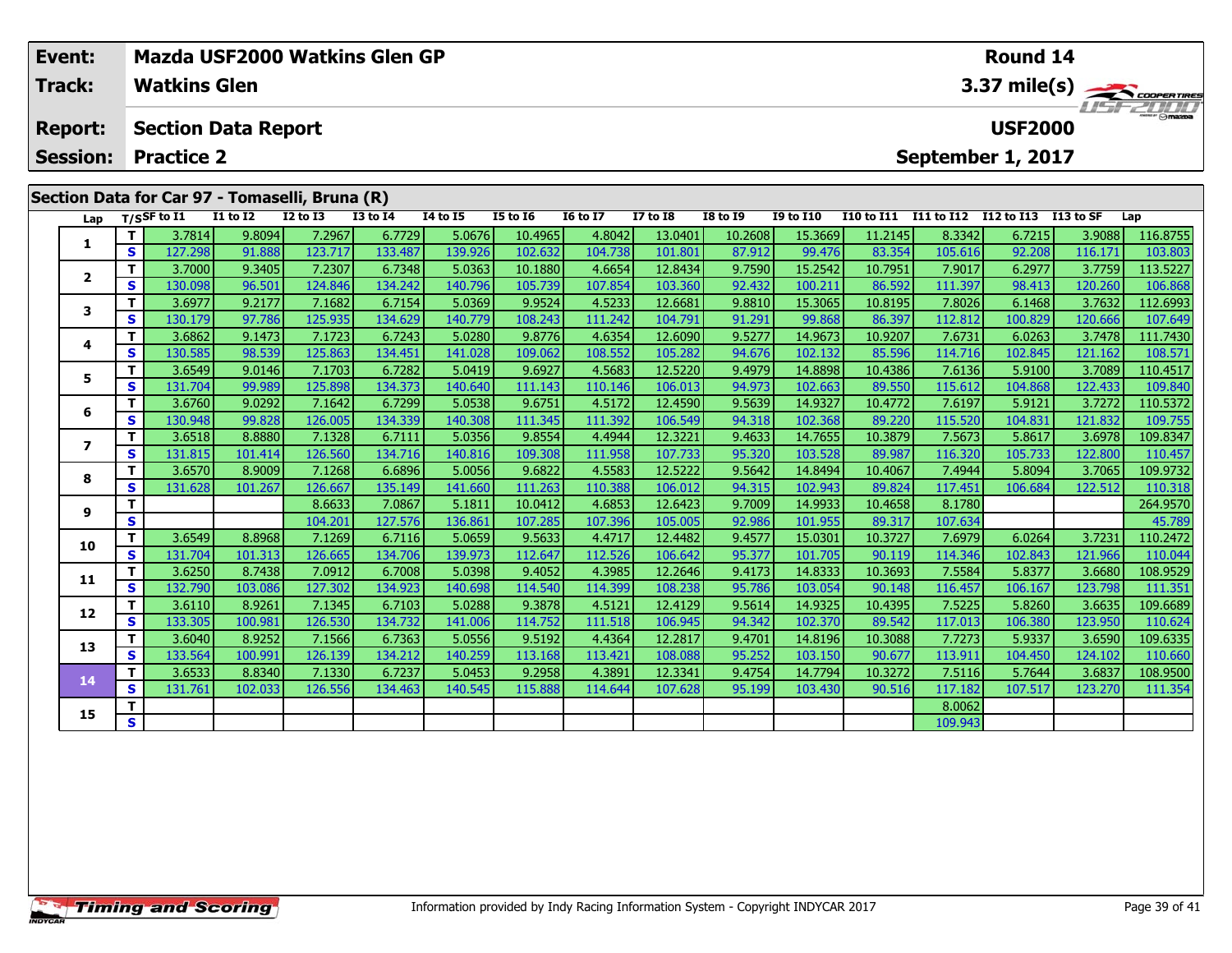| Event:<br>Track: |          | Mazda USF2000 Watkins Glen GP<br><b>Watkins Glen</b> |                   |                   |                   |                   | Round 14<br>3.37 mile(s) |                   |                    |                  |                    |                   |                   |                                 |                   |                     |
|------------------|----------|------------------------------------------------------|-------------------|-------------------|-------------------|-------------------|--------------------------|-------------------|--------------------|------------------|--------------------|-------------------|-------------------|---------------------------------|-------------------|---------------------|
| <b>Report:</b>   |          | <b>Section Data Report</b>                           |                   |                   |                   |                   |                          |                   |                    |                  |                    |                   |                   | <b>USF2000</b>                  |                   |                     |
| <b>Session:</b>  |          | <b>Practice 2</b>                                    |                   |                   |                   |                   |                          |                   |                    |                  |                    |                   |                   | September 1, 2017               |                   |                     |
|                  |          | Section Data for Car 97 - Tomaselli, Bruna (R)       |                   |                   |                   |                   |                          |                   |                    |                  |                    |                   |                   |                                 |                   |                     |
| Lap              |          | $T/S$ SF to $\overline{11}$                          | <b>I1 to I2</b>   | <b>I2 to I3</b>   | <b>I3 to 14</b>   | <b>14 to 15</b>   | <b>I5 to 16</b>          | <b>16 to 17</b>   | <b>I7 to I8</b>    | <b>I8 to I9</b>  | <b>I9 to I10</b>   | <b>I10 to I11</b> |                   | I11 to I12 I12 to I13 I13 to SF |                   | Lap                 |
|                  | T.       | 3.7814                                               | 9.8094            | 7.2967            | 6.7729            | 5.0676            | 10.4965                  | 4.8042            | 13.0401            | 10.2608          | 15.3669            | 11.2145           | 8.3342            | 6.7215                          | 3.9088            | 116.8755            |
| 1                | <b>S</b> | 127.298                                              | 91.888            | 123.717           | 133.487           | 139.926           | 102.632                  | 104.738           | 101.801            | 87.912           | 99.476             | 83.354            | 105.616           | 92.208                          | 116.171           | 103.803             |
| 2                | T.       | 3.7000                                               | 9.3405            | 7.2307            | 6.7348            | 5.0363            | 10.1880                  | 4.6654            | 12.8434            | 9.7590           | 15.2542            | 10.7951           | 7.9017            | 6.2977                          | 3.7759            | 113.5227            |
|                  | <b>S</b> | 130.098                                              | 96.501            | 124.846           | 134.242           | 140.796           | 105.739                  | 107.854           | 103.360            | 92.432           | 100.211            | 86.592            | 111.397           | 98.413                          | 120.260           | 106.868             |
| 3                | т        | 3.6977                                               | 9.2177            | 7.1682            | 6.7154            | 5.0369            | 9.9524                   | 4.5233            | 12.6681            | 9.8810           | 15.3065            | 10.8195           | 7.8026            | 6.1468                          | 3.7632            | 112.6993            |
|                  | S        | 130.179                                              | 97.786            | 125.935           | 134.629           | 140.779           | 108.243                  | 111.242           | 104.791            | 91.291           | 99.868             | 86.397            | 112.812           | 100.829                         | 120.666           | 107.649             |
| 4                |          | 3.6862                                               | 9.1473            | 7.1723            | 6.7243            | 5.0280            | 9.8776                   | 4.6354            | 12.6090            | 9.5277           | 14.9673            | 10.9207           | 7.6731            | 6.0263                          | 3.7478            | 111.7430            |
|                  | <b>S</b> | 130.585                                              | 98.539            | 125.863           | 134.451           | 141.028           | 109.062                  | 108.552           | 105.282            | 94.676           | 102.132            | 85.596            | 114.716           | 102.845                         | 121.162           | 108.571             |
| 5                | T.       | 3.6549                                               | 9.0146            | 7.1703            | 6.7282            | 5.0419            | 9.6927                   | 4.5683            | 12.5220            | 9.4979           | 14.8898            | 10.4386           | 7.6136            | 5.9100                          | 3.7089            | 110.4517            |
|                  | S.       | 131.704                                              | 99.989            | 125.898           | 134.373           | 140.640           | 111.143                  | 110.146           | 106.013            | 94.973           | 102.663            | 89.550            | 115.612           | 104.868                         | 122.433           | 109.840             |
| 6                | т        | 3.6760                                               | 9.0292            | 7.1642            | 6.7299            | 5.0538            | 9.6751                   | 4.5172            | 12.4590            | 9.5639           | 14.9327            | 10.4772           | 7.6197            | 5.9121                          | 3.7272            | 110.5372            |
|                  | <b>S</b> | 130.948                                              | 99.828            | 126.005           | 134.339           | 140.308           | 111.345                  | 111.392           | 106.549            | 94.318           | 102.368            | 89.220            | 115.520           | 104.831                         | 121.832           | 109.755             |
| 7                | T.<br>S. | 3.6518                                               | 8.8880            | 7.1328            | 6.7111            | 5.0356            | 9.8554                   | 4.4944            | 12.3221            | 9.4633           | 14.7655            | 10.3879           | 7.5673            | 5.8617                          | 3.6978            | 109.8347            |
|                  | т        | 131.815                                              | 101.414           | 126.560<br>7.1268 | 134.716           | 140.816           | 109.308                  | 111.958<br>4.5583 | 107.733<br>12.5222 | 95.320           | 103.528            | 89.987            | 116.320<br>7.4944 | 105.733<br>5.8094               | 122.800           | 110.457             |
| 8                | <b>S</b> | 3.6570<br>131.628                                    | 8.9009<br>101.267 | 126.667           | 6.6896<br>135.149 | 5.0056<br>141.660 | 9.6822<br>111.263        | 110.388           | 106.012            | 9.5642<br>94.315 | 14.8494<br>102.943 | 10.4067<br>89.824 | 117.451           | 106.684                         | 3.7065<br>122.512 | 109.9732<br>110.318 |
|                  |          |                                                      |                   | 8.6633            | 7.0867            | 5.1811            | 10.0412                  | 4.6853            | 12.6423            | 9.7009           | 14.9933            | 10.4658           | 8.1780            |                                 |                   | 264.9570            |
| 9                | S        |                                                      |                   | 104.201           | 127.576           | 136.861           | 107.285                  | 107.396           | 105.005            | 92.986           | 101.955            | 89.317            | 107.634           |                                 |                   | 45.789              |
|                  |          |                                                      |                   |                   |                   |                   |                          |                   |                    |                  |                    |                   |                   |                                 |                   |                     |

| o  | S.       | 131.628 | 101.267 | 126.667 | 135.149          | 141.660          | 111.263 | 110.388 | 106.012 | 94.315 | 102.943 | 89.824  | 117.451 | 106.684 | 122.512 | 110.318  |
|----|----------|---------|---------|---------|------------------|------------------|---------|---------|---------|--------|---------|---------|---------|---------|---------|----------|
| 9  |          |         |         | 8.6633  | 7.0867           | 5.1811           | 10.0412 | 4.6853  | 12.6423 | 9.7009 | 14.9933 | 10.4658 | 8.1780  |         |         | 264.9570 |
|    | S        |         |         | 104.201 | 127.576          | 136.861          | 107.285 | 107.396 | 105.005 | 92.986 | 101.955 | 89.317  | 107.634 |         |         | 45.789   |
| 10 |          | 3.6549  | 8.8968  | 7.1269  | 6.7116           | 5.0659           | 9.5633  | 4.4717  | 12.4482 | 9.4577 | 15.0301 | 10.3727 | 7.6979  | 6.0264  | 3.7231  | 110.2472 |
|    | S.       | 131.704 | 101.313 | 126.665 | 134.706 <b>1</b> | 139.973          | 112.647 | 112.526 | 106.642 | 95.377 | 101.705 | 90.119  | 114.346 | 102.843 | 121.966 | 110.044  |
| 11 |          | 3.6250  | 8.7438  | 7.0912  | 6.7008           | 5.0398           | 9.4052  | 4.3985  | 12.2646 | 9.4173 | 14.8333 | 10.3693 | 7.5584  | 5.8377  | 3.6680  | 108.9529 |
|    | S.       | 132.790 | 103.086 | 127.302 | 134.9231         | 140.698          | 114.540 | 114.399 | 108.238 | 95.786 | 103.054 | 90.148  | 116.457 | 106.167 | 123.798 | 111.351  |
|    |          | 3.6110  | 8.9261  | 7.1345  | 6.7103           | 5.0288           | 9.3878  | 4.5121  | 12.4129 | 9.5614 | 14.9325 | 10.4395 | 7.5225  | 5.8260  | 3.6635  | 109.6689 |
| 12 | S.       | 133.305 | 100.981 | 126.530 | 134.7321         | 141.006          | 114.752 | 111.518 | 106.945 | 94.342 | 102.370 | 89.542  | 117.013 | 106.380 | 123.950 | 110.624  |
| 13 |          | 3.6040  | 8.9252  | 7.1566  | 6.7363           | 5.0556           | 9.5192  | 4.4364  | 12.2817 | 9.4701 | 14.8196 | 10.3088 | 7.7273  | 5.9337  | 3.6590  | 109.6335 |
|    | S.       | 133.564 | 100.991 | 126.139 | 134.2121         | 140.259 <b>l</b> | 113.168 | 113.421 | 108.088 | 95.252 | 103.150 | 90.677  | 113.911 | 104.450 | 124.102 | 110.660  |
| 14 |          | 3.6533  | 8.8340  | 7.1330  | 6.7237           | 5.0453           | 9.2958  | 4.3891  | 12.3341 | 9.4754 | 14.7794 | 10.3272 | 7.5116  | 5.7644  | 3.6837  | 108.9500 |
|    | <b>S</b> | 131.761 | 102.033 | 126.556 | 134.463          | 140.545          | 115.888 | 114.644 | 107.628 | 95.199 | 103.430 | 90.516  | 117.182 | 107.517 | 123.270 | 111.354  |
| 15 |          |         |         |         |                  |                  |         |         |         |        |         |         | 8.0062  |         |         |          |
|    | S.       |         |         |         |                  |                  |         |         |         |        |         |         | 109.943 |         |         |          |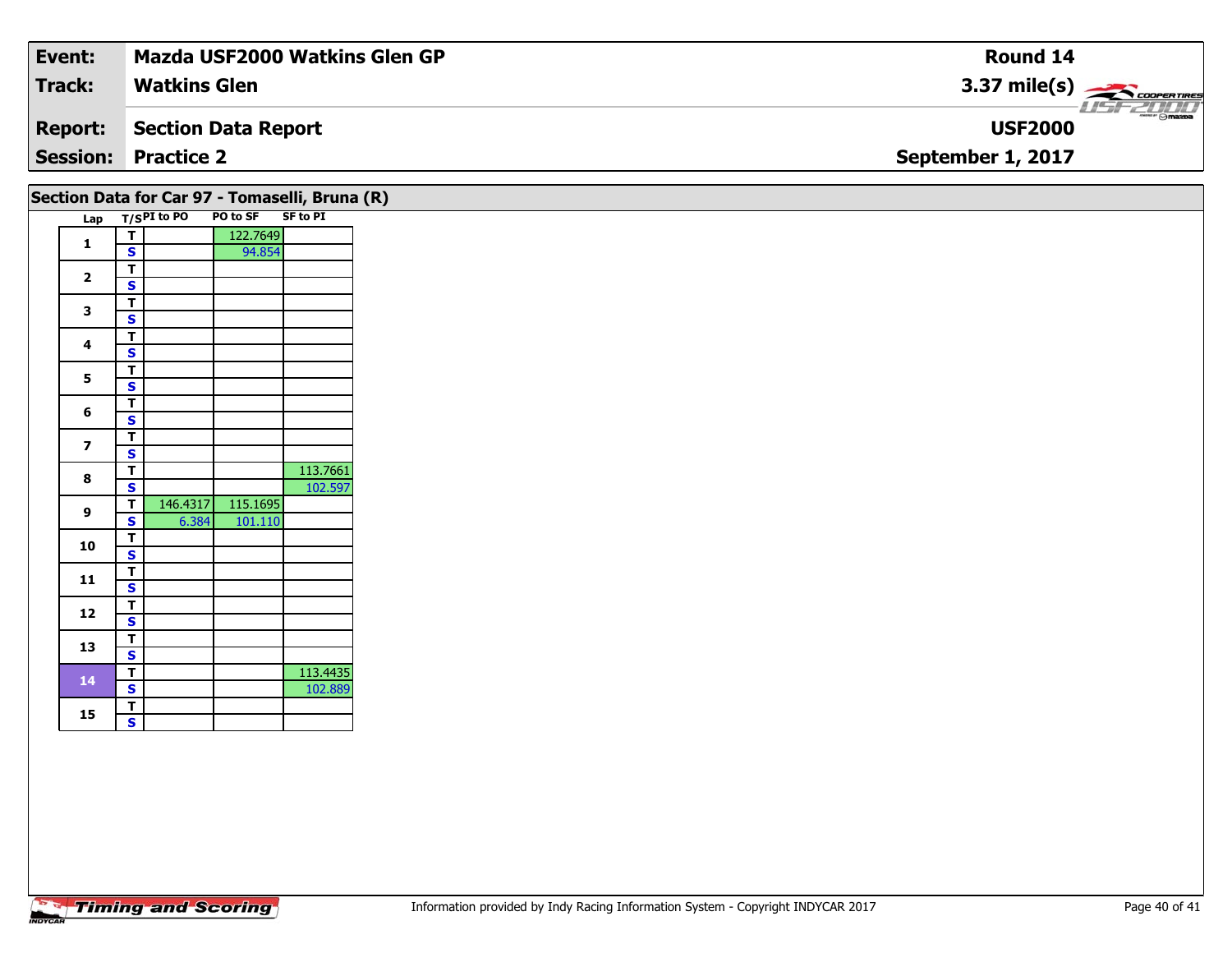| Event:          | <b>Mazda USF2000 Watkins Glen GP</b> | <b>Round 14</b>                                                                                                                                                                                                                                                                                                                                                                                                                                                                                   |
|-----------------|--------------------------------------|---------------------------------------------------------------------------------------------------------------------------------------------------------------------------------------------------------------------------------------------------------------------------------------------------------------------------------------------------------------------------------------------------------------------------------------------------------------------------------------------------|
| Track:          | <b>Watkins Glen</b>                  | $3.37 \text{ mile(s)}$                                                                                                                                                                                                                                                                                                                                                                                                                                                                            |
| <b>Report:</b>  | Section Data Report                  | $\overline{\phantom{m}}$ $\overline{\phantom{m}}$ $\overline{\phantom{m}}$ $\overline{\phantom{m}}$ $\overline{\phantom{m}}$ $\overline{\phantom{m}}$ $\overline{\phantom{m}}$ $\overline{\phantom{m}}$ $\overline{\phantom{m}}$ $\overline{\phantom{m}}$ $\overline{\phantom{m}}$ $\overline{\phantom{m}}$ $\overline{\phantom{m}}$ $\overline{\phantom{m}}$ $\overline{\phantom{m}}$ $\overline{\phantom{m}}$ $\overline{\phantom{m}}$ $\overline{\phantom{m}}$ $\overline{\$<br><b>USF2000</b> |
| <b>Session:</b> | <b>Practice 2</b>                    | September 1, 2017                                                                                                                                                                                                                                                                                                                                                                                                                                                                                 |
|                 |                                      |                                                                                                                                                                                                                                                                                                                                                                                                                                                                                                   |

|                         |                                                                                                                                                                                                                                                                                                                                                                                                                                                                                                                                                                                         | Lap T/SPI to PO | PO to SF SF to PI |          |
|-------------------------|-----------------------------------------------------------------------------------------------------------------------------------------------------------------------------------------------------------------------------------------------------------------------------------------------------------------------------------------------------------------------------------------------------------------------------------------------------------------------------------------------------------------------------------------------------------------------------------------|-----------------|-------------------|----------|
| $\mathbf{1}$            | $\overline{\mathsf{T}}$                                                                                                                                                                                                                                                                                                                                                                                                                                                                                                                                                                 |                 | 122.7649          |          |
|                         |                                                                                                                                                                                                                                                                                                                                                                                                                                                                                                                                                                                         |                 | 94.854            |          |
| $\overline{2}$          |                                                                                                                                                                                                                                                                                                                                                                                                                                                                                                                                                                                         |                 |                   |          |
|                         |                                                                                                                                                                                                                                                                                                                                                                                                                                                                                                                                                                                         |                 |                   |          |
| 3                       | $\overline{\mathbf{s}}$<br>$\overline{\mathbf{r}}$<br>$\overline{\mathbf{s}}$<br>$\overline{\mathsf{r}}$<br>$\overline{\mathbf{s}}$<br>$\overline{\mathsf{r}}$<br>$\overline{\mathbf{s}}$<br>$\overline{\mathsf{r}}$<br>$\overline{\mathbf{s}}$<br>$\overline{\mathbf{T}}$<br>$\overline{\mathbf{s}}$<br>$\overline{\mathsf{r}}$<br>$\mathbf{s}$<br>$\overline{\mathsf{r}}$<br>$\mathbf{s}$<br>T<br>$\mathbf{s}$<br>$\overline{\mathsf{r}}$<br>$\overline{\mathbf{s}}$<br>$\overline{\mathbf{T}}$<br>$\mathbf{s}$<br>$\overline{\mathsf{r}}$<br>$\mathbf{s}$<br>$\overline{\mathsf{T}}$ |                 |                   |          |
|                         |                                                                                                                                                                                                                                                                                                                                                                                                                                                                                                                                                                                         |                 |                   |          |
| 4                       |                                                                                                                                                                                                                                                                                                                                                                                                                                                                                                                                                                                         |                 |                   |          |
|                         |                                                                                                                                                                                                                                                                                                                                                                                                                                                                                                                                                                                         |                 |                   |          |
| 5                       |                                                                                                                                                                                                                                                                                                                                                                                                                                                                                                                                                                                         |                 |                   |          |
|                         |                                                                                                                                                                                                                                                                                                                                                                                                                                                                                                                                                                                         |                 |                   |          |
| 6                       |                                                                                                                                                                                                                                                                                                                                                                                                                                                                                                                                                                                         |                 |                   |          |
|                         |                                                                                                                                                                                                                                                                                                                                                                                                                                                                                                                                                                                         |                 |                   |          |
| $\overline{\mathbf{z}}$ |                                                                                                                                                                                                                                                                                                                                                                                                                                                                                                                                                                                         |                 |                   |          |
|                         |                                                                                                                                                                                                                                                                                                                                                                                                                                                                                                                                                                                         |                 |                   |          |
| 8                       |                                                                                                                                                                                                                                                                                                                                                                                                                                                                                                                                                                                         |                 |                   | 113.7661 |
|                         |                                                                                                                                                                                                                                                                                                                                                                                                                                                                                                                                                                                         |                 |                   | 102.597  |
| 9                       |                                                                                                                                                                                                                                                                                                                                                                                                                                                                                                                                                                                         | 146.4317        | 115.1695          |          |
|                         |                                                                                                                                                                                                                                                                                                                                                                                                                                                                                                                                                                                         | 6.384           | 101.110           |          |
| 10                      |                                                                                                                                                                                                                                                                                                                                                                                                                                                                                                                                                                                         |                 |                   |          |
|                         |                                                                                                                                                                                                                                                                                                                                                                                                                                                                                                                                                                                         |                 |                   |          |
| 11                      |                                                                                                                                                                                                                                                                                                                                                                                                                                                                                                                                                                                         |                 |                   |          |
|                         |                                                                                                                                                                                                                                                                                                                                                                                                                                                                                                                                                                                         |                 |                   |          |
| 12                      |                                                                                                                                                                                                                                                                                                                                                                                                                                                                                                                                                                                         |                 |                   |          |
|                         |                                                                                                                                                                                                                                                                                                                                                                                                                                                                                                                                                                                         |                 |                   |          |
| 13                      |                                                                                                                                                                                                                                                                                                                                                                                                                                                                                                                                                                                         |                 |                   |          |
|                         | $\overline{\mathbf{s}}$                                                                                                                                                                                                                                                                                                                                                                                                                                                                                                                                                                 |                 |                   |          |
| 14                      | $\overline{\mathsf{T}}$                                                                                                                                                                                                                                                                                                                                                                                                                                                                                                                                                                 |                 |                   | 113.4435 |
|                         | $\overline{\mathbf{s}}$                                                                                                                                                                                                                                                                                                                                                                                                                                                                                                                                                                 |                 |                   | 102.889  |
| 15                      | $\overline{\mathsf{T}}$<br>$\overline{\mathbf{s}}$                                                                                                                                                                                                                                                                                                                                                                                                                                                                                                                                      |                 |                   |          |
|                         |                                                                                                                                                                                                                                                                                                                                                                                                                                                                                                                                                                                         |                 |                   |          |